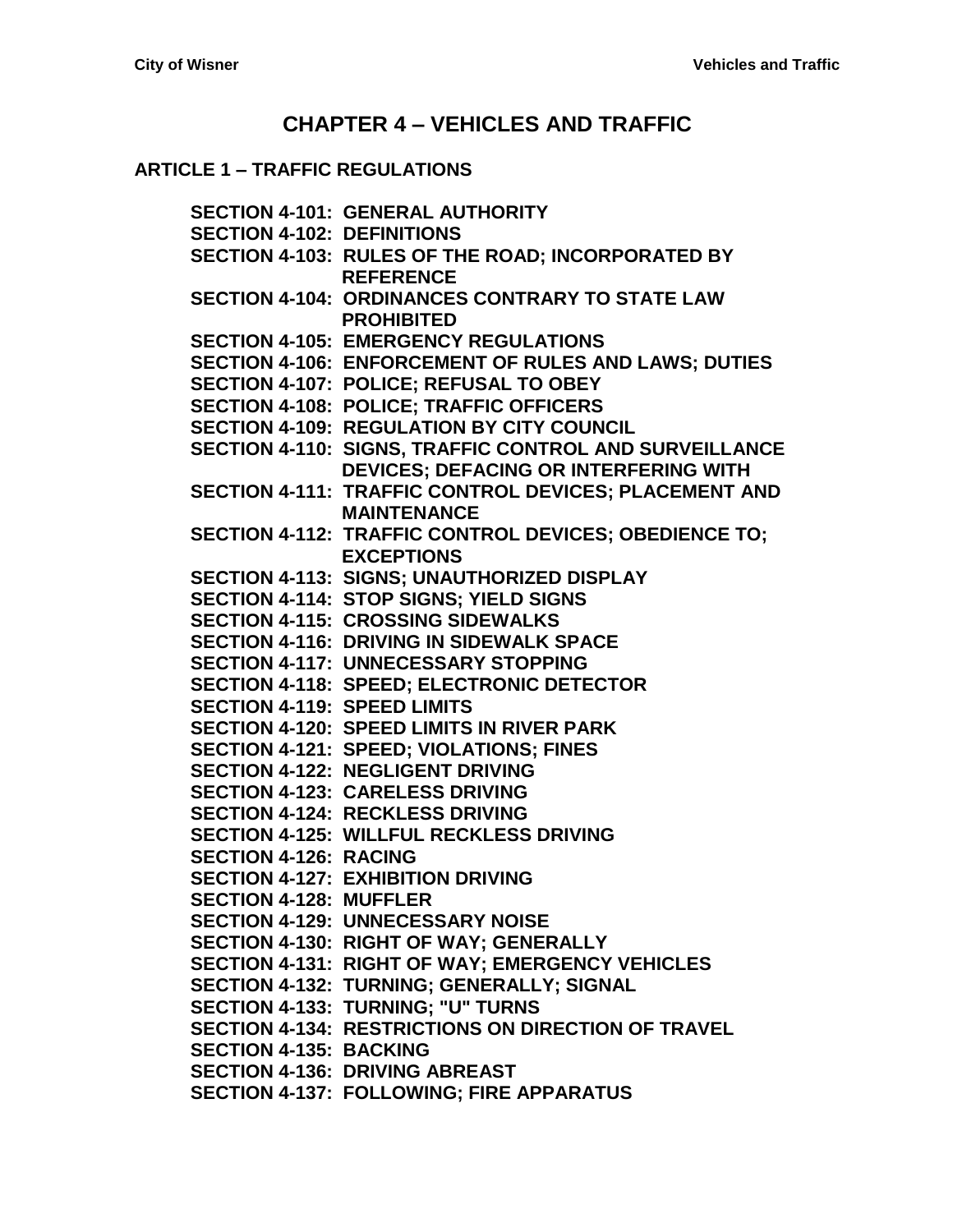# **CHAPTER 4 – [VEHICLES AND TRAFFIC](#page-4-0)**

#### **ARTICLE 1 – [TRAFFIC REGULATIONS](#page-4-1)**

**SECTION [4-101: GENERAL AUTHORITY](#page-4-2) [SECTION 4-102: DEFINITIONS](#page-4-3) [SECTION 4-103: RULES OF THE ROAD; INCORPORATED BY](#page-4-4) [REFERENCE](#page-4-4) [SECTION 4-104: ORDINANCES CONTRARY TO STATE LAW](#page-4-5)  [PROHIBITED](#page-4-5) [SECTION 4-105: EMERGENCY REGULATIONS](#page-5-0) [SECTION 4-106: ENFORCEMENT OF](#page-5-1) RULES AND LAWS; DUTIES [SECTION 4-107: POLICE; REFUSAL TO OBEY](#page-6-0) [SECTION 4-108: POLICE; TRAFFIC OFFICERS](#page-6-1) [SECTION 4-109: REGULATION BY CITY COUNCIL](#page-6-2) [SECTION 4-110: SIGNS, TRAFFIC](#page-7-0) CONTROL AND SURVEILLANCE [DEVICES; DEFACING OR](#page-7-0) INTERFERING WITH [SECTION 4-111: TRAFFIC CONTROL DEVICES; PLACEMENT](#page-7-1) AND [MAINTENANCE](#page-7-1) [SECTION 4-112: TRAFFIC CONTROL DEVICES; OBEDIENCE](#page-7-2) TO; [EXCEPTIONS](#page-7-2) [SECTION 4-113: SIGNS; UNAUTHORIZED DISPLAY](#page-8-0) [SECTION 4-114: STOP SIGNS; YIELD SIGNS](#page-8-1) [SECTION 4-115: CROSSING SIDEWALKS](#page-8-2) [SECTION 4-116: DRIVING IN SIDEWALK SPACE](#page-9-0) [SECTION 4-117: UNNECESSARY STOPPING](#page-9-1) [SECTION 4-118: SPEED; ELECTRONIC DETECTOR](#page-9-2) [SECTION 4-119: SPEED LIMITS](#page-9-3) [SECTION 4-120: SPEED LIMITS IN RIVER PARK](#page-10-0) [SECTION 4-121: SPEED; VIOLATIONS; FINES](#page-10-1) [SECTION 4-122: NEGLIGENT DRIVING](#page-10-2) [SECTION 4-123: CARELESS DRIVING](#page-11-0) [SECTION 4-124: RECKLESS DRIVING](#page-11-1) [SECTION 4-125: WILLFUL RECKLESS DRIVING](#page-11-2) [SECTION 4-126: RACING](#page-11-3) [SECTION 4-127: EXHIBITION DRIVING](#page-11-4) [SECTION 4-128: MUFFLER](#page-11-5) [SECTION 4-129: UNNECESSARY NOISE](#page-12-0) [SECTION 4-130: RIGHT OF WAY; GENERALLY](#page-12-1) [SECTION 4-131: RIGHT OF WAY; EMERGENCY VEHICLES](#page-12-2) SECTION [4-132: TURNING; GENERALLY; SIGNAL](#page-13-0) SECTION [4-133: TURNING; "U" TURNS](#page-13-1) SECTION [4-134: RESTRICTIONS ON DIRECTION OF TRAVEL](#page-13-2) [SECTION 4-135: BACKING](#page-13-3) [SECTION 4-136: DRIVING ABREAST](#page-14-0) [SECTION 4-137: FOLLOWING; FIRE APPARATUS](#page-14-1)**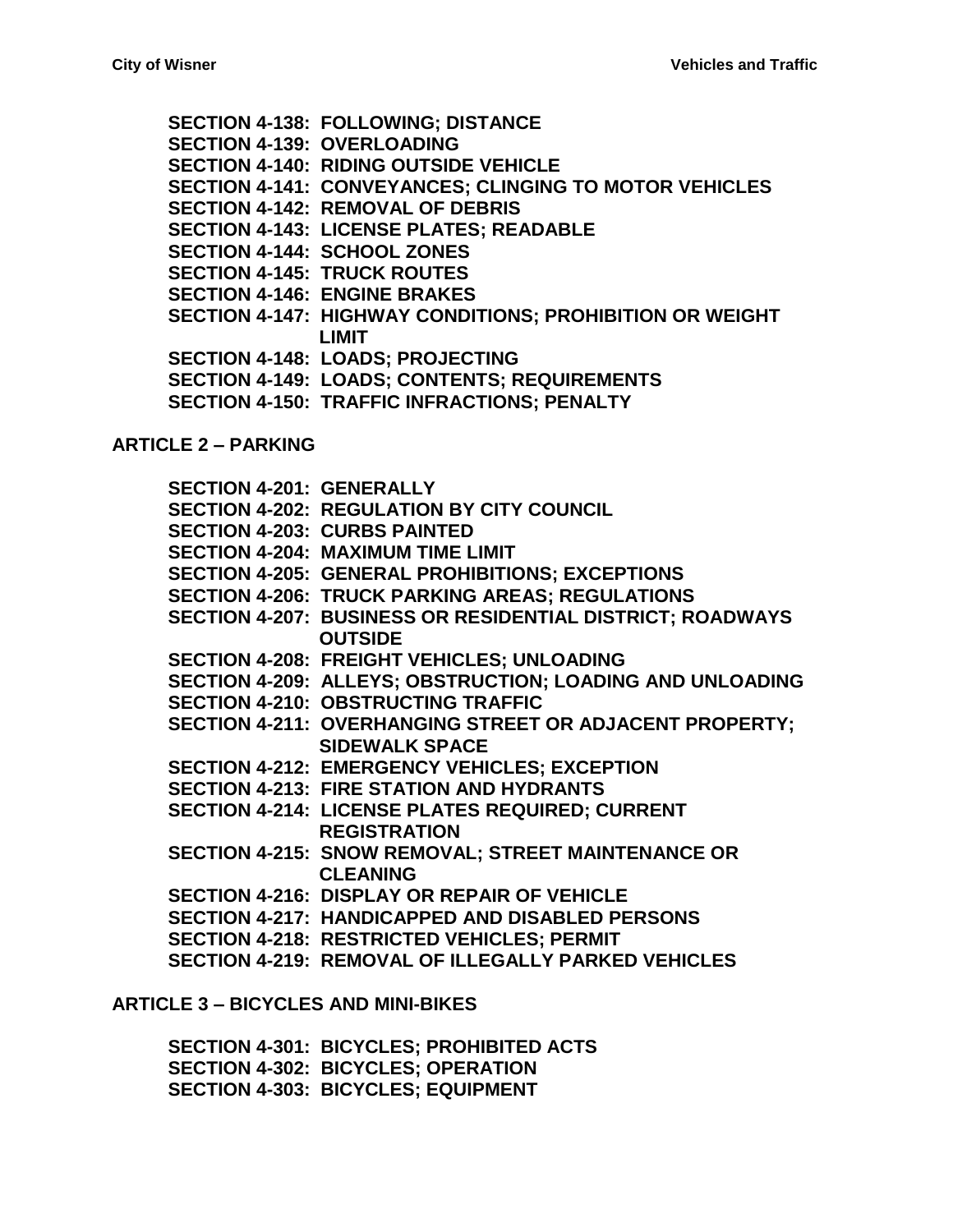**[SECTION 4-138: FOLLOWING; DISTANCE](#page-14-2) [SECTION 4-139: OVERLOADING](#page-14-3) [SECTION 4-140: RIDING OUTSIDE](#page-14-4) VEHICLE [SECTION 4-141: CONVEYANCES; CLINGING TO MOTOR VEHICLES](#page-14-5) [SECTION 4-142: REMOVAL OF DEBRIS](#page-14-6) [SECTION 4-143: LICENSE PLATES; READABLE](#page-15-0) [SECTION 4-144: SCHOOL ZONES](#page-15-1) SECTION [4-145: TRUCK ROUTES](#page-15-2) [SECTION 4-146: ENGINE BRAKES](#page-15-3) SECTION [4-147: HIGHWAY CONDITIONS; PROHIBITION OR WEIGHT](#page-15-4)  [LIMIT](#page-15-4) [SECTION 4-148: LOADS; PROJECTING](#page-16-0) [SECTION 4-149: LOADS; CONTENTS; REQUIREMENTS](#page-16-1) [SECTION 4-150: TRAFFIC INFRACTIONS; PENALTY](#page-16-2)**

#### **[ARTICLE 2 –](#page-18-0) PARKING**

**[SECTION 4-201: GENERALLY](#page-18-1) [SECTION 4-202: REGULATION BY CITY COUNCIL](#page-18-2) [SECTION 4-203: CURBS PAINTED](#page-19-0) [SECTION 4-204: MAXIMUM TIME LIMIT](#page-19-1) [SECTION 4-205: GENERAL PROHIBITIONS; EXCEPTIONS](#page-19-2) [SECTION 4-206: TRUCK PARKING AREAS; REGULATIONS](#page-20-0) [SECTION 4-207: BUSINESS OR RESIDENTIAL DISTRICT; ROADWAYS](#page-21-0)  [OUTSIDE](#page-21-0) [SECTION 4-208: FREIGHT VEHICLES; UNLOADING](#page-21-1) [SECTION 4-209: ALLEYS; OBSTRUCTION; LOADING AND UNLOADING](#page-22-0) [SECTION 4-210: OBSTRUCTING TRAFFIC](#page-22-1) [SECTION 4-211: OVERHANGING STREET](#page-22-2) OR ADJACENT PROPERTY; [SIDEWALK SPACE](#page-22-2) [SECTION 4-212: EMERGENCY VEHICLES; EXCEPTION](#page-22-3) [SECTION 4-213: FIRE STATION AND HYDRANTS](#page-22-4) [SECTION 4-214: LICENSE PLATES](#page-23-0) REQUIRED; CURRENT [REGISTRATION](#page-23-0) [SECTION 4-215: SNOW REMOVAL; STREET MAINTENANCE OR](#page-23-1)  [CLEANING](#page-23-1) [SECTION 4-216: DISPLAY OR REPAIR OF VEHICLE](#page-23-2) [SECTION 4-217: HANDICAPPED AND DISABLED](#page-23-3) PERSONS [SECTION 4-218: RESTRICTED VEHICLES; PERMIT](#page-24-0) [SECTION 4-219: REMOVAL OF ILLEGALLY PARKED VEHICLES](#page-24-1)**

#### **ARTICLE 3 – [BICYCLES AND MINI-BIKES](#page-26-0)**

**[SECTION 4-301: BICYCLES; PROHIBITED ACTS](#page-26-1) [SECTION 4-302: BICYCLES; OPERATION](#page-26-2) [SECTION 4-303: BICYCLES; EQUIPMENT](#page-27-0)**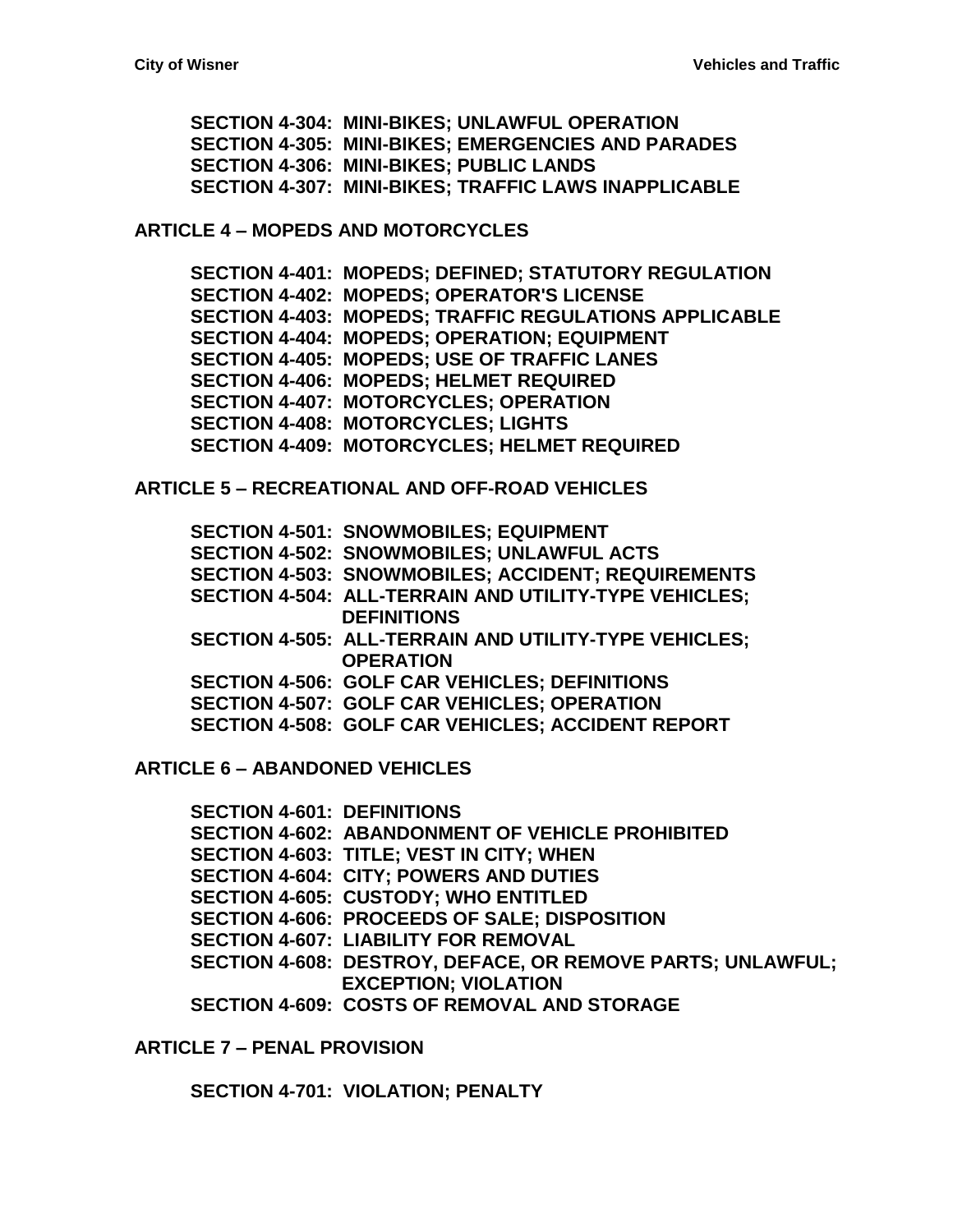**[SECTION 4-304: MINI-BIKES; UNLAWFUL OPERATION](#page-27-1) [SECTION 4-305: MINI-BIKES; EMERGENCIES AND PARADES](#page-27-2) [SECTION 4-306: MINI-BIKES; PUBLIC LANDS](#page-28-0) [SECTION 4-307: MINI-BIKES; TRAFFIC LAWS INAPPLICABLE](#page-28-1)**

**ARTICLE 4 – [MOPEDS AND MOTORCYCLES](#page-30-0)**

**[SECTION 4-401: MOPEDS; DEFINED; STATUTORY REGULATION](#page-30-1) [SECTION 4-402: MOPEDS; OPERATOR'S LICENSE](#page-30-2) [SECTION 4-403: MOPEDS; TRAFFIC REGULATIONS APPLICABLE](#page-30-3) [SECTION 4-404: MOPEDS; OPERATION; EQUIPMENT](#page-30-4) [SECTION 4-405: MOPEDS; USE OF](#page-31-0) TRAFFIC LANES [SECTION 4-406: MOPEDS; HELMET](#page-31-1) REQUIRED [SECTION 4-407: MOTORCYCLES; OPERATION](#page-32-0) [SECTION 4-408: MOTORCYCLES; LIGHTS](#page-32-1) [SECTION 4-409: MOTORCYCLES; HELMET REQUIRED](#page-33-0)**

**ARTICLE 5 – [RECREATIONAL AND OFF-ROAD VEHICLES](#page-34-0)**

**[SECTION 4-501: SNOWMOBILES; EQUIPMENT](#page-34-1) [SECTION 4-502: SNOWMOBILES; UNLAWFUL ACTS](#page-34-2) [SECTION 4-503: SNOWMOBILES; ACCIDENT; REQUIREMENTS](#page-35-0) [SECTION 4-504: ALL-TERRAIN AND UTILITY-TYPE VEHICLES;](#page-35-1)  [DEFINITIONS](#page-35-1) [SECTION 4-505: ALL-TERRAIN AND UTILITY-TYPE VEHICLES;](#page-36-0)  [OPERATION](#page-36-0) [SECTION 4-506: GOLF CAR VEHICLES; DEFINITIONS](#page-37-0) [SECTION 4-507: GOLF CAR VEHICLES; OPERATION](#page-37-1) [SECTION 4-508: GOLF CAR VEHICLES; ACCIDENT REPORT](#page-39-0)**

**ARTICLE 6 – [ABANDONED VEHICLES](#page-40-0)**

**[SECTION 4-601: DEFINITIONS](#page-40-1) [SECTION 4-602: ABANDONMENT OF](#page-41-0) VEHICLE PROHIBITED [SECTION 4-603: TITLE; VEST IN](#page-41-1) CITY; WHEN [SECTION 4-604: CITY; POWERS AND DUTIES](#page-42-0) [SECTION 4-605: CUSTODY; WHO ENTITLED](#page-42-1) [SECTION 4-606: PROCEEDS OF SALE; DISPOSITION](#page-42-2) [SECTION 4-607: LIABILITY FOR REMOVAL](#page-43-0) [SECTION 4-608: DESTROY, DEFACE, OR REMOVE PARTS; UNLAWFUL;](#page-43-1)  [EXCEPTION; VIOLATION](#page-43-1) [SECTION 4-609: COSTS OF REMOVAL AND STORAGE](#page-43-2)**

**ARTICLE 7 – [PENAL PROVISION](#page-44-0)**

**[SECTION 4-701: VIOLATION; PENALTY](#page-44-1)**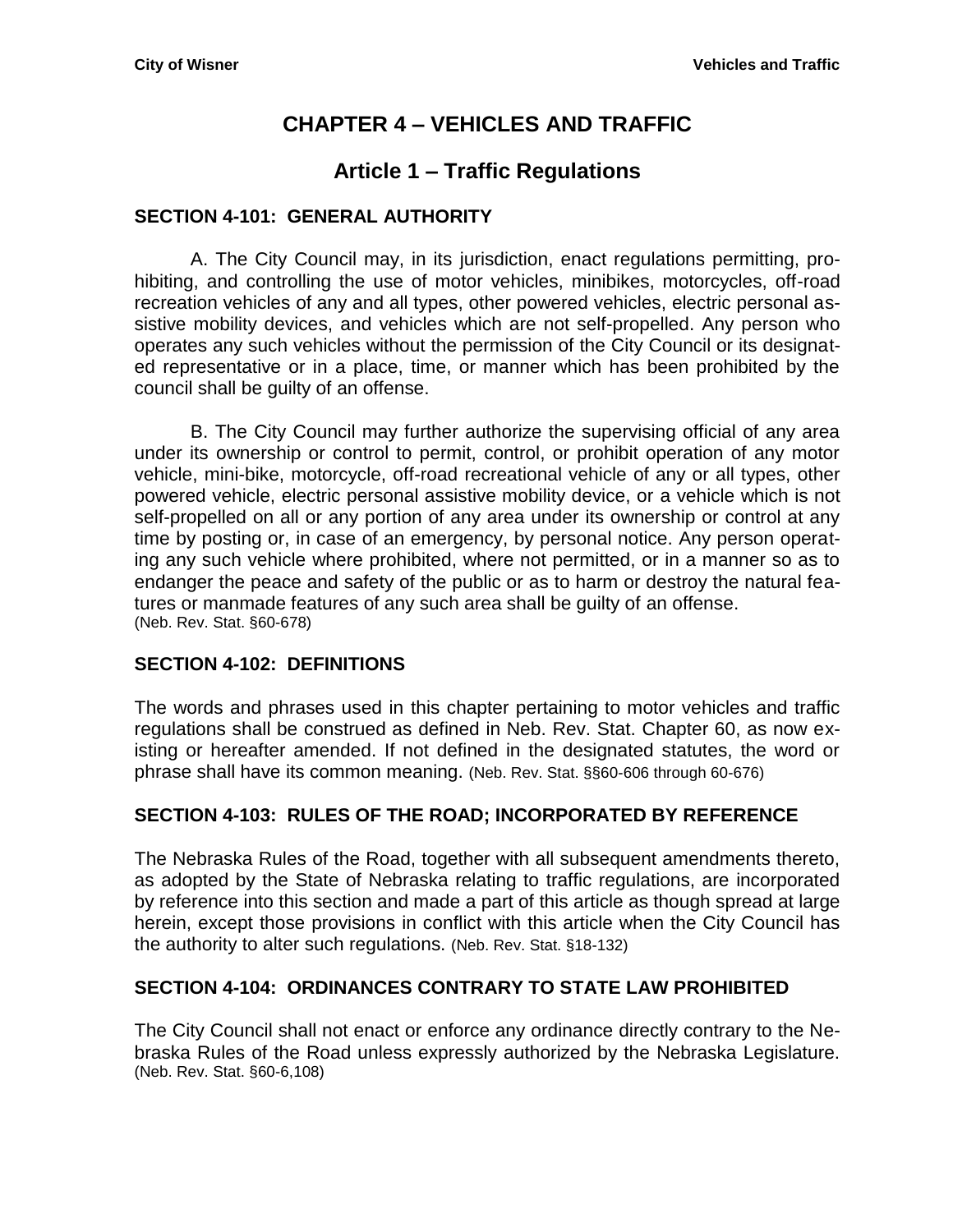# **CHAPTER 4 – VEHICLES AND TRAFFIC**

# **Article 1 – Traffic Regulations**

## <span id="page-4-2"></span><span id="page-4-1"></span><span id="page-4-0"></span>**SECTION 4-101: GENERAL AUTHORITY**

A. The City Council may, in its jurisdiction, enact regulations permitting, prohibiting, and controlling the use of motor vehicles, minibikes, motorcycles, off-road recreation vehicles of any and all types, other powered vehicles, electric personal assistive mobility devices, and vehicles which are not self-propelled. Any person who operates any such vehicles without the permission of the City Council or its designated representative or in a place, time, or manner which has been prohibited by the council shall be guilty of an offense.

B. The City Council may further authorize the supervising official of any area under its ownership or control to permit, control, or prohibit operation of any motor vehicle, mini-bike, motorcycle, off-road recreational vehicle of any or all types, other powered vehicle, electric personal assistive mobility device, or a vehicle which is not self-propelled on all or any portion of any area under its ownership or control at any time by posting or, in case of an emergency, by personal notice. Any person operating any such vehicle where prohibited, where not permitted, or in a manner so as to endanger the peace and safety of the public or as to harm or destroy the natural features or manmade features of any such area shall be guilty of an offense. (Neb. Rev. Stat. §60-678)

## <span id="page-4-3"></span>**SECTION 4-102: DEFINITIONS**

The words and phrases used in this chapter pertaining to motor vehicles and traffic regulations shall be construed as defined in Neb. Rev. Stat. Chapter 60, as now existing or hereafter amended. If not defined in the designated statutes, the word or phrase shall have its common meaning. (Neb. Rev. Stat. §§60-606 through 60-676)

## <span id="page-4-4"></span>**SECTION 4-103: RULES OF THE ROAD; INCORPORATED BY REFERENCE**

The Nebraska Rules of the Road, together with all subsequent amendments thereto, as adopted by the State of Nebraska relating to traffic regulations, are incorporated by reference into this section and made a part of this article as though spread at large herein, except those provisions in conflict with this article when the City Council has the authority to alter such regulations. (Neb. Rev. Stat. §18-132)

## <span id="page-4-5"></span>**SECTION 4-104: ORDINANCES CONTRARY TO STATE LAW PROHIBITED**

The City Council shall not enact or enforce any ordinance directly contrary to the Nebraska Rules of the Road unless expressly authorized by the Nebraska Legislature. (Neb. Rev. Stat. §60-6,108)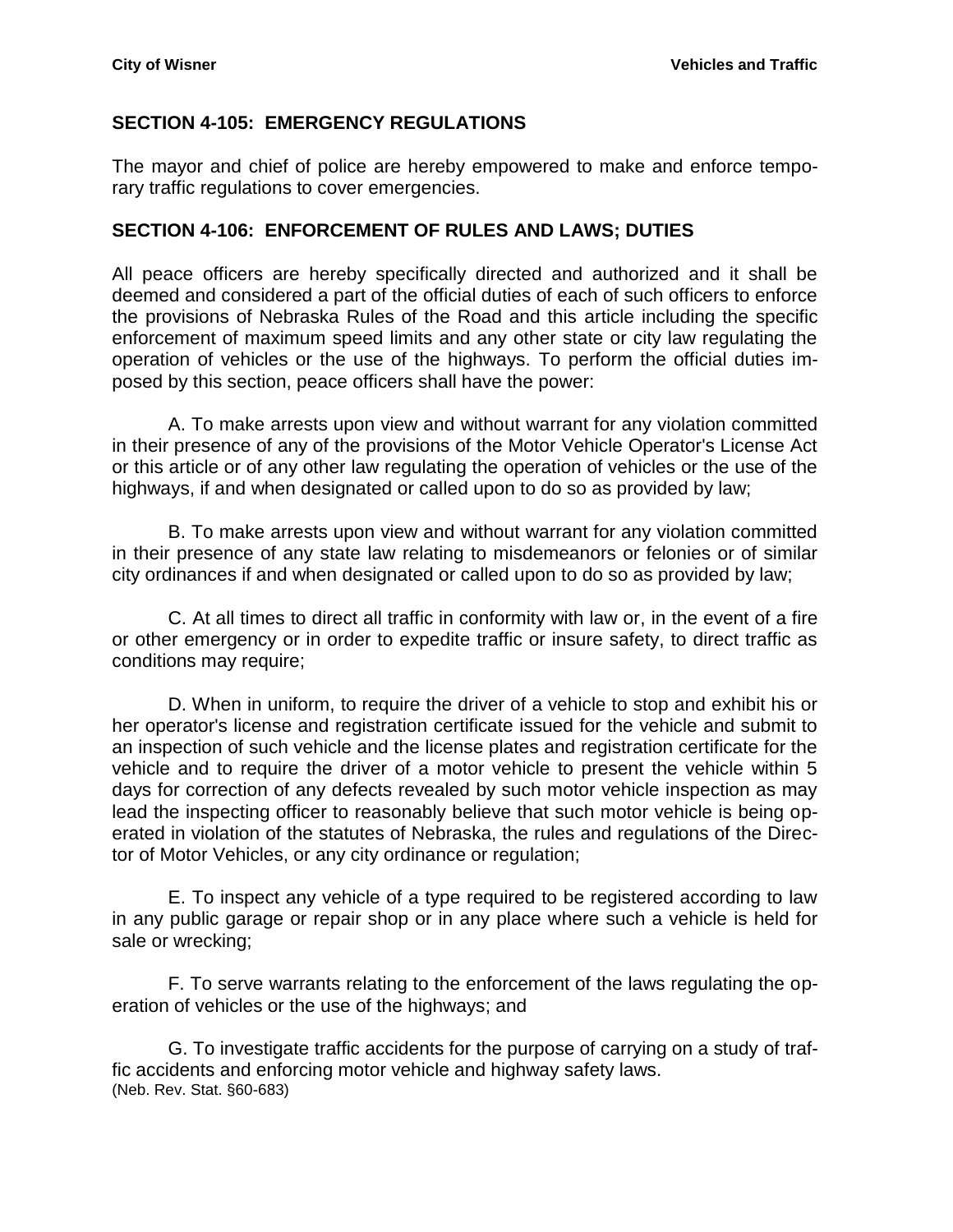## <span id="page-5-0"></span>**SECTION 4-105: EMERGENCY REGULATIONS**

The mayor and chief of police are hereby empowered to make and enforce temporary traffic regulations to cover emergencies.

#### <span id="page-5-1"></span>**SECTION 4-106: ENFORCEMENT OF RULES AND LAWS; DUTIES**

All peace officers are hereby specifically directed and authorized and it shall be deemed and considered a part of the official duties of each of such officers to enforce the provisions of Nebraska Rules of the Road and this article including the specific enforcement of maximum speed limits and any other state or city law regulating the operation of vehicles or the use of the highways. To perform the official duties imposed by this section, peace officers shall have the power:

A. To make arrests upon view and without warrant for any violation committed in their presence of any of the provisions of the Motor Vehicle Operator's License Act or this article or of any other law regulating the operation of vehicles or the use of the highways, if and when designated or called upon to do so as provided by law;

B. To make arrests upon view and without warrant for any violation committed in their presence of any state law relating to misdemeanors or felonies or of similar city ordinances if and when designated or called upon to do so as provided by law;

C. At all times to direct all traffic in conformity with law or, in the event of a fire or other emergency or in order to expedite traffic or insure safety, to direct traffic as conditions may require;

D. When in uniform, to require the driver of a vehicle to stop and exhibit his or her operator's license and registration certificate issued for the vehicle and submit to an inspection of such vehicle and the license plates and registration certificate for the vehicle and to require the driver of a motor vehicle to present the vehicle within 5 days for correction of any defects revealed by such motor vehicle inspection as may lead the inspecting officer to reasonably believe that such motor vehicle is being operated in violation of the statutes of Nebraska, the rules and regulations of the Director of Motor Vehicles, or any city ordinance or regulation;

E. To inspect any vehicle of a type required to be registered according to law in any public garage or repair shop or in any place where such a vehicle is held for sale or wrecking;

F. To serve warrants relating to the enforcement of the laws regulating the operation of vehicles or the use of the highways; and

G. To investigate traffic accidents for the purpose of carrying on a study of traffic accidents and enforcing motor vehicle and highway safety laws. (Neb. Rev. Stat. §60-683)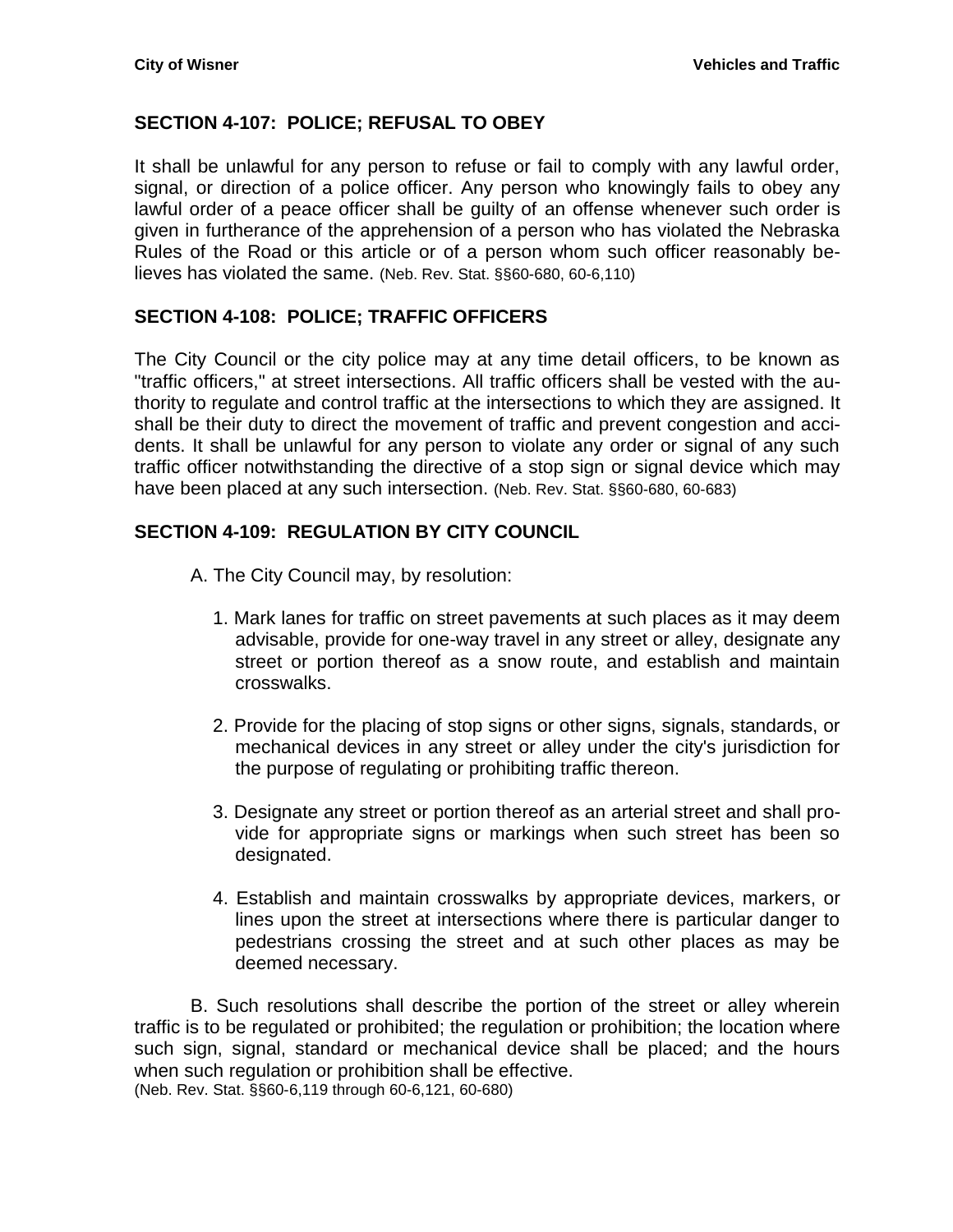## <span id="page-6-0"></span>**SECTION 4-107: POLICE; REFUSAL TO OBEY**

It shall be unlawful for any person to refuse or fail to comply with any lawful order, signal, or direction of a police officer. Any person who knowingly fails to obey any lawful order of a peace officer shall be guilty of an offense whenever such order is given in furtherance of the apprehension of a person who has violated the Nebraska Rules of the Road or this article or of a person whom such officer reasonably believes has violated the same. (Neb. Rev. Stat. §§60-680, 60-6,110)

## <span id="page-6-1"></span>**SECTION 4-108: POLICE; TRAFFIC OFFICERS**

The City Council or the city police may at any time detail officers, to be known as "traffic officers," at street intersections. All traffic officers shall be vested with the authority to regulate and control traffic at the intersections to which they are assigned. It shall be their duty to direct the movement of traffic and prevent congestion and accidents. It shall be unlawful for any person to violate any order or signal of any such traffic officer notwithstanding the directive of a stop sign or signal device which may have been placed at any such intersection. (Neb. Rev. Stat. §§60-680, 60-683)

## <span id="page-6-2"></span>**SECTION 4-109: REGULATION BY CITY COUNCIL**

- A. The City Council may, by resolution:
	- 1. Mark lanes for traffic on street pavements at such places as it may deem advisable, provide for one-way travel in any street or alley, designate any street or portion thereof as a snow route, and establish and maintain crosswalks.
	- 2. Provide for the placing of stop signs or other signs, signals, standards, or mechanical devices in any street or alley under the city's jurisdiction for the purpose of regulating or prohibiting traffic thereon.
	- 3. Designate any street or portion thereof as an arterial street and shall provide for appropriate signs or markings when such street has been so designated.
	- 4. Establish and maintain crosswalks by appropriate devices, markers, or lines upon the street at intersections where there is particular danger to pedestrians crossing the street and at such other places as may be deemed necessary.

B. Such resolutions shall describe the portion of the street or alley wherein traffic is to be regulated or prohibited; the regulation or prohibition; the location where such sign, signal, standard or mechanical device shall be placed; and the hours when such regulation or prohibition shall be effective. (Neb. Rev. Stat. §§60-6,119 through 60-6,121, 60-680)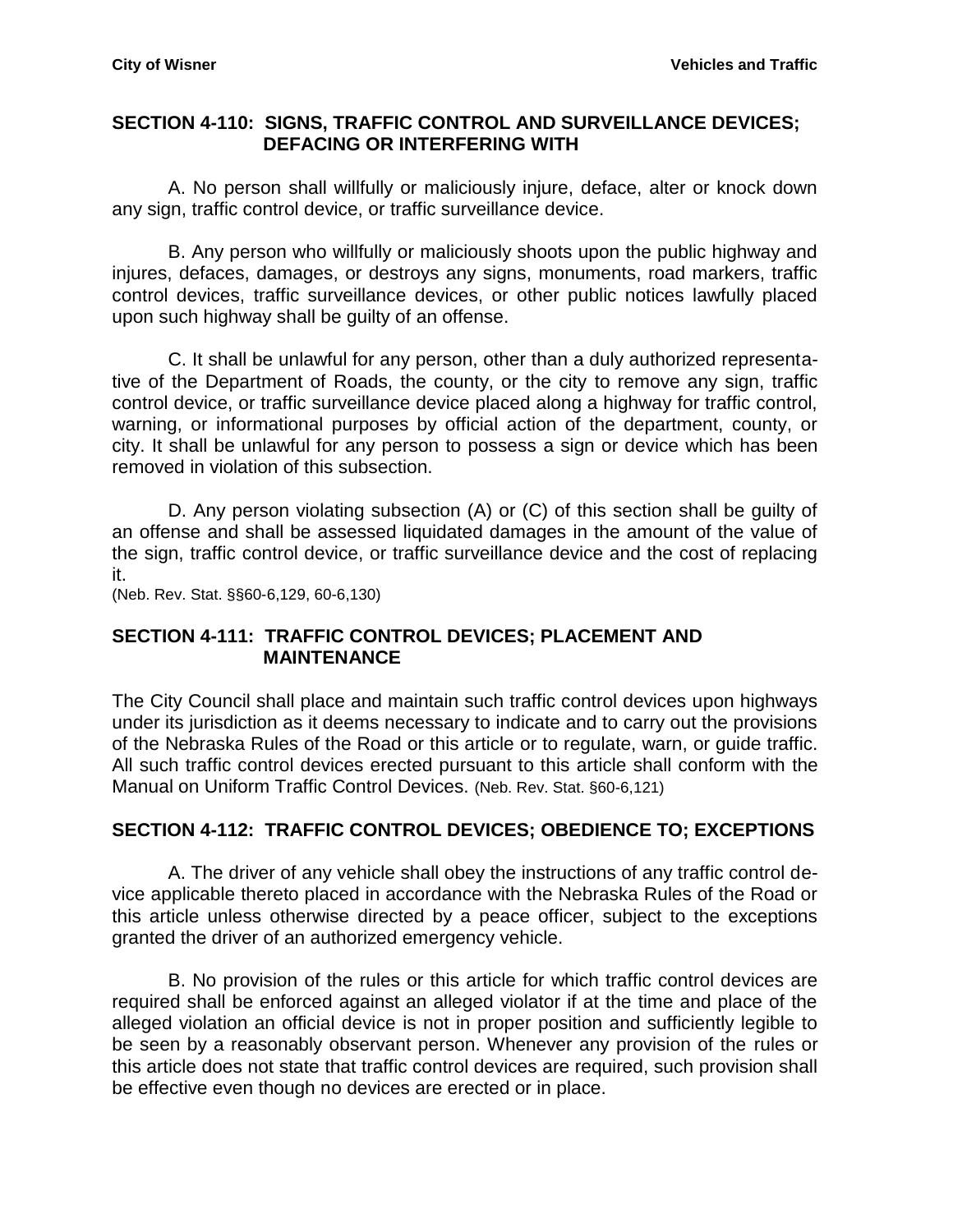#### <span id="page-7-0"></span>**SECTION 4-110: SIGNS, TRAFFIC CONTROL AND SURVEILLANCE DEVICES; DEFACING OR INTERFERING WITH**

A. No person shall willfully or maliciously injure, deface, alter or knock down any sign, traffic control device, or traffic surveillance device.

B. Any person who willfully or maliciously shoots upon the public highway and injures, defaces, damages, or destroys any signs, monuments, road markers, traffic control devices, traffic surveillance devices, or other public notices lawfully placed upon such highway shall be guilty of an offense.

C. It shall be unlawful for any person, other than a duly authorized representative of the Department of Roads, the county, or the city to remove any sign, traffic control device, or traffic surveillance device placed along a highway for traffic control, warning, or informational purposes by official action of the department, county, or city. It shall be unlawful for any person to possess a sign or device which has been removed in violation of this subsection.

D. Any person violating subsection (A) or (C) of this section shall be guilty of an offense and shall be assessed liquidated damages in the amount of the value of the sign, traffic control device, or traffic surveillance device and the cost of replacing it.

(Neb. Rev. Stat. §§60-6,129, 60-6,130)

## <span id="page-7-1"></span>**SECTION 4-111: TRAFFIC CONTROL DEVICES; PLACEMENT AND MAINTENANCE**

The City Council shall place and maintain such traffic control devices upon highways under its jurisdiction as it deems necessary to indicate and to carry out the provisions of the Nebraska Rules of the Road or this article or to regulate, warn, or guide traffic. All such traffic control devices erected pursuant to this article shall conform with the Manual on Uniform Traffic Control Devices. (Neb. Rev. Stat. §60-6,121)

## <span id="page-7-2"></span>**SECTION 4-112: TRAFFIC CONTROL DEVICES; OBEDIENCE TO; EXCEPTIONS**

A. The driver of any vehicle shall obey the instructions of any traffic control device applicable thereto placed in accordance with the Nebraska Rules of the Road or this article unless otherwise directed by a peace officer, subject to the exceptions granted the driver of an authorized emergency vehicle.

B. No provision of the rules or this article for which traffic control devices are required shall be enforced against an alleged violator if at the time and place of the alleged violation an official device is not in proper position and sufficiently legible to be seen by a reasonably observant person. Whenever any provision of the rules or this article does not state that traffic control devices are required, such provision shall be effective even though no devices are erected or in place.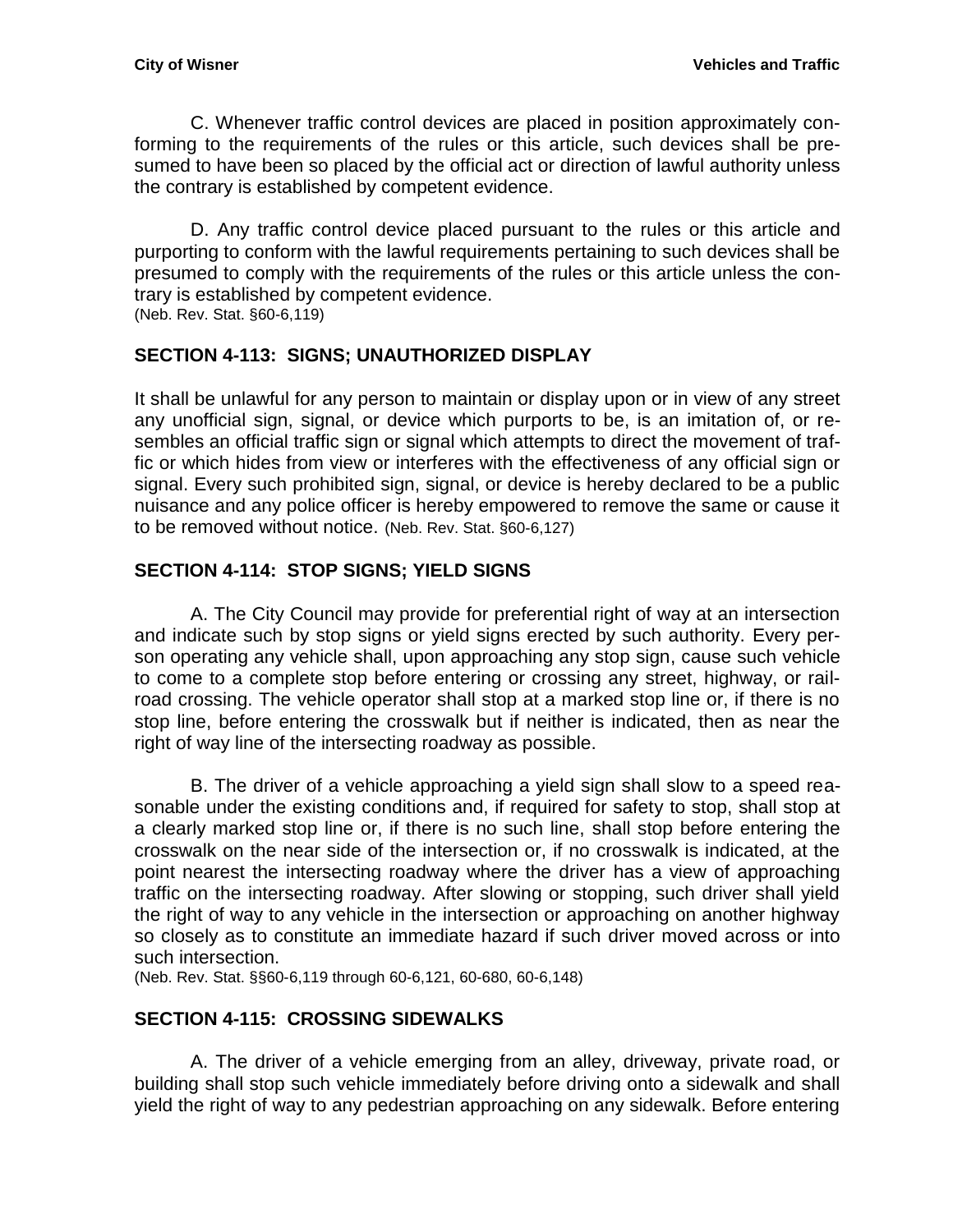C. Whenever traffic control devices are placed in position approximately conforming to the requirements of the rules or this article, such devices shall be presumed to have been so placed by the official act or direction of lawful authority unless the contrary is established by competent evidence.

D. Any traffic control device placed pursuant to the rules or this article and purporting to conform with the lawful requirements pertaining to such devices shall be presumed to comply with the requirements of the rules or this article unless the contrary is established by competent evidence.

(Neb. Rev. Stat. §60-6,119)

## <span id="page-8-0"></span>**SECTION 4-113: SIGNS; UNAUTHORIZED DISPLAY**

It shall be unlawful for any person to maintain or display upon or in view of any street any unofficial sign, signal, or device which purports to be, is an imitation of, or resembles an official traffic sign or signal which attempts to direct the movement of traffic or which hides from view or interferes with the effectiveness of any official sign or signal. Every such prohibited sign, signal, or device is hereby declared to be a public nuisance and any police officer is hereby empowered to remove the same or cause it to be removed without notice. (Neb. Rev. Stat. §60-6,127)

## <span id="page-8-1"></span>**SECTION 4-114: STOP SIGNS; YIELD SIGNS**

A. The City Council may provide for preferential right of way at an intersection and indicate such by stop signs or yield signs erected by such authority. Every person operating any vehicle shall, upon approaching any stop sign, cause such vehicle to come to a complete stop before entering or crossing any street, highway, or railroad crossing. The vehicle operator shall stop at a marked stop line or, if there is no stop line, before entering the crosswalk but if neither is indicated, then as near the right of way line of the intersecting roadway as possible.

B. The driver of a vehicle approaching a yield sign shall slow to a speed reasonable under the existing conditions and, if required for safety to stop, shall stop at a clearly marked stop line or, if there is no such line, shall stop before entering the crosswalk on the near side of the intersection or, if no crosswalk is indicated, at the point nearest the intersecting roadway where the driver has a view of approaching traffic on the intersecting roadway. After slowing or stopping, such driver shall yield the right of way to any vehicle in the intersection or approaching on another highway so closely as to constitute an immediate hazard if such driver moved across or into such intersection.

(Neb. Rev. Stat. §§60-6,119 through 60-6,121, 60-680, 60-6,148)

## <span id="page-8-2"></span>**SECTION 4-115: CROSSING SIDEWALKS**

A. The driver of a vehicle emerging from an alley, driveway, private road, or building shall stop such vehicle immediately before driving onto a sidewalk and shall yield the right of way to any pedestrian approaching on any sidewalk. Before entering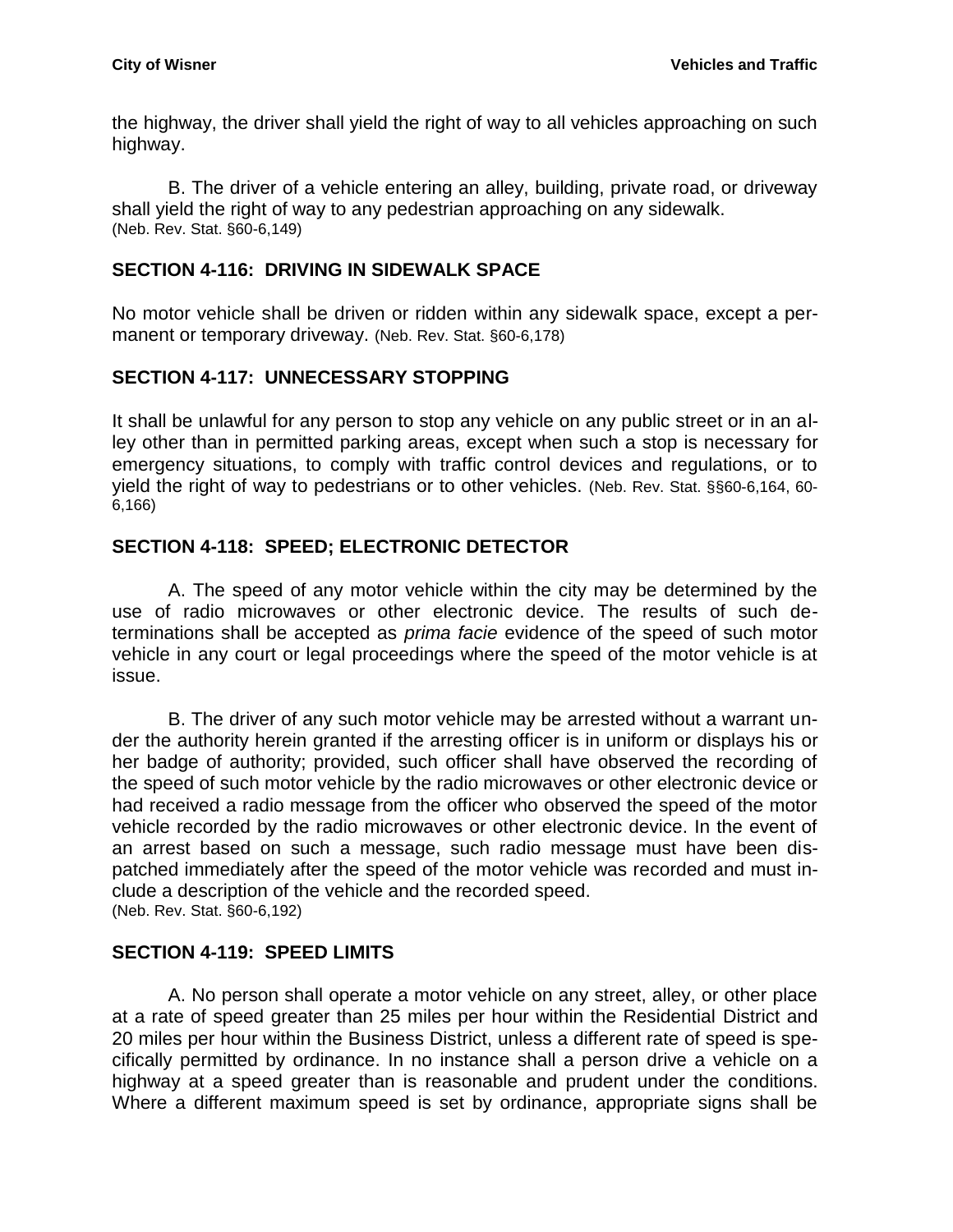the highway, the driver shall yield the right of way to all vehicles approaching on such highway.

B. The driver of a vehicle entering an alley, building, private road, or driveway shall yield the right of way to any pedestrian approaching on any sidewalk. (Neb. Rev. Stat. §60-6,149)

## <span id="page-9-0"></span>**SECTION 4-116: DRIVING IN SIDEWALK SPACE**

No motor vehicle shall be driven or ridden within any sidewalk space, except a permanent or temporary driveway. (Neb. Rev. Stat. §60-6,178)

# <span id="page-9-1"></span>**SECTION 4-117: UNNECESSARY STOPPING**

It shall be unlawful for any person to stop any vehicle on any public street or in an alley other than in permitted parking areas, except when such a stop is necessary for emergency situations, to comply with traffic control devices and regulations, or to yield the right of way to pedestrians or to other vehicles. (Neb. Rev. Stat. §§60-6,164, 60- 6,166)

## <span id="page-9-2"></span>**SECTION 4-118: SPEED; ELECTRONIC DETECTOR**

A. The speed of any motor vehicle within the city may be determined by the use of radio microwaves or other electronic device. The results of such determinations shall be accepted as *prima facie* evidence of the speed of such motor vehicle in any court or legal proceedings where the speed of the motor vehicle is at issue.

B. The driver of any such motor vehicle may be arrested without a warrant under the authority herein granted if the arresting officer is in uniform or displays his or her badge of authority; provided, such officer shall have observed the recording of the speed of such motor vehicle by the radio microwaves or other electronic device or had received a radio message from the officer who observed the speed of the motor vehicle recorded by the radio microwaves or other electronic device. In the event of an arrest based on such a message, such radio message must have been dispatched immediately after the speed of the motor vehicle was recorded and must include a description of the vehicle and the recorded speed. (Neb. Rev. Stat. §60-6,192)

# <span id="page-9-3"></span>**SECTION 4-119: SPEED LIMITS**

A. No person shall operate a motor vehicle on any street, alley, or other place at a rate of speed greater than 25 miles per hour within the Residential District and 20 miles per hour within the Business District, unless a different rate of speed is specifically permitted by ordinance. In no instance shall a person drive a vehicle on a highway at a speed greater than is reasonable and prudent under the conditions. Where a different maximum speed is set by ordinance, appropriate signs shall be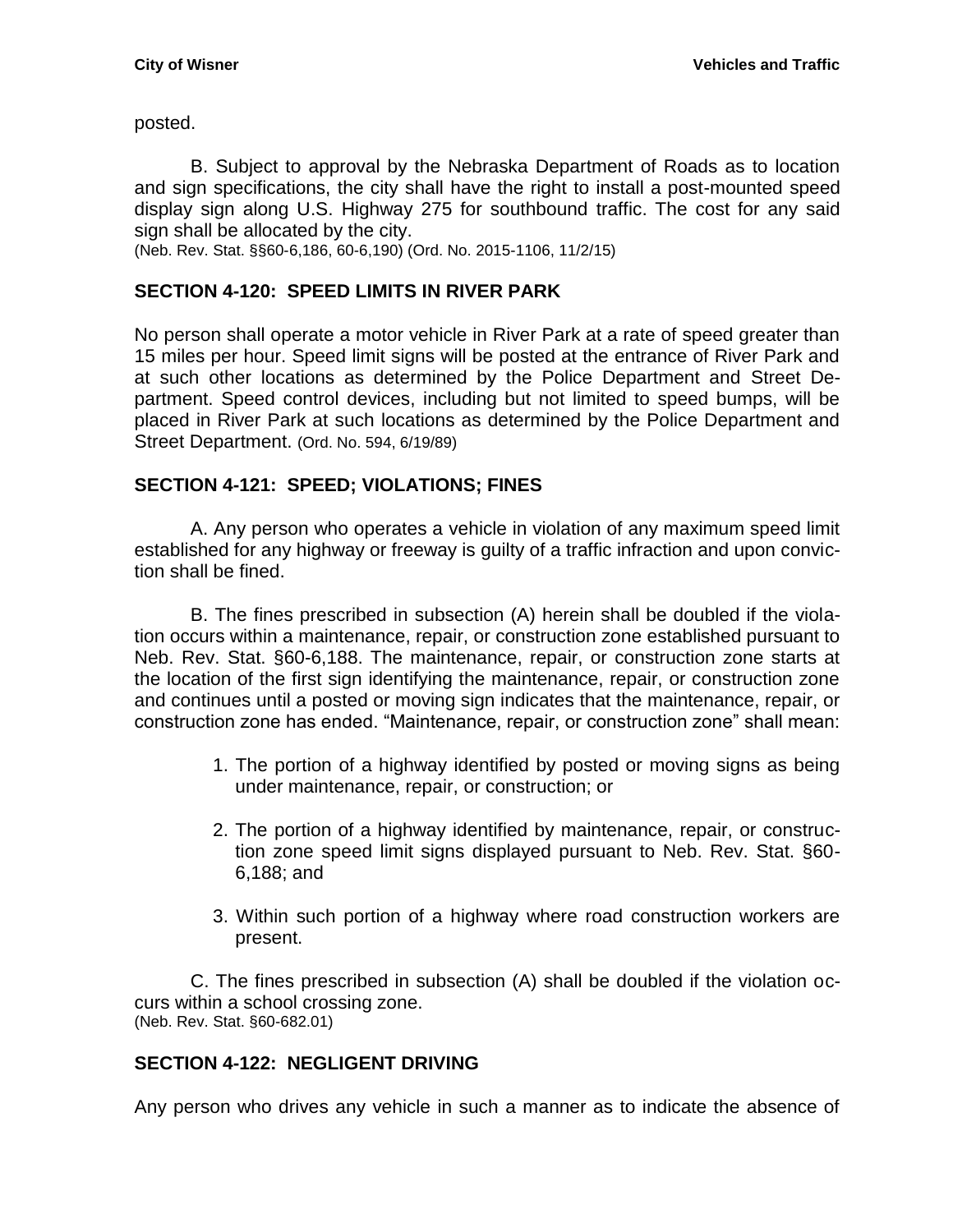posted.

B. Subject to approval by the Nebraska Department of Roads as to location and sign specifications, the city shall have the right to install a post-mounted speed display sign along U.S. Highway 275 for southbound traffic. The cost for any said sign shall be allocated by the city.

(Neb. Rev. Stat. §§60-6,186, 60-6,190) (Ord. No. 2015-1106, 11/2/15)

## <span id="page-10-0"></span>**SECTION 4-120: SPEED LIMITS IN RIVER PARK**

No person shall operate a motor vehicle in River Park at a rate of speed greater than 15 miles per hour. Speed limit signs will be posted at the entrance of River Park and at such other locations as determined by the Police Department and Street Department. Speed control devices, including but not limited to speed bumps, will be placed in River Park at such locations as determined by the Police Department and Street Department. (Ord. No. 594, 6/19/89)

## <span id="page-10-1"></span>**SECTION 4-121: SPEED; VIOLATIONS; FINES**

A. Any person who operates a vehicle in violation of any maximum speed limit established for any highway or freeway is guilty of a traffic infraction and upon conviction shall be fined.

B. The fines prescribed in subsection (A) herein shall be doubled if the violation occurs within a maintenance, repair, or construction zone established pursuant to Neb. Rev. Stat. §60-6,188. The maintenance, repair, or construction zone starts at the location of the first sign identifying the maintenance, repair, or construction zone and continues until a posted or moving sign indicates that the maintenance, repair, or construction zone has ended. "Maintenance, repair, or construction zone" shall mean:

- 1. The portion of a highway identified by posted or moving signs as being under maintenance, repair, or construction; or
- 2. The portion of a highway identified by maintenance, repair, or construction zone speed limit signs displayed pursuant to Neb. Rev. Stat. §60- 6,188; and
- 3. Within such portion of a highway where road construction workers are present.

C. The fines prescribed in subsection (A) shall be doubled if the violation occurs within a school crossing zone. (Neb. Rev. Stat. §60-682.01)

#### <span id="page-10-2"></span>**SECTION 4-122: NEGLIGENT DRIVING**

Any person who drives any vehicle in such a manner as to indicate the absence of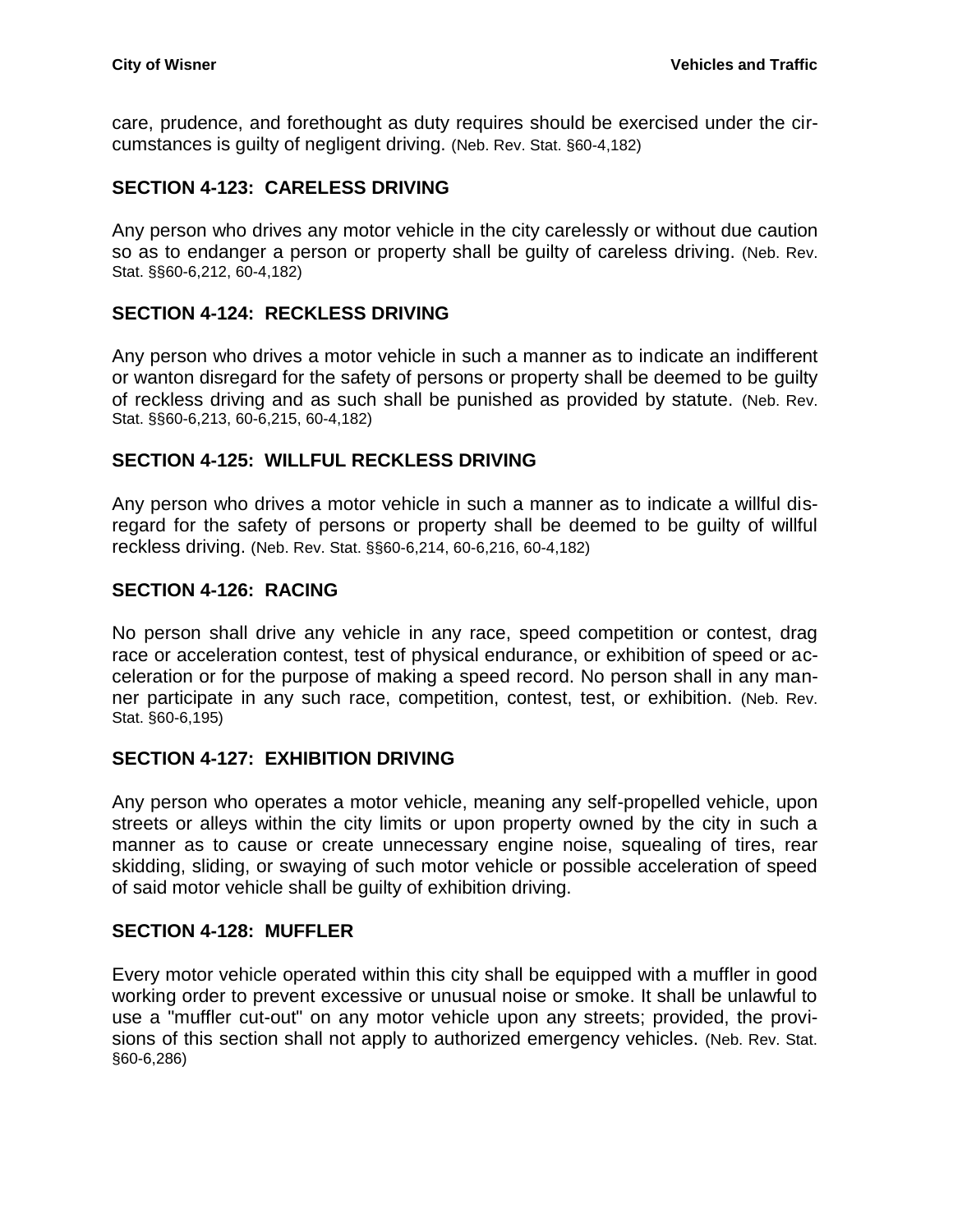care, prudence, and forethought as duty requires should be exercised under the circumstances is guilty of negligent driving. (Neb. Rev. Stat. §60-4,182)

## <span id="page-11-0"></span>**SECTION 4-123: CARELESS DRIVING**

Any person who drives any motor vehicle in the city carelessly or without due caution so as to endanger a person or property shall be guilty of careless driving. (Neb. Rev. Stat. §§60-6,212, 60-4,182)

#### <span id="page-11-1"></span>**SECTION 4-124: RECKLESS DRIVING**

Any person who drives a motor vehicle in such a manner as to indicate an indifferent or wanton disregard for the safety of persons or property shall be deemed to be guilty of reckless driving and as such shall be punished as provided by statute. (Neb. Rev. Stat. §§60-6,213, 60-6,215, 60-4,182)

## <span id="page-11-2"></span>**SECTION 4-125: WILLFUL RECKLESS DRIVING**

Any person who drives a motor vehicle in such a manner as to indicate a willful disregard for the safety of persons or property shall be deemed to be guilty of willful reckless driving. (Neb. Rev. Stat. §§60-6,214, 60-6,216, 60-4,182)

## <span id="page-11-3"></span>**SECTION 4-126: RACING**

No person shall drive any vehicle in any race, speed competition or contest, drag race or acceleration contest, test of physical endurance, or exhibition of speed or acceleration or for the purpose of making a speed record. No person shall in any manner participate in any such race, competition, contest, test, or exhibition. (Neb. Rev. Stat. §60-6,195)

#### <span id="page-11-4"></span>**SECTION 4-127: EXHIBITION DRIVING**

Any person who operates a motor vehicle, meaning any self-propelled vehicle, upon streets or alleys within the city limits or upon property owned by the city in such a manner as to cause or create unnecessary engine noise, squealing of tires, rear skidding, sliding, or swaying of such motor vehicle or possible acceleration of speed of said motor vehicle shall be guilty of exhibition driving.

#### <span id="page-11-5"></span>**SECTION 4-128: MUFFLER**

Every motor vehicle operated within this city shall be equipped with a muffler in good working order to prevent excessive or unusual noise or smoke. It shall be unlawful to use a "muffler cut-out" on any motor vehicle upon any streets; provided, the provisions of this section shall not apply to authorized emergency vehicles. (Neb. Rev. Stat. §60-6,286)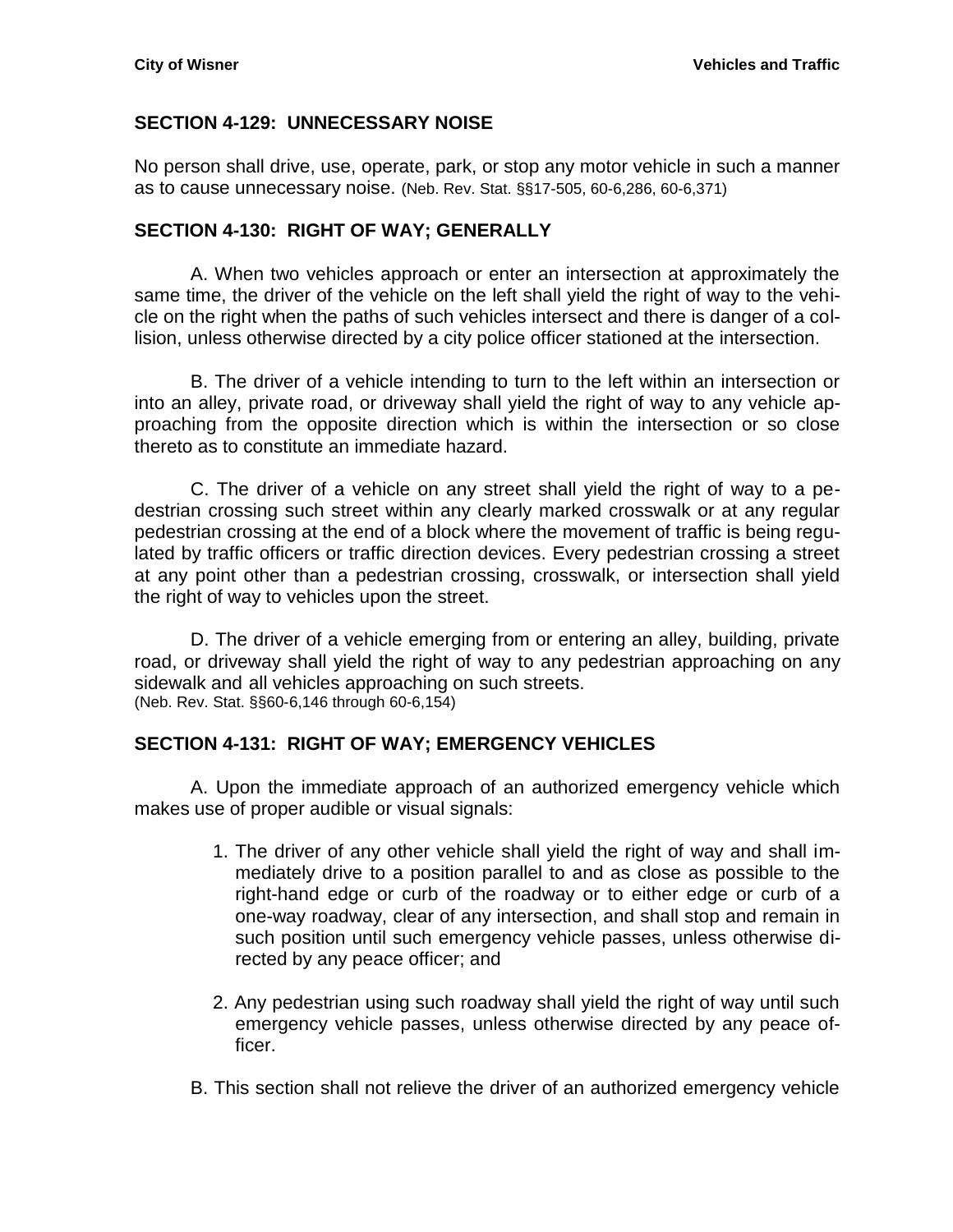#### <span id="page-12-0"></span>**SECTION 4-129: UNNECESSARY NOISE**

No person shall drive, use, operate, park, or stop any motor vehicle in such a manner as to cause unnecessary noise. (Neb. Rev. Stat. §§17-505, 60-6,286, 60-6,371)

#### <span id="page-12-1"></span>**SECTION 4-130: RIGHT OF WAY; GENERALLY**

A. When two vehicles approach or enter an intersection at approximately the same time, the driver of the vehicle on the left shall yield the right of way to the vehicle on the right when the paths of such vehicles intersect and there is danger of a collision, unless otherwise directed by a city police officer stationed at the intersection.

B. The driver of a vehicle intending to turn to the left within an intersection or into an alley, private road, or driveway shall yield the right of way to any vehicle approaching from the opposite direction which is within the intersection or so close thereto as to constitute an immediate hazard.

C. The driver of a vehicle on any street shall yield the right of way to a pedestrian crossing such street within any clearly marked crosswalk or at any regular pedestrian crossing at the end of a block where the movement of traffic is being regulated by traffic officers or traffic direction devices. Every pedestrian crossing a street at any point other than a pedestrian crossing, crosswalk, or intersection shall yield the right of way to vehicles upon the street.

D. The driver of a vehicle emerging from or entering an alley, building, private road, or driveway shall yield the right of way to any pedestrian approaching on any sidewalk and all vehicles approaching on such streets. (Neb. Rev. Stat. §§60-6,146 through 60-6,154)

#### <span id="page-12-2"></span>**SECTION 4-131: RIGHT OF WAY; EMERGENCY VEHICLES**

A. Upon the immediate approach of an authorized emergency vehicle which makes use of proper audible or visual signals:

- 1. The driver of any other vehicle shall yield the right of way and shall immediately drive to a position parallel to and as close as possible to the right-hand edge or curb of the roadway or to either edge or curb of a one-way roadway, clear of any intersection, and shall stop and remain in such position until such emergency vehicle passes, unless otherwise directed by any peace officer; and
- 2. Any pedestrian using such roadway shall yield the right of way until such emergency vehicle passes, unless otherwise directed by any peace officer.
- B. This section shall not relieve the driver of an authorized emergency vehicle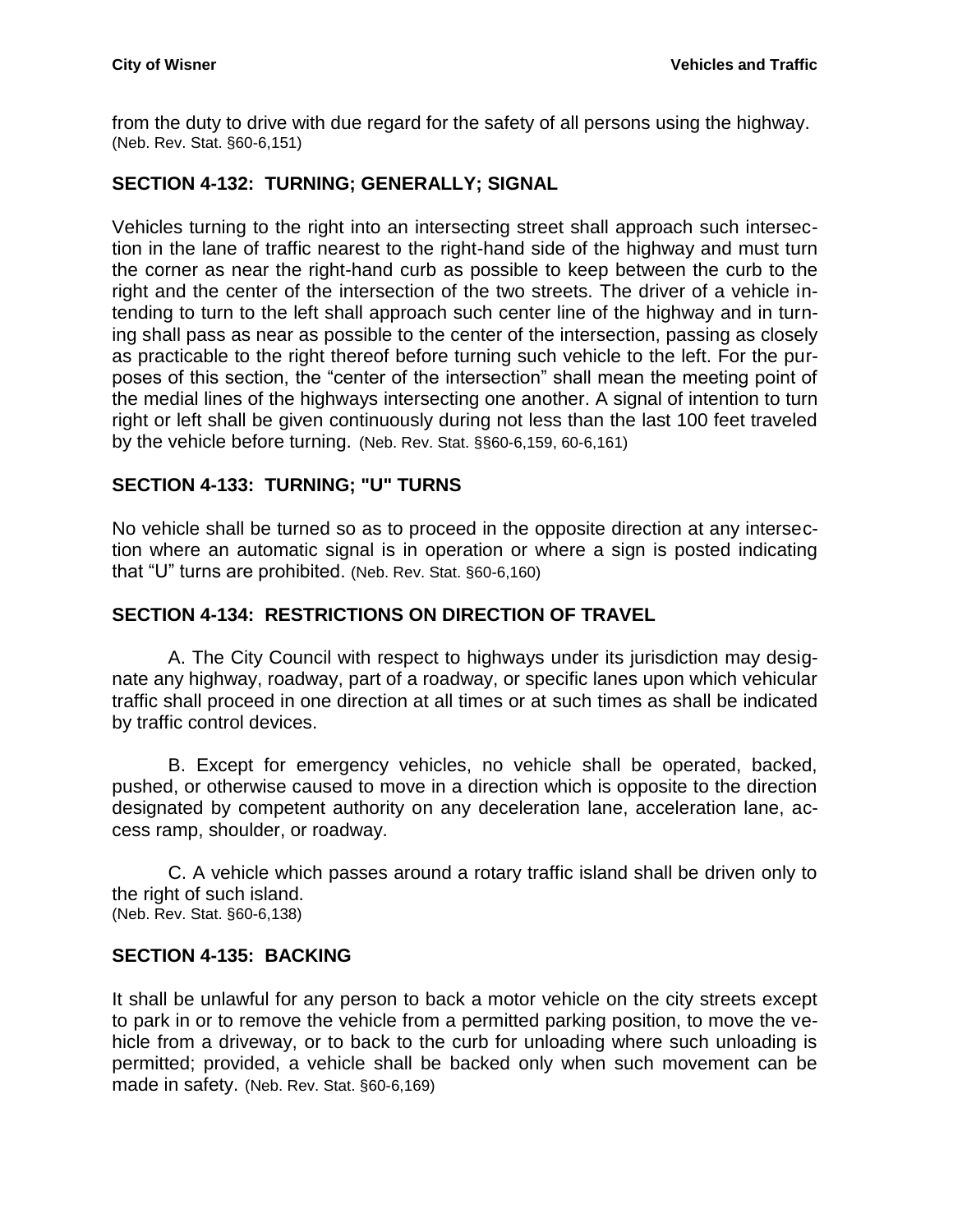from the duty to drive with due regard for the safety of all persons using the highway. (Neb. Rev. Stat. §60-6,151)

## <span id="page-13-0"></span>**SECTION 4-132: TURNING; GENERALLY; SIGNAL**

Vehicles turning to the right into an intersecting street shall approach such intersection in the lane of traffic nearest to the right-hand side of the highway and must turn the corner as near the right-hand curb as possible to keep between the curb to the right and the center of the intersection of the two streets. The driver of a vehicle intending to turn to the left shall approach such center line of the highway and in turning shall pass as near as possible to the center of the intersection, passing as closely as practicable to the right thereof before turning such vehicle to the left. For the purposes of this section, the "center of the intersection" shall mean the meeting point of the medial lines of the highways intersecting one another. A signal of intention to turn right or left shall be given continuously during not less than the last 100 feet traveled by the vehicle before turning. (Neb. Rev. Stat. §§60-6,159, 60-6,161)

## <span id="page-13-1"></span>**SECTION 4-133: TURNING; "U" TURNS**

No vehicle shall be turned so as to proceed in the opposite direction at any intersection where an automatic signal is in operation or where a sign is posted indicating that "U" turns are prohibited. (Neb. Rev. Stat. §60-6,160)

## <span id="page-13-2"></span>**SECTION 4-134: RESTRICTIONS ON DIRECTION OF TRAVEL**

A. The City Council with respect to highways under its jurisdiction may designate any highway, roadway, part of a roadway, or specific lanes upon which vehicular traffic shall proceed in one direction at all times or at such times as shall be indicated by traffic control devices.

B. Except for emergency vehicles, no vehicle shall be operated, backed, pushed, or otherwise caused to move in a direction which is opposite to the direction designated by competent authority on any deceleration lane, acceleration lane, access ramp, shoulder, or roadway.

C. A vehicle which passes around a rotary traffic island shall be driven only to the right of such island. (Neb. Rev. Stat. §60-6,138)

#### <span id="page-13-3"></span>**SECTION 4-135: BACKING**

It shall be unlawful for any person to back a motor vehicle on the city streets except to park in or to remove the vehicle from a permitted parking position, to move the vehicle from a driveway, or to back to the curb for unloading where such unloading is permitted; provided, a vehicle shall be backed only when such movement can be made in safety. (Neb. Rev. Stat. §60-6,169)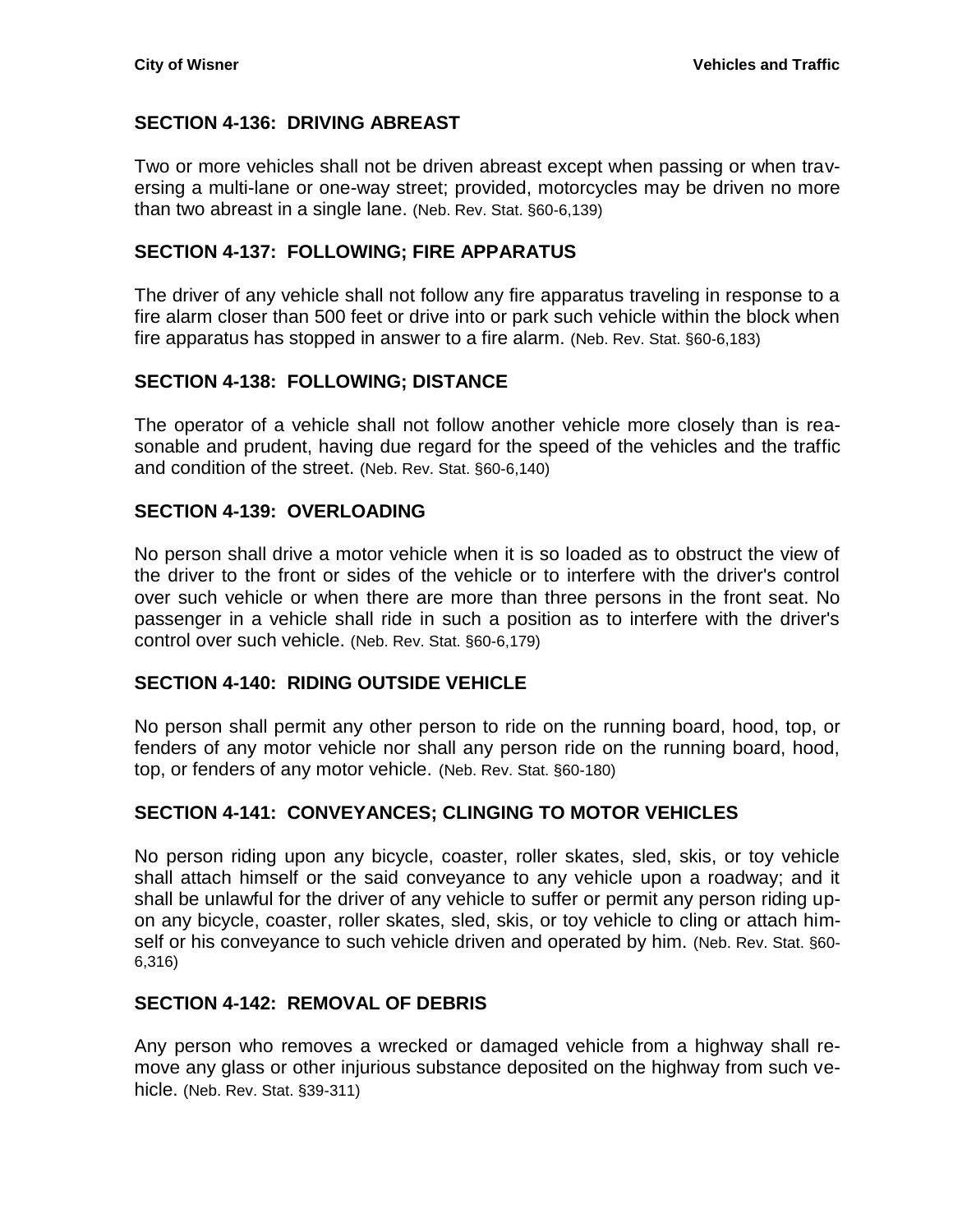## <span id="page-14-0"></span>**SECTION 4-136: DRIVING ABREAST**

Two or more vehicles shall not be driven abreast except when passing or when traversing a multi-lane or one-way street; provided, motorcycles may be driven no more than two abreast in a single lane. (Neb. Rev. Stat. §60-6,139)

#### <span id="page-14-1"></span>**SECTION 4-137: FOLLOWING; FIRE APPARATUS**

The driver of any vehicle shall not follow any fire apparatus traveling in response to a fire alarm closer than 500 feet or drive into or park such vehicle within the block when fire apparatus has stopped in answer to a fire alarm. (Neb. Rev. Stat. §60-6,183)

## <span id="page-14-2"></span>**SECTION 4-138: FOLLOWING; DISTANCE**

The operator of a vehicle shall not follow another vehicle more closely than is reasonable and prudent, having due regard for the speed of the vehicles and the traffic and condition of the street. (Neb. Rev. Stat. §60-6,140)

#### <span id="page-14-3"></span>**SECTION 4-139: OVERLOADING**

No person shall drive a motor vehicle when it is so loaded as to obstruct the view of the driver to the front or sides of the vehicle or to interfere with the driver's control over such vehicle or when there are more than three persons in the front seat. No passenger in a vehicle shall ride in such a position as to interfere with the driver's control over such vehicle. (Neb. Rev. Stat. §60-6,179)

#### <span id="page-14-4"></span>**SECTION 4-140: RIDING OUTSIDE VEHICLE**

No person shall permit any other person to ride on the running board, hood, top, or fenders of any motor vehicle nor shall any person ride on the running board, hood, top, or fenders of any motor vehicle. (Neb. Rev. Stat. §60-180)

## <span id="page-14-5"></span>**SECTION 4-141: CONVEYANCES; CLINGING TO MOTOR VEHICLES**

No person riding upon any bicycle, coaster, roller skates, sled, skis, or toy vehicle shall attach himself or the said conveyance to any vehicle upon a roadway; and it shall be unlawful for the driver of any vehicle to suffer or permit any person riding upon any bicycle, coaster, roller skates, sled, skis, or toy vehicle to cling or attach himself or his conveyance to such vehicle driven and operated by him. (Neb. Rev. Stat. §60-6,316)

#### <span id="page-14-6"></span>**SECTION 4-142: REMOVAL OF DEBRIS**

Any person who removes a wrecked or damaged vehicle from a highway shall remove any glass or other injurious substance deposited on the highway from such vehicle. (Neb. Rev. Stat. §39-311)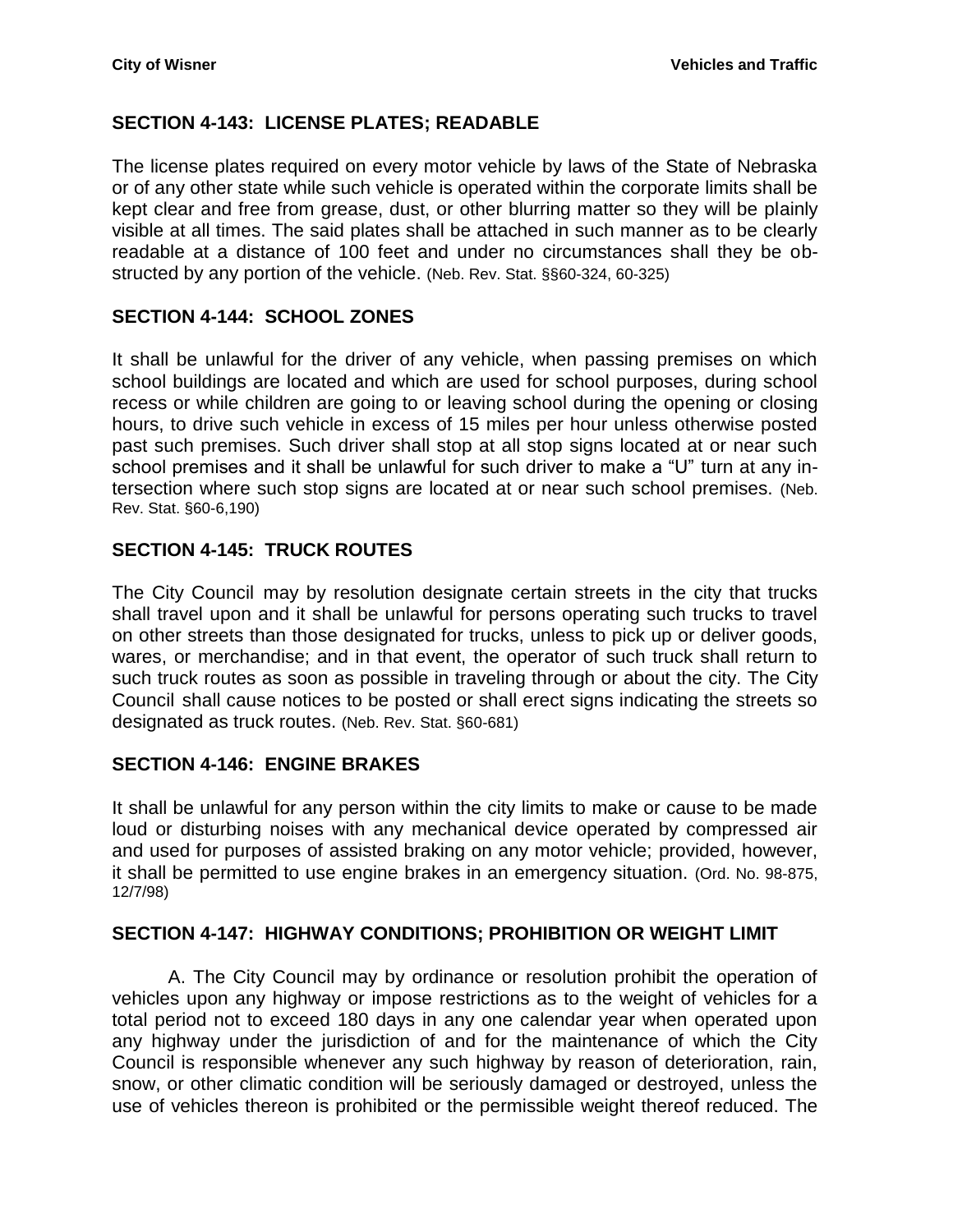## <span id="page-15-0"></span>**SECTION 4-143: LICENSE PLATES; READABLE**

The license plates required on every motor vehicle by laws of the State of Nebraska or of any other state while such vehicle is operated within the corporate limits shall be kept clear and free from grease, dust, or other blurring matter so they will be plainly visible at all times. The said plates shall be attached in such manner as to be clearly readable at a distance of 100 feet and under no circumstances shall they be obstructed by any portion of the vehicle. (Neb. Rev. Stat. §§60-324, 60-325)

## <span id="page-15-1"></span>**SECTION 4-144: SCHOOL ZONES**

It shall be unlawful for the driver of any vehicle, when passing premises on which school buildings are located and which are used for school purposes, during school recess or while children are going to or leaving school during the opening or closing hours, to drive such vehicle in excess of 15 miles per hour unless otherwise posted past such premises. Such driver shall stop at all stop signs located at or near such school premises and it shall be unlawful for such driver to make a "U" turn at any intersection where such stop signs are located at or near such school premises. (Neb. Rev. Stat. §60-6,190)

## <span id="page-15-2"></span>**SECTION 4-145: TRUCK ROUTES**

The City Council may by resolution designate certain streets in the city that trucks shall travel upon and it shall be unlawful for persons operating such trucks to travel on other streets than those designated for trucks, unless to pick up or deliver goods, wares, or merchandise; and in that event, the operator of such truck shall return to such truck routes as soon as possible in traveling through or about the city. The City Council shall cause notices to be posted or shall erect signs indicating the streets so designated as truck routes. (Neb. Rev. Stat. §60-681)

#### <span id="page-15-3"></span>**SECTION 4-146: ENGINE BRAKES**

It shall be unlawful for any person within the city limits to make or cause to be made loud or disturbing noises with any mechanical device operated by compressed air and used for purposes of assisted braking on any motor vehicle; provided, however, it shall be permitted to use engine brakes in an emergency situation. (Ord. No. 98-875, 12/7/98)

#### <span id="page-15-4"></span>**SECTION 4-147: HIGHWAY CONDITIONS; PROHIBITION OR WEIGHT LIMIT**

A. The City Council may by ordinance or resolution prohibit the operation of vehicles upon any highway or impose restrictions as to the weight of vehicles for a total period not to exceed 180 days in any one calendar year when operated upon any highway under the jurisdiction of and for the maintenance of which the City Council is responsible whenever any such highway by reason of deterioration, rain, snow, or other climatic condition will be seriously damaged or destroyed, unless the use of vehicles thereon is prohibited or the permissible weight thereof reduced. The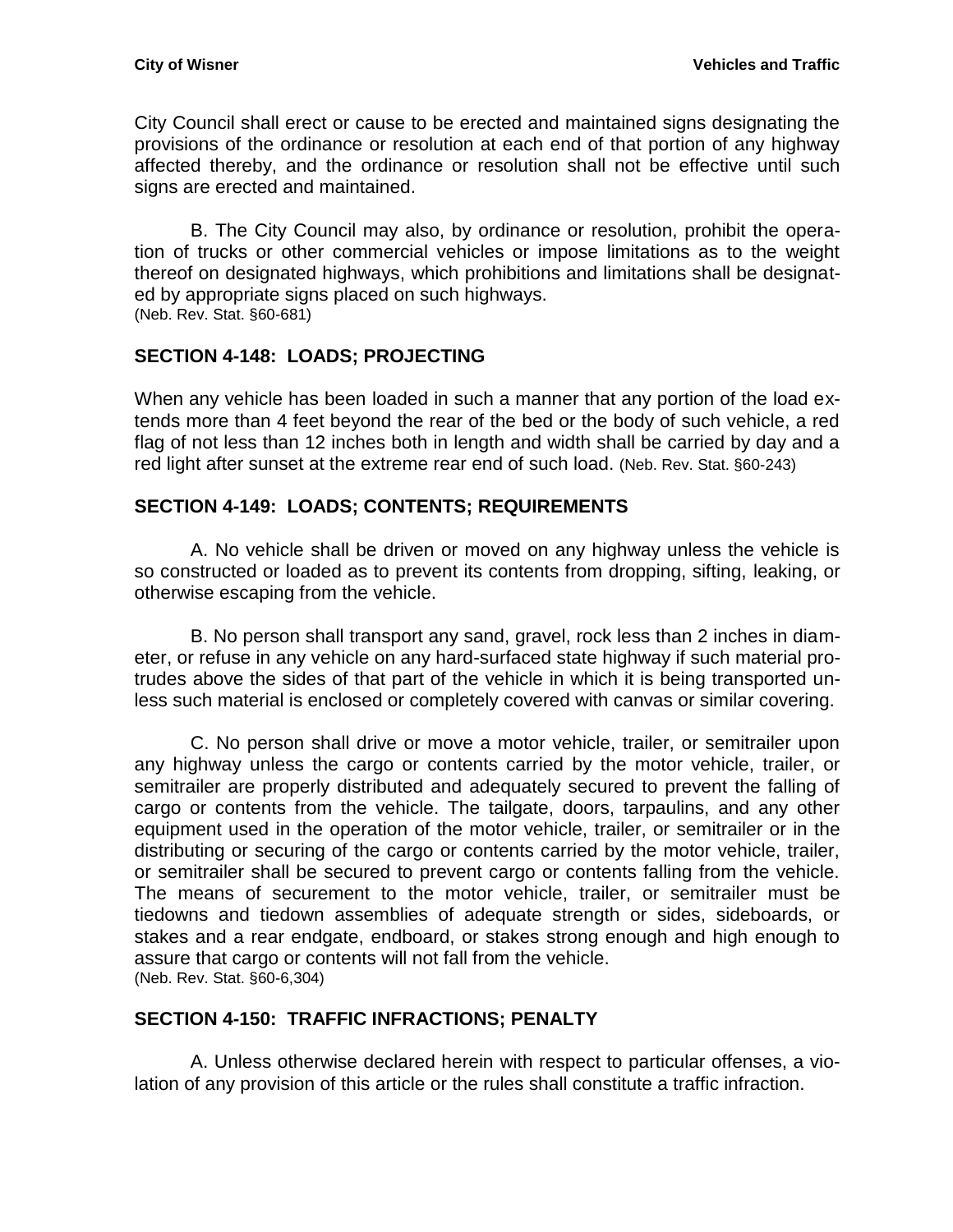City Council shall erect or cause to be erected and maintained signs designating the provisions of the ordinance or resolution at each end of that portion of any highway affected thereby, and the ordinance or resolution shall not be effective until such signs are erected and maintained.

B. The City Council may also, by ordinance or resolution, prohibit the operation of trucks or other commercial vehicles or impose limitations as to the weight thereof on designated highways, which prohibitions and limitations shall be designated by appropriate signs placed on such highways. (Neb. Rev. Stat. §60-681)

## <span id="page-16-0"></span>**SECTION 4-148: LOADS; PROJECTING**

When any vehicle has been loaded in such a manner that any portion of the load extends more than 4 feet beyond the rear of the bed or the body of such vehicle, a red flag of not less than 12 inches both in length and width shall be carried by day and a red light after sunset at the extreme rear end of such load. (Neb. Rev. Stat. §60-243)

## <span id="page-16-1"></span>**SECTION 4-149: LOADS; CONTENTS; REQUIREMENTS**

A. No vehicle shall be driven or moved on any highway unless the vehicle is so constructed or loaded as to prevent its contents from dropping, sifting, leaking, or otherwise escaping from the vehicle.

B. No person shall transport any sand, gravel, rock less than 2 inches in diameter, or refuse in any vehicle on any hard-surfaced state highway if such material protrudes above the sides of that part of the vehicle in which it is being transported unless such material is enclosed or completely covered with canvas or similar covering.

C. No person shall drive or move a motor vehicle, trailer, or semitrailer upon any highway unless the cargo or contents carried by the motor vehicle, trailer, or semitrailer are properly distributed and adequately secured to prevent the falling of cargo or contents from the vehicle. The tailgate, doors, tarpaulins, and any other equipment used in the operation of the motor vehicle, trailer, or semitrailer or in the distributing or securing of the cargo or contents carried by the motor vehicle, trailer, or semitrailer shall be secured to prevent cargo or contents falling from the vehicle. The means of securement to the motor vehicle, trailer, or semitrailer must be tiedowns and tiedown assemblies of adequate strength or sides, sideboards, or stakes and a rear endgate, endboard, or stakes strong enough and high enough to assure that cargo or contents will not fall from the vehicle. (Neb. Rev. Stat. §60-6,304)

#### <span id="page-16-2"></span>**SECTION 4-150: TRAFFIC INFRACTIONS; PENALTY**

A. Unless otherwise declared herein with respect to particular offenses, a violation of any provision of this article or the rules shall constitute a traffic infraction.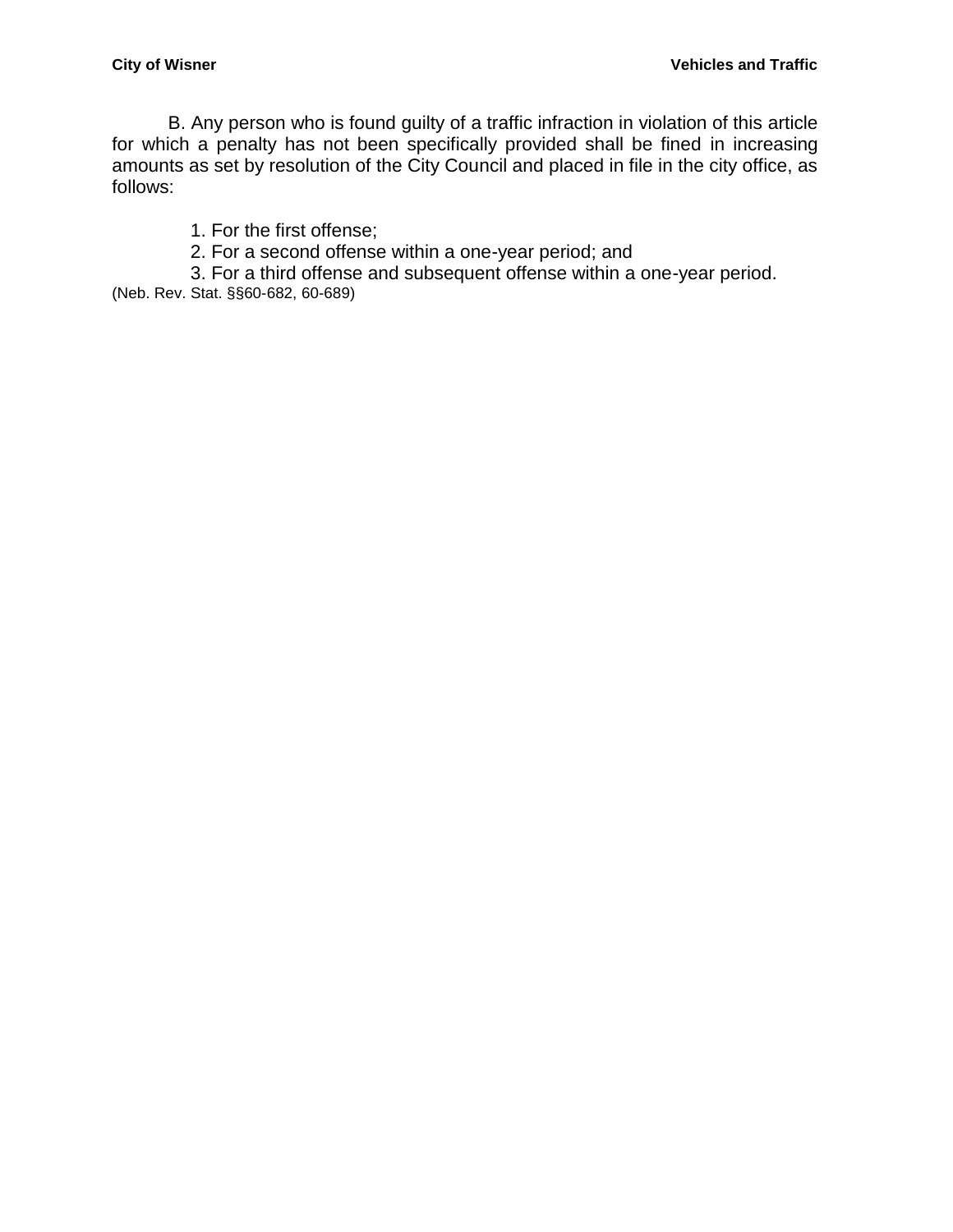B. Any person who is found guilty of a traffic infraction in violation of this article for which a penalty has not been specifically provided shall be fined in increasing amounts as set by resolution of the City Council and placed in file in the city office, as follows:

1. For the first offense;

2. For a second offense within a one-year period; and

3. For a third offense and subsequent offense within a one-year period.

(Neb. Rev. Stat. §§60-682, 60-689)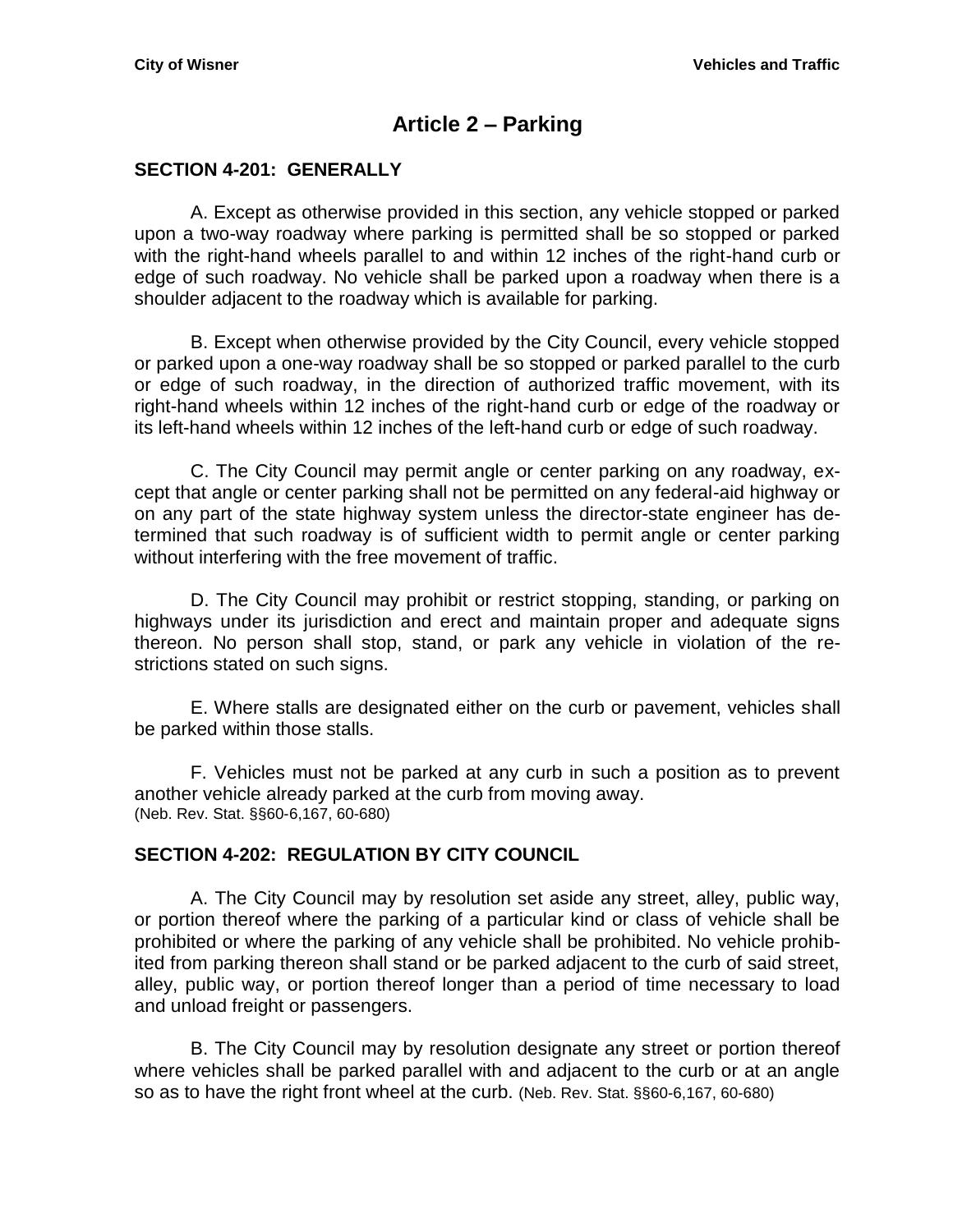# **Article 2 – Parking**

#### <span id="page-18-1"></span><span id="page-18-0"></span>**SECTION 4-201: GENERALLY**

A. Except as otherwise provided in this section, any vehicle stopped or parked upon a two-way roadway where parking is permitted shall be so stopped or parked with the right-hand wheels parallel to and within 12 inches of the right-hand curb or edge of such roadway. No vehicle shall be parked upon a roadway when there is a shoulder adjacent to the roadway which is available for parking.

B. Except when otherwise provided by the City Council, every vehicle stopped or parked upon a one-way roadway shall be so stopped or parked parallel to the curb or edge of such roadway, in the direction of authorized traffic movement, with its right-hand wheels within 12 inches of the right-hand curb or edge of the roadway or its left-hand wheels within 12 inches of the left-hand curb or edge of such roadway.

C. The City Council may permit angle or center parking on any roadway, except that angle or center parking shall not be permitted on any federal-aid highway or on any part of the state highway system unless the director-state engineer has determined that such roadway is of sufficient width to permit angle or center parking without interfering with the free movement of traffic.

D. The City Council may prohibit or restrict stopping, standing, or parking on highways under its jurisdiction and erect and maintain proper and adequate signs thereon. No person shall stop, stand, or park any vehicle in violation of the restrictions stated on such signs.

E. Where stalls are designated either on the curb or pavement, vehicles shall be parked within those stalls.

F. Vehicles must not be parked at any curb in such a position as to prevent another vehicle already parked at the curb from moving away. (Neb. Rev. Stat. §§60-6,167, 60-680)

#### <span id="page-18-2"></span>**SECTION 4-202: REGULATION BY CITY COUNCIL**

A. The City Council may by resolution set aside any street, alley, public way, or portion thereof where the parking of a particular kind or class of vehicle shall be prohibited or where the parking of any vehicle shall be prohibited. No vehicle prohibited from parking thereon shall stand or be parked adjacent to the curb of said street, alley, public way, or portion thereof longer than a period of time necessary to load and unload freight or passengers.

B. The City Council may by resolution designate any street or portion thereof where vehicles shall be parked parallel with and adjacent to the curb or at an angle so as to have the right front wheel at the curb. (Neb. Rev. Stat. §§60-6,167, 60-680)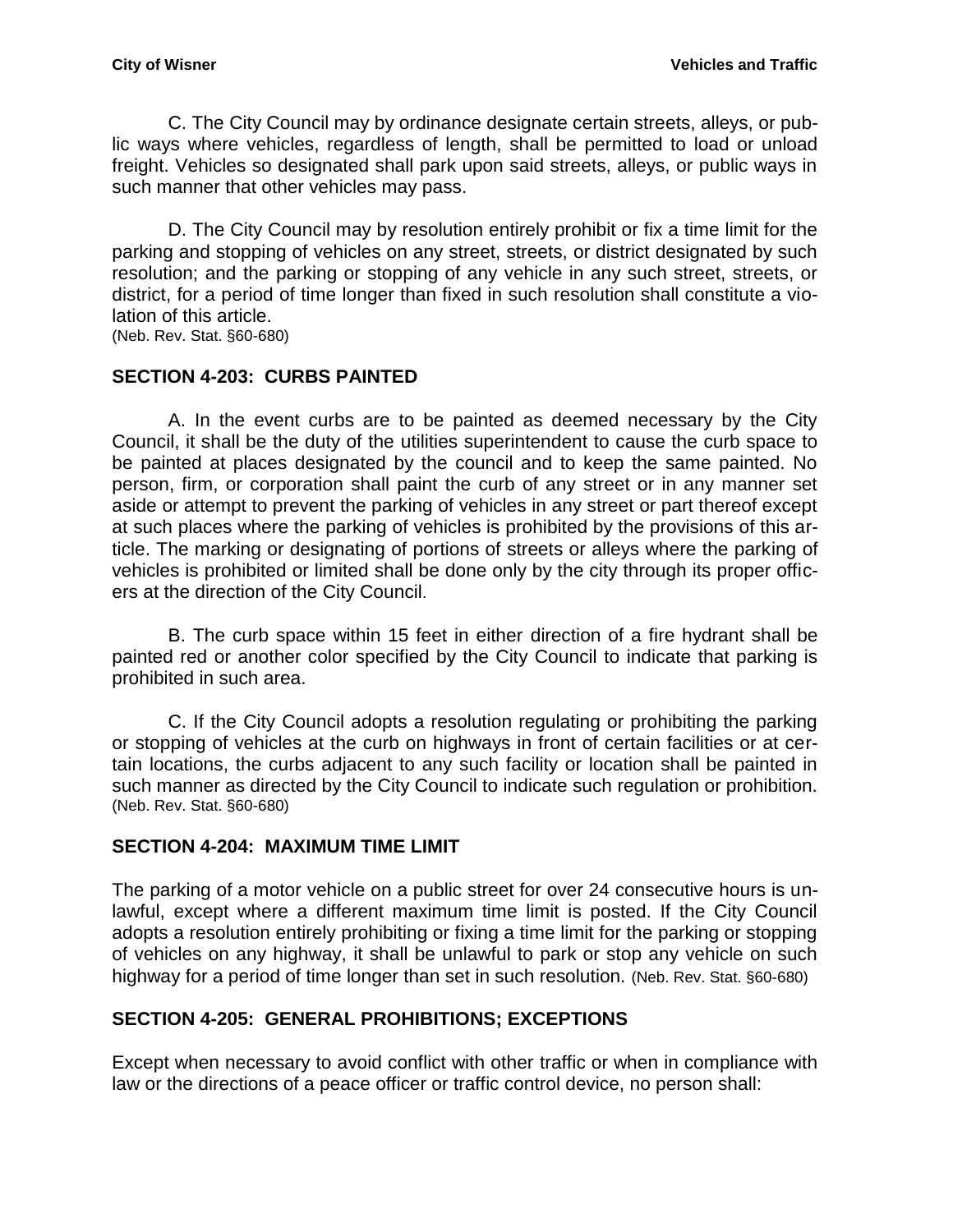C. The City Council may by ordinance designate certain streets, alleys, or public ways where vehicles, regardless of length, shall be permitted to load or unload freight. Vehicles so designated shall park upon said streets, alleys, or public ways in such manner that other vehicles may pass.

D. The City Council may by resolution entirely prohibit or fix a time limit for the parking and stopping of vehicles on any street, streets, or district designated by such resolution; and the parking or stopping of any vehicle in any such street, streets, or district, for a period of time longer than fixed in such resolution shall constitute a violation of this article.

(Neb. Rev. Stat. §60-680)

#### <span id="page-19-0"></span>**SECTION 4-203: CURBS PAINTED**

A. In the event curbs are to be painted as deemed necessary by the City Council, it shall be the duty of the utilities superintendent to cause the curb space to be painted at places designated by the council and to keep the same painted. No person, firm, or corporation shall paint the curb of any street or in any manner set aside or attempt to prevent the parking of vehicles in any street or part thereof except at such places where the parking of vehicles is prohibited by the provisions of this article. The marking or designating of portions of streets or alleys where the parking of vehicles is prohibited or limited shall be done only by the city through its proper officers at the direction of the City Council.

B. The curb space within 15 feet in either direction of a fire hydrant shall be painted red or another color specified by the City Council to indicate that parking is prohibited in such area.

C. If the City Council adopts a resolution regulating or prohibiting the parking or stopping of vehicles at the curb on highways in front of certain facilities or at certain locations, the curbs adjacent to any such facility or location shall be painted in such manner as directed by the City Council to indicate such regulation or prohibition. (Neb. Rev. Stat. §60-680)

#### <span id="page-19-1"></span>**SECTION 4-204: MAXIMUM TIME LIMIT**

The parking of a motor vehicle on a public street for over 24 consecutive hours is unlawful, except where a different maximum time limit is posted. If the City Council adopts a resolution entirely prohibiting or fixing a time limit for the parking or stopping of vehicles on any highway, it shall be unlawful to park or stop any vehicle on such highway for a period of time longer than set in such resolution. (Neb. Rev. Stat. §60-680)

#### <span id="page-19-2"></span>**SECTION 4-205: GENERAL PROHIBITIONS; EXCEPTIONS**

Except when necessary to avoid conflict with other traffic or when in compliance with law or the directions of a peace officer or traffic control device, no person shall: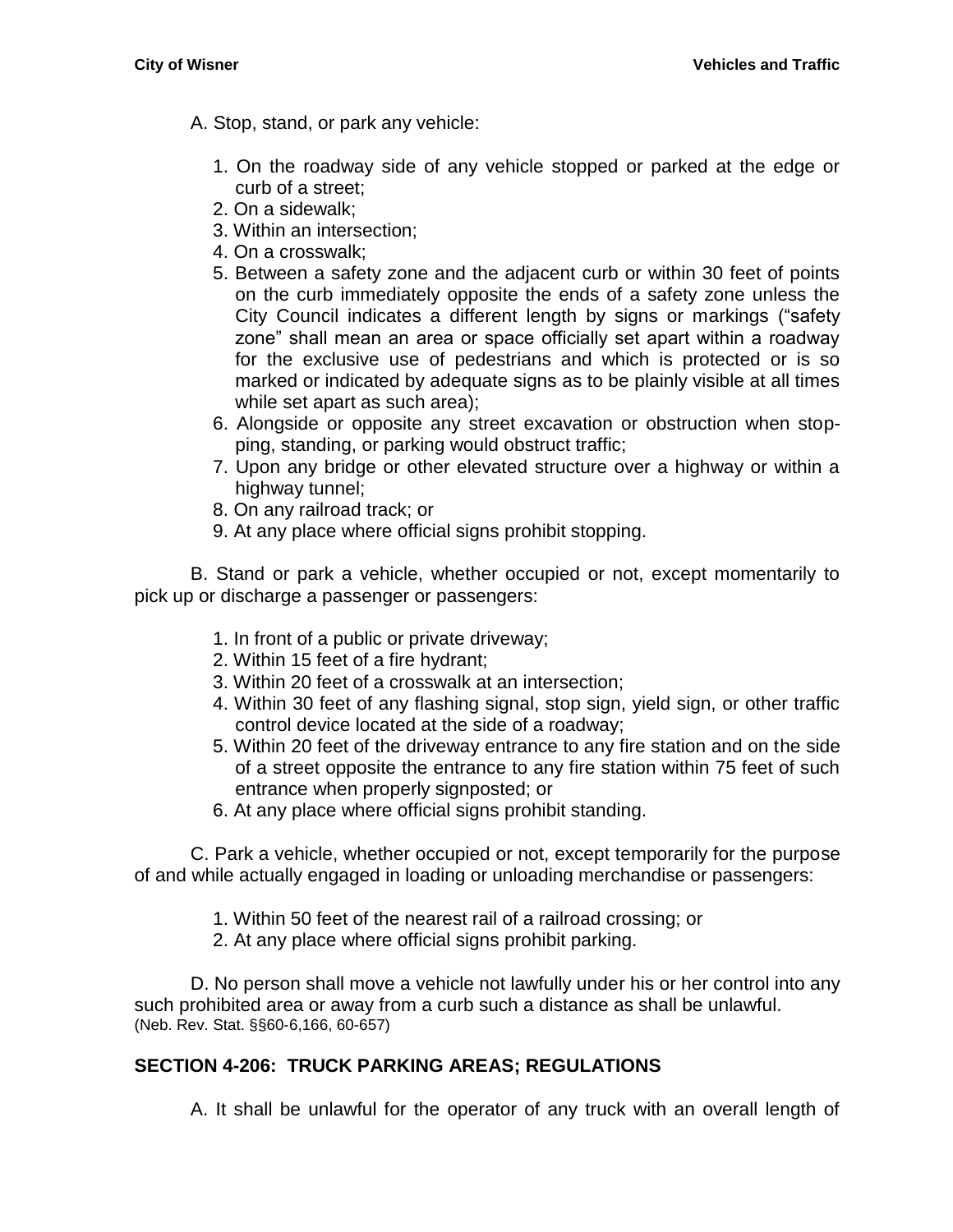- A. Stop, stand, or park any vehicle:
	- 1. On the roadway side of any vehicle stopped or parked at the edge or curb of a street;
	- 2. On a sidewalk;
	- 3. Within an intersection;
	- 4. On a crosswalk;
	- 5. Between a safety zone and the adjacent curb or within 30 feet of points on the curb immediately opposite the ends of a safety zone unless the City Council indicates a different length by signs or markings ("safety zone" shall mean an area or space officially set apart within a roadway for the exclusive use of pedestrians and which is protected or is so marked or indicated by adequate signs as to be plainly visible at all times while set apart as such area);
	- 6. Alongside or opposite any street excavation or obstruction when stopping, standing, or parking would obstruct traffic;
	- 7. Upon any bridge or other elevated structure over a highway or within a highway tunnel;
	- 8. On any railroad track; or
	- 9. At any place where official signs prohibit stopping.

B. Stand or park a vehicle, whether occupied or not, except momentarily to pick up or discharge a passenger or passengers:

- 1. In front of a public or private driveway;
- 2. Within 15 feet of a fire hydrant;
- 3. Within 20 feet of a crosswalk at an intersection;
- 4. Within 30 feet of any flashing signal, stop sign, yield sign, or other traffic control device located at the side of a roadway;
- 5. Within 20 feet of the driveway entrance to any fire station and on the side of a street opposite the entrance to any fire station within 75 feet of such entrance when properly signposted; or
- 6. At any place where official signs prohibit standing.

C. Park a vehicle, whether occupied or not, except temporarily for the purpose of and while actually engaged in loading or unloading merchandise or passengers:

- 1. Within 50 feet of the nearest rail of a railroad crossing; or
- 2. At any place where official signs prohibit parking.

D. No person shall move a vehicle not lawfully under his or her control into any such prohibited area or away from a curb such a distance as shall be unlawful. (Neb. Rev. Stat. §§60-6,166, 60-657)

## <span id="page-20-0"></span>**SECTION 4-206: TRUCK PARKING AREAS; REGULATIONS**

A. It shall be unlawful for the operator of any truck with an overall length of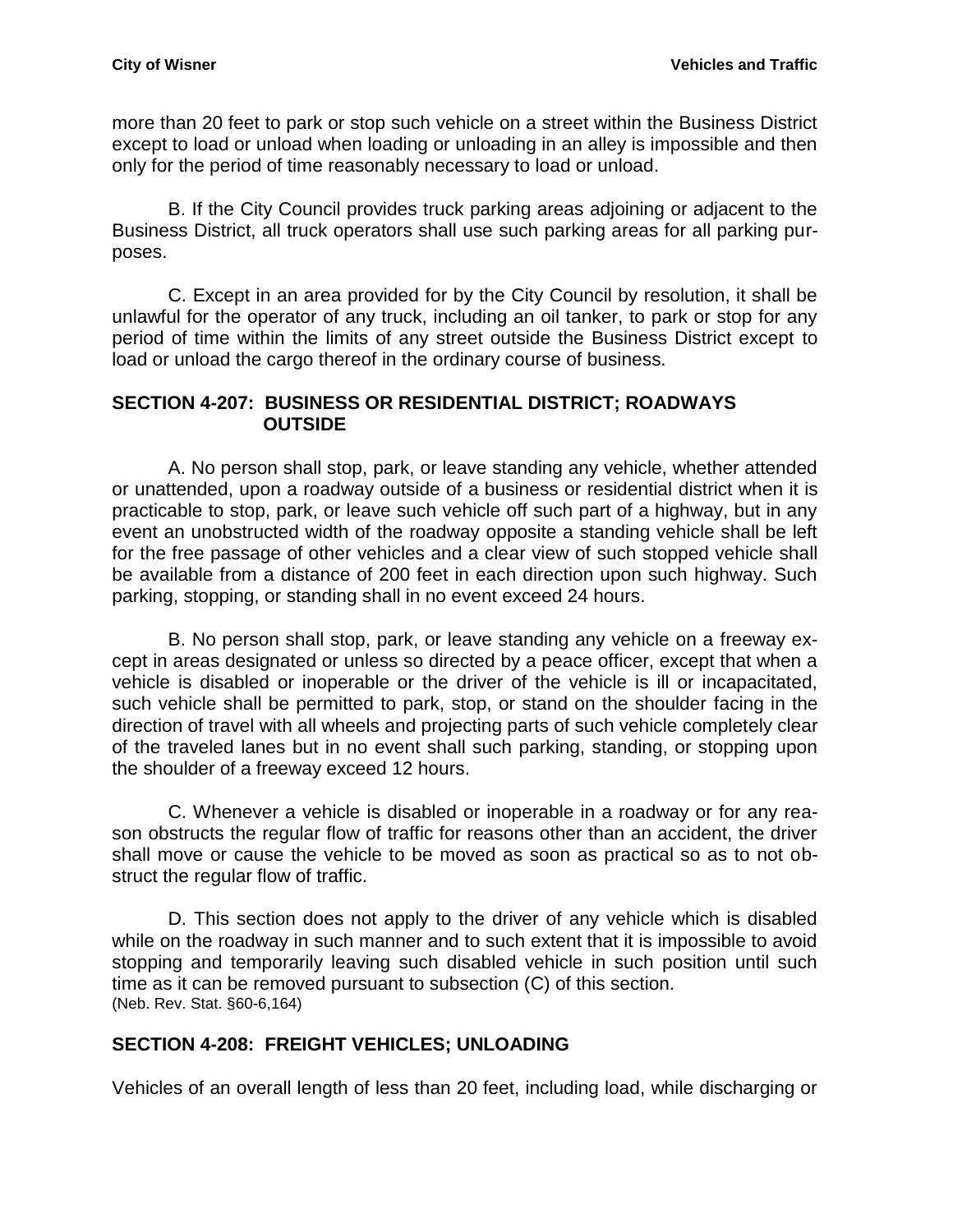more than 20 feet to park or stop such vehicle on a street within the Business District except to load or unload when loading or unloading in an alley is impossible and then only for the period of time reasonably necessary to load or unload.

B. If the City Council provides truck parking areas adjoining or adjacent to the Business District, all truck operators shall use such parking areas for all parking purposes.

C. Except in an area provided for by the City Council by resolution, it shall be unlawful for the operator of any truck, including an oil tanker, to park or stop for any period of time within the limits of any street outside the Business District except to load or unload the cargo thereof in the ordinary course of business.

#### <span id="page-21-0"></span>**SECTION 4-207: BUSINESS OR RESIDENTIAL DISTRICT; ROADWAYS OUTSIDE**

A. No person shall stop, park, or leave standing any vehicle, whether attended or unattended, upon a roadway outside of a business or residential district when it is practicable to stop, park, or leave such vehicle off such part of a highway, but in any event an unobstructed width of the roadway opposite a standing vehicle shall be left for the free passage of other vehicles and a clear view of such stopped vehicle shall be available from a distance of 200 feet in each direction upon such highway. Such parking, stopping, or standing shall in no event exceed 24 hours.

B. No person shall stop, park, or leave standing any vehicle on a freeway except in areas designated or unless so directed by a peace officer, except that when a vehicle is disabled or inoperable or the driver of the vehicle is ill or incapacitated, such vehicle shall be permitted to park, stop, or stand on the shoulder facing in the direction of travel with all wheels and projecting parts of such vehicle completely clear of the traveled lanes but in no event shall such parking, standing, or stopping upon the shoulder of a freeway exceed 12 hours.

C. Whenever a vehicle is disabled or inoperable in a roadway or for any reason obstructs the regular flow of traffic for reasons other than an accident, the driver shall move or cause the vehicle to be moved as soon as practical so as to not obstruct the regular flow of traffic.

D. This section does not apply to the driver of any vehicle which is disabled while on the roadway in such manner and to such extent that it is impossible to avoid stopping and temporarily leaving such disabled vehicle in such position until such time as it can be removed pursuant to subsection (C) of this section. (Neb. Rev. Stat. §60-6,164)

## <span id="page-21-1"></span>**SECTION 4-208: FREIGHT VEHICLES; UNLOADING**

Vehicles of an overall length of less than 20 feet, including load, while discharging or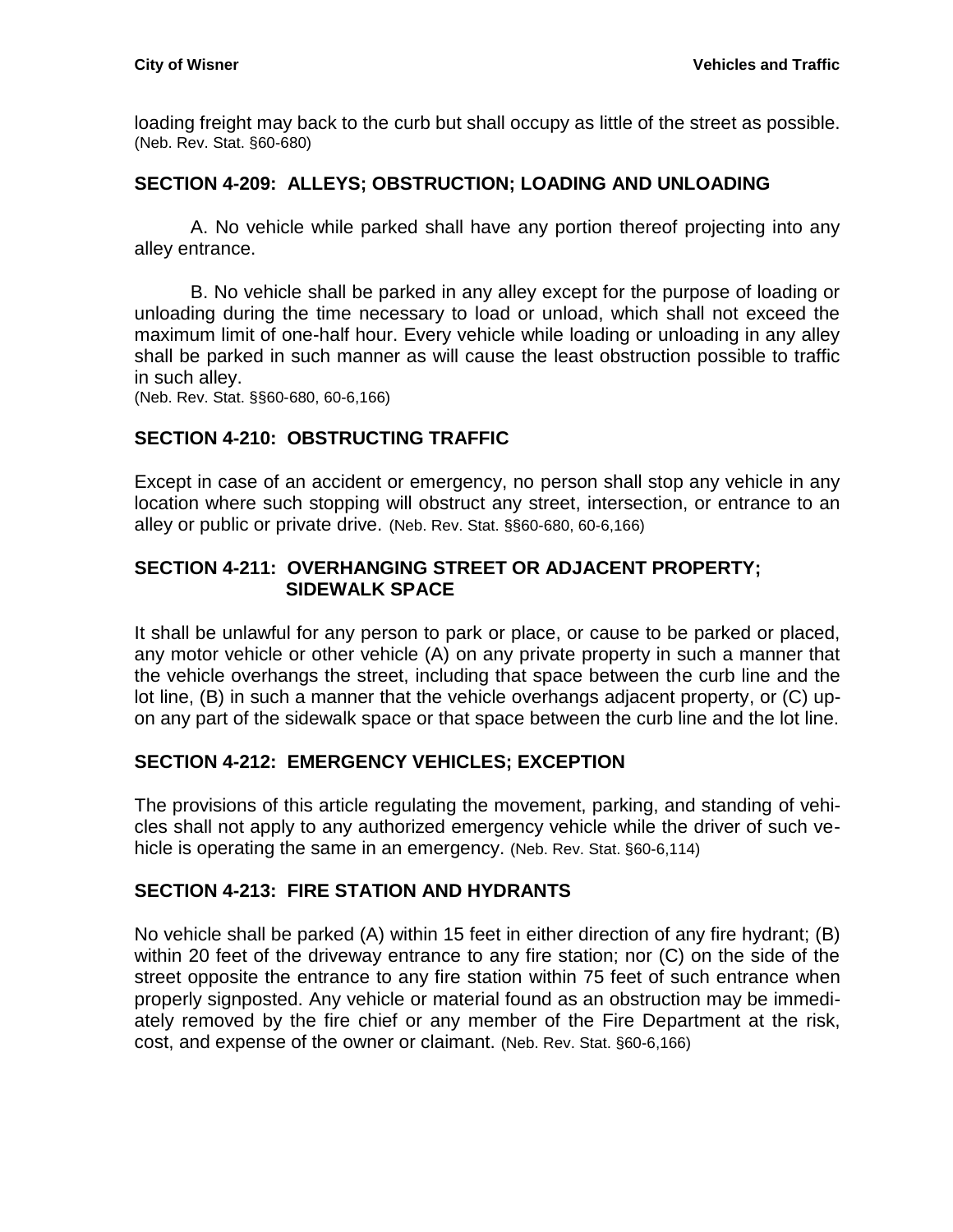loading freight may back to the curb but shall occupy as little of the street as possible. (Neb. Rev. Stat. §60-680)

## <span id="page-22-0"></span>**SECTION 4-209: ALLEYS; OBSTRUCTION; LOADING AND UNLOADING**

A. No vehicle while parked shall have any portion thereof projecting into any alley entrance.

B. No vehicle shall be parked in any alley except for the purpose of loading or unloading during the time necessary to load or unload, which shall not exceed the maximum limit of one-half hour. Every vehicle while loading or unloading in any alley shall be parked in such manner as will cause the least obstruction possible to traffic in such alley.

(Neb. Rev. Stat. §§60-680, 60-6,166)

## <span id="page-22-1"></span>**SECTION 4-210: OBSTRUCTING TRAFFIC**

Except in case of an accident or emergency, no person shall stop any vehicle in any location where such stopping will obstruct any street, intersection, or entrance to an alley or public or private drive. (Neb. Rev. Stat. §§60-680, 60-6,166)

## <span id="page-22-2"></span>**SECTION 4-211: OVERHANGING STREET OR ADJACENT PROPERTY; SIDEWALK SPACE**

It shall be unlawful for any person to park or place, or cause to be parked or placed, any motor vehicle or other vehicle (A) on any private property in such a manner that the vehicle overhangs the street, including that space between the curb line and the lot line, (B) in such a manner that the vehicle overhangs adjacent property, or (C) upon any part of the sidewalk space or that space between the curb line and the lot line.

## <span id="page-22-3"></span>**SECTION 4-212: EMERGENCY VEHICLES; EXCEPTION**

The provisions of this article regulating the movement, parking, and standing of vehicles shall not apply to any authorized emergency vehicle while the driver of such vehicle is operating the same in an emergency. (Neb. Rev. Stat. §60-6,114)

#### <span id="page-22-4"></span>**SECTION 4-213: FIRE STATION AND HYDRANTS**

No vehicle shall be parked (A) within 15 feet in either direction of any fire hydrant; (B) within 20 feet of the driveway entrance to any fire station; nor (C) on the side of the street opposite the entrance to any fire station within 75 feet of such entrance when properly signposted. Any vehicle or material found as an obstruction may be immediately removed by the fire chief or any member of the Fire Department at the risk, cost, and expense of the owner or claimant. (Neb. Rev. Stat. §60-6,166)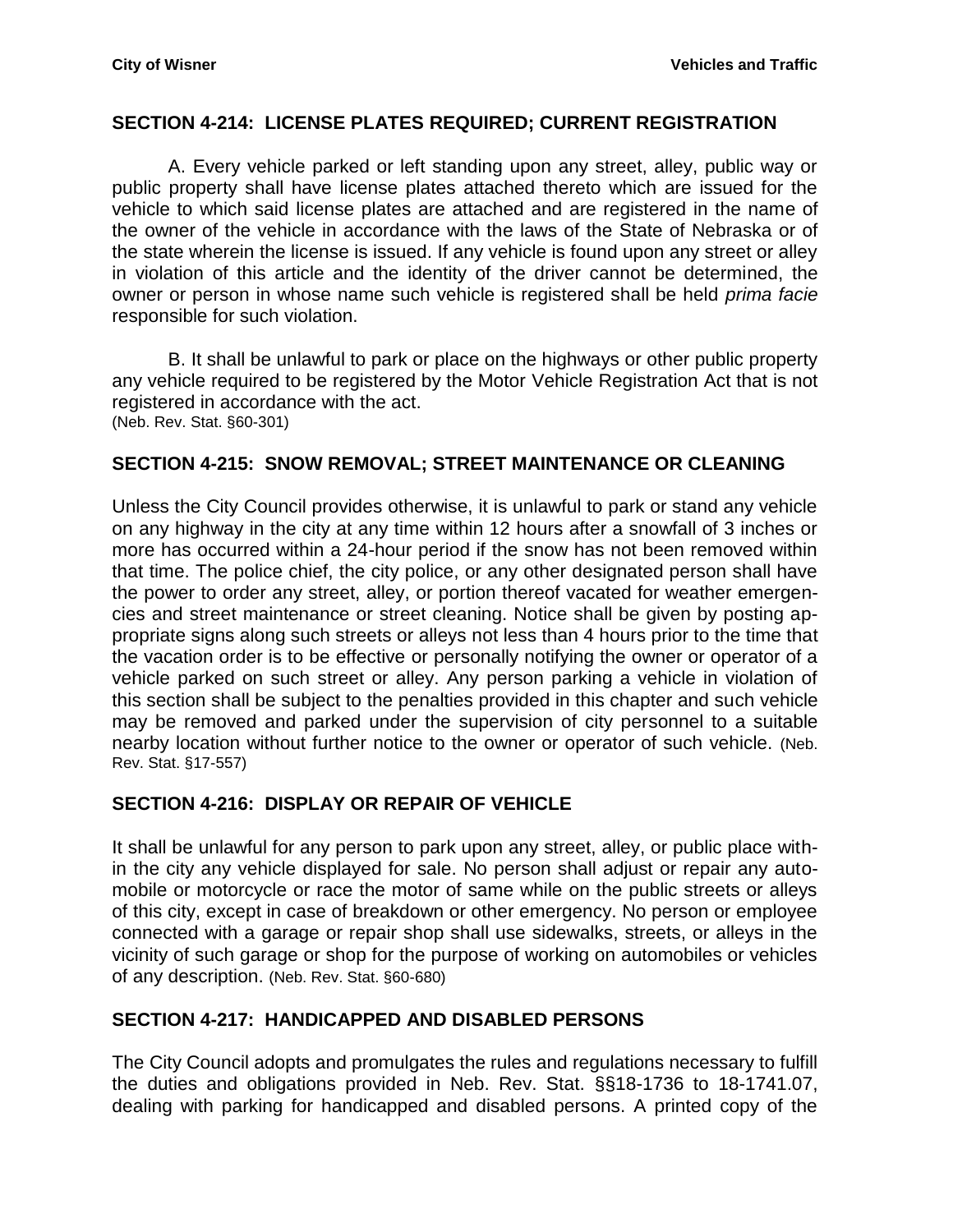#### <span id="page-23-0"></span>**SECTION 4-214: LICENSE PLATES REQUIRED; CURRENT REGISTRATION**

A. Every vehicle parked or left standing upon any street, alley, public way or public property shall have license plates attached thereto which are issued for the vehicle to which said license plates are attached and are registered in the name of the owner of the vehicle in accordance with the laws of the State of Nebraska or of the state wherein the license is issued. If any vehicle is found upon any street or alley in violation of this article and the identity of the driver cannot be determined, the owner or person in whose name such vehicle is registered shall be held *prima facie* responsible for such violation.

B. It shall be unlawful to park or place on the highways or other public property any vehicle required to be registered by the Motor Vehicle Registration Act that is not registered in accordance with the act. (Neb. Rev. Stat. §60-301)

#### <span id="page-23-1"></span>**SECTION 4-215: SNOW REMOVAL; STREET MAINTENANCE OR CLEANING**

Unless the City Council provides otherwise, it is unlawful to park or stand any vehicle on any highway in the city at any time within 12 hours after a snowfall of 3 inches or more has occurred within a 24-hour period if the snow has not been removed within that time. The police chief, the city police, or any other designated person shall have the power to order any street, alley, or portion thereof vacated for weather emergencies and street maintenance or street cleaning. Notice shall be given by posting appropriate signs along such streets or alleys not less than 4 hours prior to the time that the vacation order is to be effective or personally notifying the owner or operator of a vehicle parked on such street or alley. Any person parking a vehicle in violation of this section shall be subject to the penalties provided in this chapter and such vehicle may be removed and parked under the supervision of city personnel to a suitable nearby location without further notice to the owner or operator of such vehicle. (Neb. Rev. Stat. §17-557)

#### <span id="page-23-2"></span>**SECTION 4-216: DISPLAY OR REPAIR OF VEHICLE**

It shall be unlawful for any person to park upon any street, alley, or public place within the city any vehicle displayed for sale. No person shall adjust or repair any automobile or motorcycle or race the motor of same while on the public streets or alleys of this city, except in case of breakdown or other emergency. No person or employee connected with a garage or repair shop shall use sidewalks, streets, or alleys in the vicinity of such garage or shop for the purpose of working on automobiles or vehicles of any description. (Neb. Rev. Stat. §60-680)

#### <span id="page-23-3"></span>**SECTION 4-217: HANDICAPPED AND DISABLED PERSONS**

The City Council adopts and promulgates the rules and regulations necessary to fulfill the duties and obligations provided in Neb. Rev. Stat. §§18-1736 to 18-1741.07, dealing with parking for handicapped and disabled persons. A printed copy of the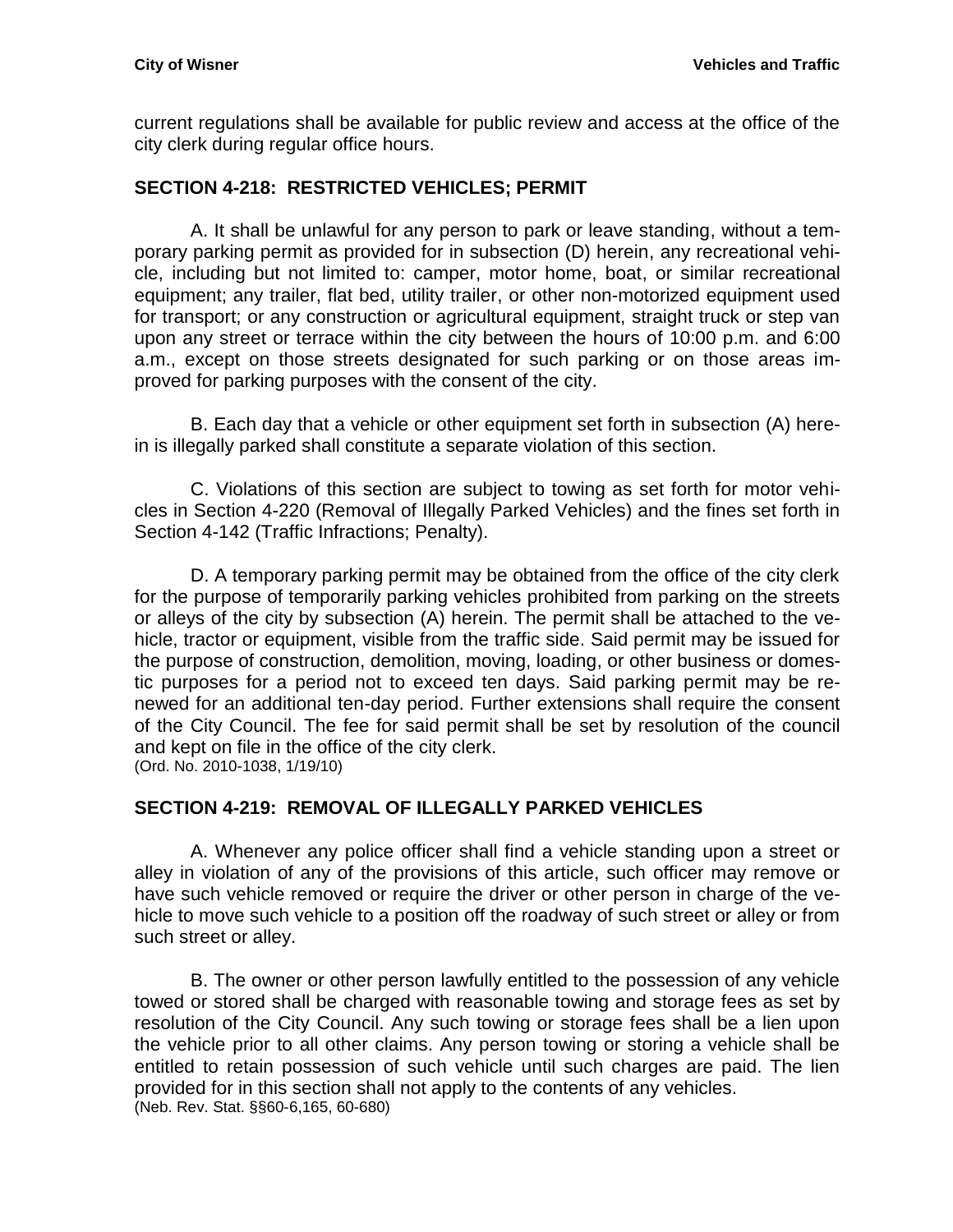current regulations shall be available for public review and access at the office of the city clerk during regular office hours.

## <span id="page-24-0"></span>**SECTION 4-218: RESTRICTED VEHICLES; PERMIT**

A. It shall be unlawful for any person to park or leave standing, without a temporary parking permit as provided for in subsection (D) herein, any recreational vehicle, including but not limited to: camper, motor home, boat, or similar recreational equipment; any trailer, flat bed, utility trailer, or other non-motorized equipment used for transport; or any construction or agricultural equipment, straight truck or step van upon any street or terrace within the city between the hours of 10:00 p.m. and 6:00 a.m., except on those streets designated for such parking or on those areas improved for parking purposes with the consent of the city.

B. Each day that a vehicle or other equipment set forth in subsection (A) herein is illegally parked shall constitute a separate violation of this section.

C. Violations of this section are subject to towing as set forth for motor vehicles in Section 4-220 (Removal of Illegally Parked Vehicles) and the fines set forth in Section 4-142 (Traffic Infractions; Penalty).

D. A temporary parking permit may be obtained from the office of the city clerk for the purpose of temporarily parking vehicles prohibited from parking on the streets or alleys of the city by subsection (A) herein. The permit shall be attached to the vehicle, tractor or equipment, visible from the traffic side. Said permit may be issued for the purpose of construction, demolition, moving, loading, or other business or domestic purposes for a period not to exceed ten days. Said parking permit may be renewed for an additional ten-day period. Further extensions shall require the consent of the City Council. The fee for said permit shall be set by resolution of the council and kept on file in the office of the city clerk. (Ord. No. 2010-1038, 1/19/10)

#### <span id="page-24-1"></span>**SECTION 4-219: REMOVAL OF ILLEGALLY PARKED VEHICLES**

A. Whenever any police officer shall find a vehicle standing upon a street or alley in violation of any of the provisions of this article, such officer may remove or have such vehicle removed or require the driver or other person in charge of the vehicle to move such vehicle to a position off the roadway of such street or alley or from such street or alley.

B. The owner or other person lawfully entitled to the possession of any vehicle towed or stored shall be charged with reasonable towing and storage fees as set by resolution of the City Council. Any such towing or storage fees shall be a lien upon the vehicle prior to all other claims. Any person towing or storing a vehicle shall be entitled to retain possession of such vehicle until such charges are paid. The lien provided for in this section shall not apply to the contents of any vehicles. (Neb. Rev. Stat. §§60-6,165, 60-680)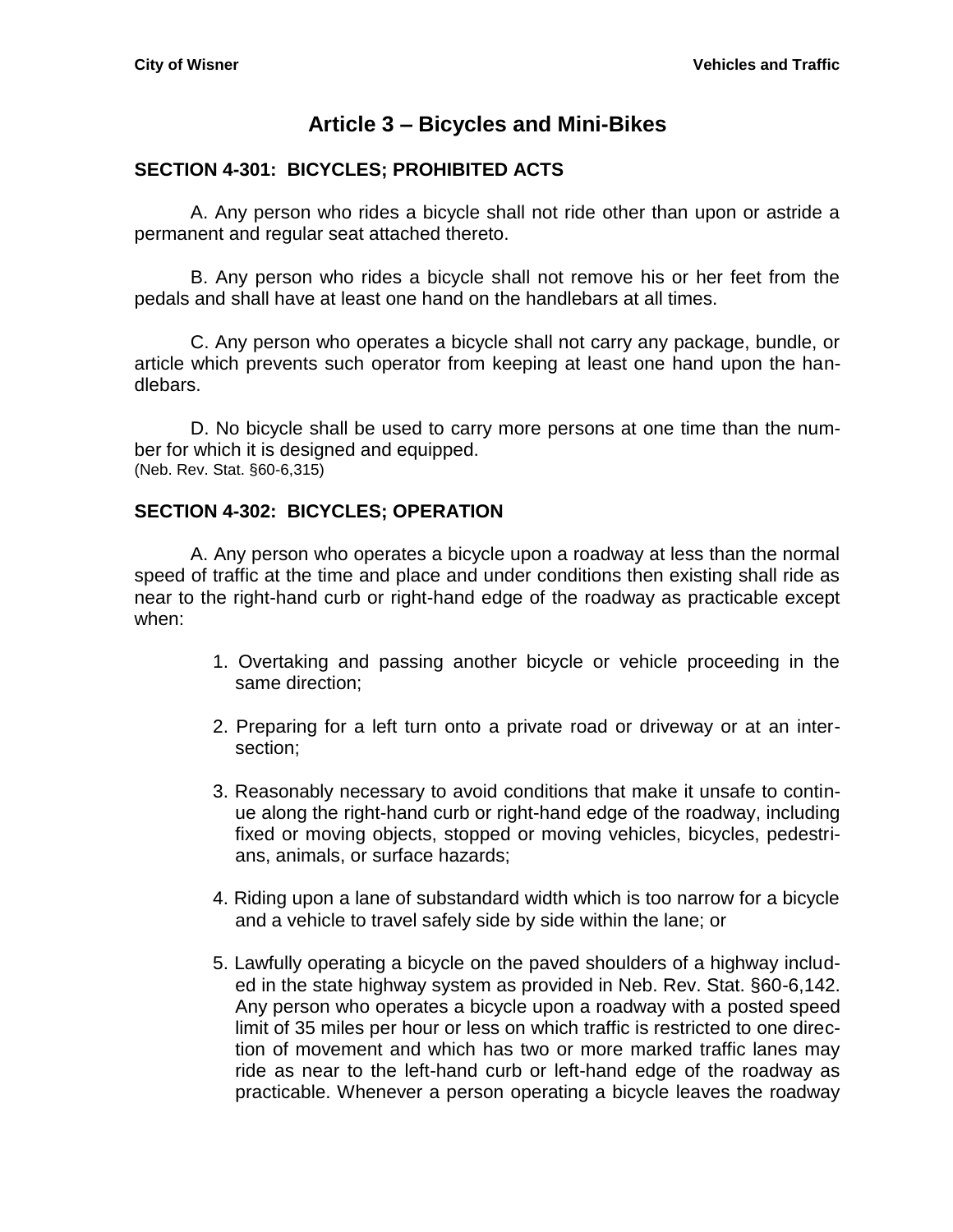# **Article 3 – Bicycles and Mini-Bikes**

#### <span id="page-26-1"></span><span id="page-26-0"></span>**SECTION 4-301: BICYCLES; PROHIBITED ACTS**

A. Any person who rides a bicycle shall not ride other than upon or astride a permanent and regular seat attached thereto.

B. Any person who rides a bicycle shall not remove his or her feet from the pedals and shall have at least one hand on the handlebars at all times.

C. Any person who operates a bicycle shall not carry any package, bundle, or article which prevents such operator from keeping at least one hand upon the handlebars.

D. No bicycle shall be used to carry more persons at one time than the number for which it is designed and equipped. (Neb. Rev. Stat. §60-6,315)

#### <span id="page-26-2"></span>**SECTION 4-302: BICYCLES; OPERATION**

A. Any person who operates a bicycle upon a roadway at less than the normal speed of traffic at the time and place and under conditions then existing shall ride as near to the right-hand curb or right-hand edge of the roadway as practicable except when:

- 1. Overtaking and passing another bicycle or vehicle proceeding in the same direction;
- 2. Preparing for a left turn onto a private road or driveway or at an intersection;
- 3. Reasonably necessary to avoid conditions that make it unsafe to continue along the right-hand curb or right-hand edge of the roadway, including fixed or moving objects, stopped or moving vehicles, bicycles, pedestrians, animals, or surface hazards;
- 4. Riding upon a lane of substandard width which is too narrow for a bicycle and a vehicle to travel safely side by side within the lane; or
- 5. Lawfully operating a bicycle on the paved shoulders of a highway included in the state highway system as provided in Neb. Rev. Stat. §60-6,142. Any person who operates a bicycle upon a roadway with a posted speed limit of 35 miles per hour or less on which traffic is restricted to one direction of movement and which has two or more marked traffic lanes may ride as near to the left-hand curb or left-hand edge of the roadway as practicable. Whenever a person operating a bicycle leaves the roadway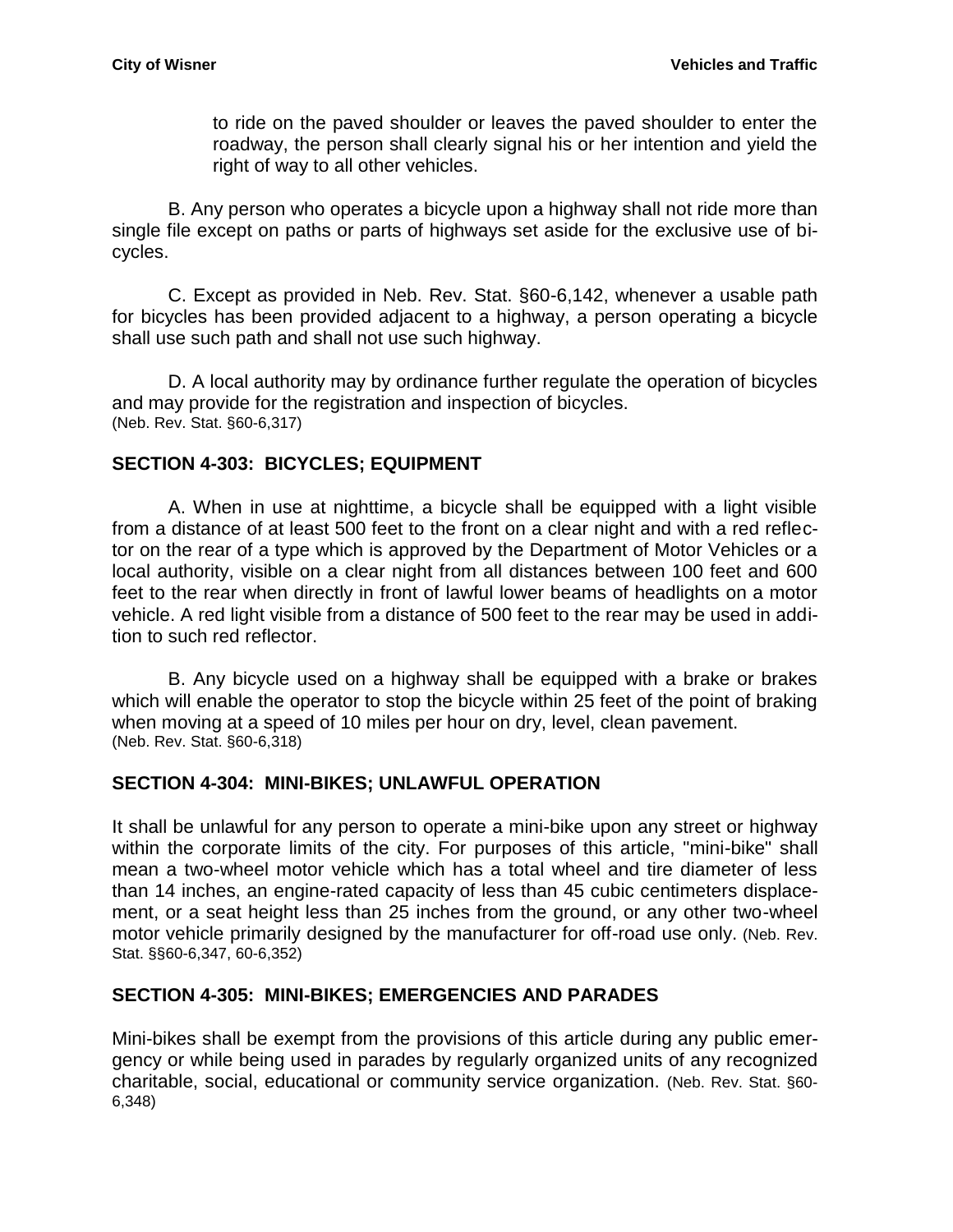to ride on the paved shoulder or leaves the paved shoulder to enter the roadway, the person shall clearly signal his or her intention and yield the right of way to all other vehicles.

B. Any person who operates a bicycle upon a highway shall not ride more than single file except on paths or parts of highways set aside for the exclusive use of bicycles.

C. Except as provided in Neb. Rev. Stat. §60-6,142, whenever a usable path for bicycles has been provided adjacent to a highway, a person operating a bicycle shall use such path and shall not use such highway.

D. A local authority may by ordinance further regulate the operation of bicycles and may provide for the registration and inspection of bicycles. (Neb. Rev. Stat. §60-6,317)

#### <span id="page-27-0"></span>**SECTION 4-303: BICYCLES; EQUIPMENT**

A. When in use at nighttime, a bicycle shall be equipped with a light visible from a distance of at least 500 feet to the front on a clear night and with a red reflector on the rear of a type which is approved by the Department of Motor Vehicles or a local authority, visible on a clear night from all distances between 100 feet and 600 feet to the rear when directly in front of lawful lower beams of headlights on a motor vehicle. A red light visible from a distance of 500 feet to the rear may be used in addition to such red reflector.

B. Any bicycle used on a highway shall be equipped with a brake or brakes which will enable the operator to stop the bicycle within 25 feet of the point of braking when moving at a speed of 10 miles per hour on dry, level, clean pavement. (Neb. Rev. Stat. §60-6,318)

#### <span id="page-27-1"></span>**SECTION 4-304: MINI-BIKES; UNLAWFUL OPERATION**

It shall be unlawful for any person to operate a mini-bike upon any street or highway within the corporate limits of the city. For purposes of this article, "mini-bike" shall mean a two-wheel motor vehicle which has a total wheel and tire diameter of less than 14 inches, an engine-rated capacity of less than 45 cubic centimeters displacement, or a seat height less than 25 inches from the ground, or any other two-wheel motor vehicle primarily designed by the manufacturer for off-road use only. (Neb. Rev. Stat. §§60-6,347, 60-6,352)

#### <span id="page-27-2"></span>**SECTION 4-305: MINI-BIKES; EMERGENCIES AND PARADES**

Mini-bikes shall be exempt from the provisions of this article during any public emergency or while being used in parades by regularly organized units of any recognized charitable, social, educational or community service organization. (Neb. Rev. Stat. §60- 6,348)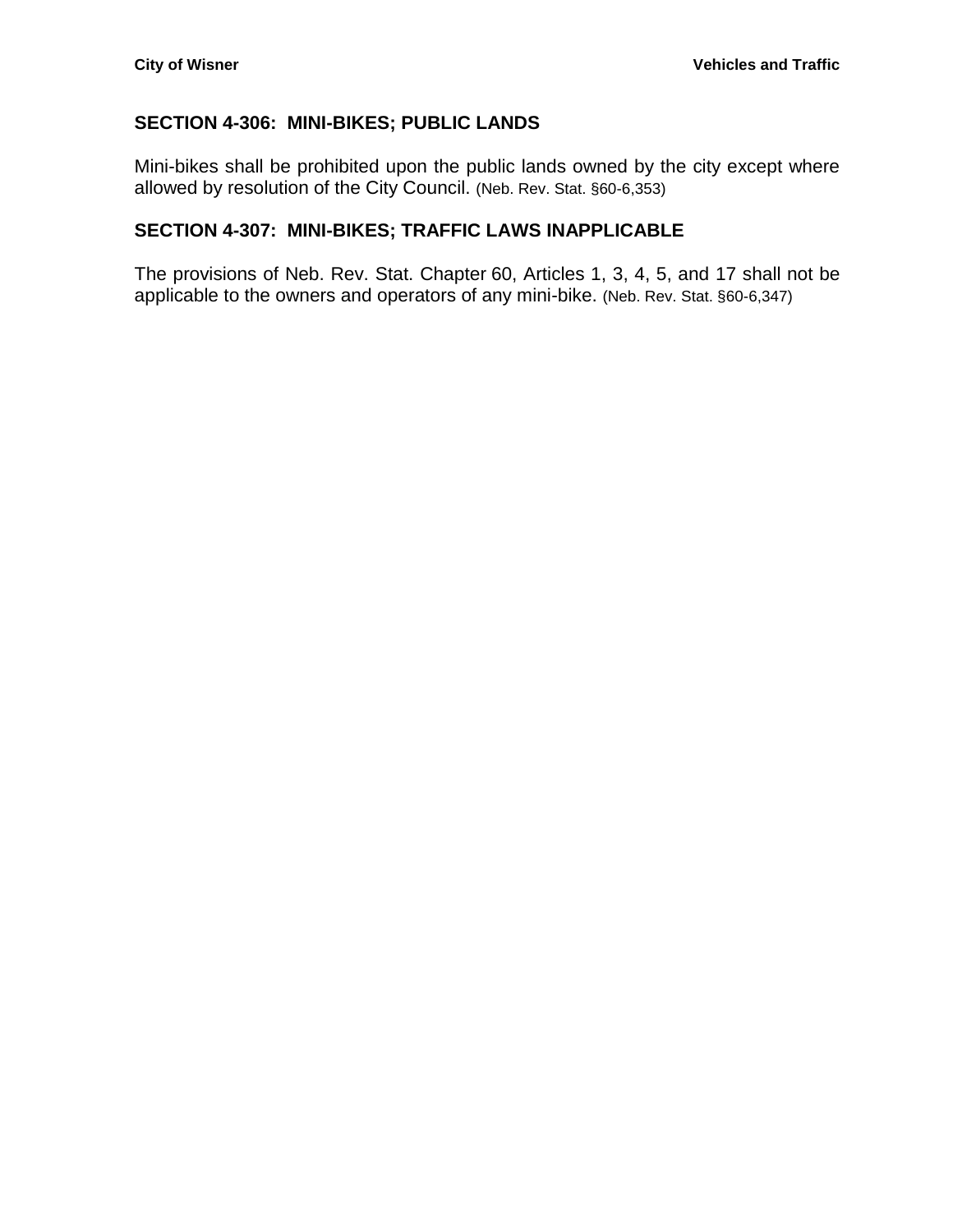## <span id="page-28-0"></span>**SECTION 4-306: MINI-BIKES; PUBLIC LANDS**

Mini-bikes shall be prohibited upon the public lands owned by the city except where allowed by resolution of the City Council. (Neb. Rev. Stat. §60-6,353)

## <span id="page-28-1"></span>**SECTION 4-307: MINI-BIKES; TRAFFIC LAWS INAPPLICABLE**

The provisions of Neb. Rev. Stat. Chapter 60, Articles 1, 3, 4, 5, and 17 shall not be applicable to the owners and operators of any mini-bike. (Neb. Rev. Stat. §60-6,347)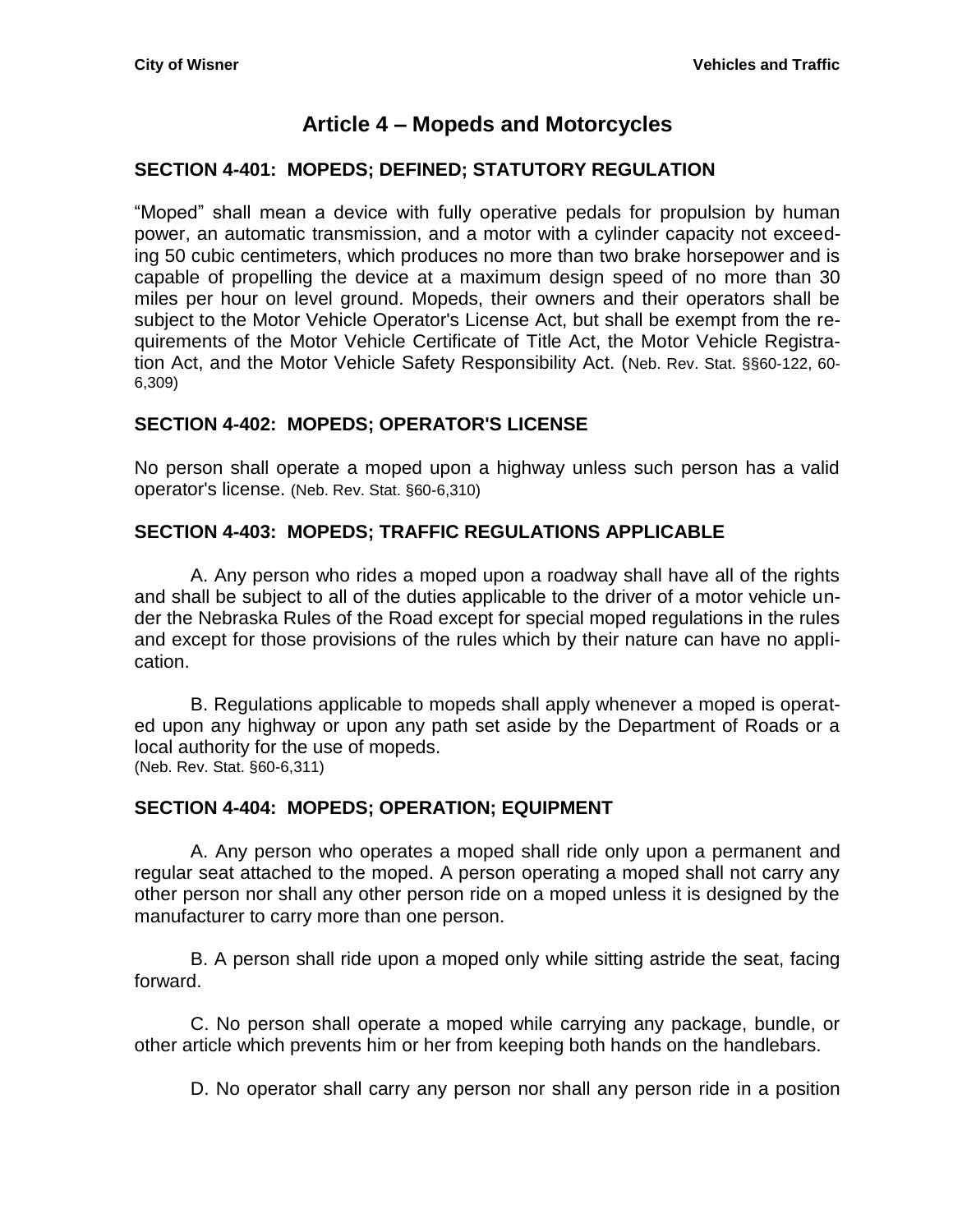# **Article 4 – Mopeds and Motorcycles**

## <span id="page-30-1"></span><span id="page-30-0"></span>**SECTION 4-401: MOPEDS; DEFINED; STATUTORY REGULATION**

"Moped" shall mean a device with fully operative pedals for propulsion by human power, an automatic transmission, and a motor with a cylinder capacity not exceeding 50 cubic centimeters, which produces no more than two brake horsepower and is capable of propelling the device at a maximum design speed of no more than 30 miles per hour on level ground. Mopeds, their owners and their operators shall be subject to the Motor Vehicle Operator's License Act, but shall be exempt from the requirements of the Motor Vehicle Certificate of Title Act, the Motor Vehicle Registration Act, and the Motor Vehicle Safety Responsibility Act. (Neb. Rev. Stat. §§60-122, 60- 6,309)

## <span id="page-30-2"></span>**SECTION 4-402: MOPEDS; OPERATOR'S LICENSE**

No person shall operate a moped upon a highway unless such person has a valid operator's license. (Neb. Rev. Stat. §60-6,310)

## <span id="page-30-3"></span>**SECTION 4-403: MOPEDS; TRAFFIC REGULATIONS APPLICABLE**

A. Any person who rides a moped upon a roadway shall have all of the rights and shall be subject to all of the duties applicable to the driver of a motor vehicle under the Nebraska Rules of the Road except for special moped regulations in the rules and except for those provisions of the rules which by their nature can have no application.

B. Regulations applicable to mopeds shall apply whenever a moped is operated upon any highway or upon any path set aside by the Department of Roads or a local authority for the use of mopeds. (Neb. Rev. Stat. §60-6,311)

#### <span id="page-30-4"></span>**SECTION 4-404: MOPEDS; OPERATION; EQUIPMENT**

A. Any person who operates a moped shall ride only upon a permanent and regular seat attached to the moped. A person operating a moped shall not carry any other person nor shall any other person ride on a moped unless it is designed by the manufacturer to carry more than one person.

B. A person shall ride upon a moped only while sitting astride the seat, facing forward.

C. No person shall operate a moped while carrying any package, bundle, or other article which prevents him or her from keeping both hands on the handlebars.

D. No operator shall carry any person nor shall any person ride in a position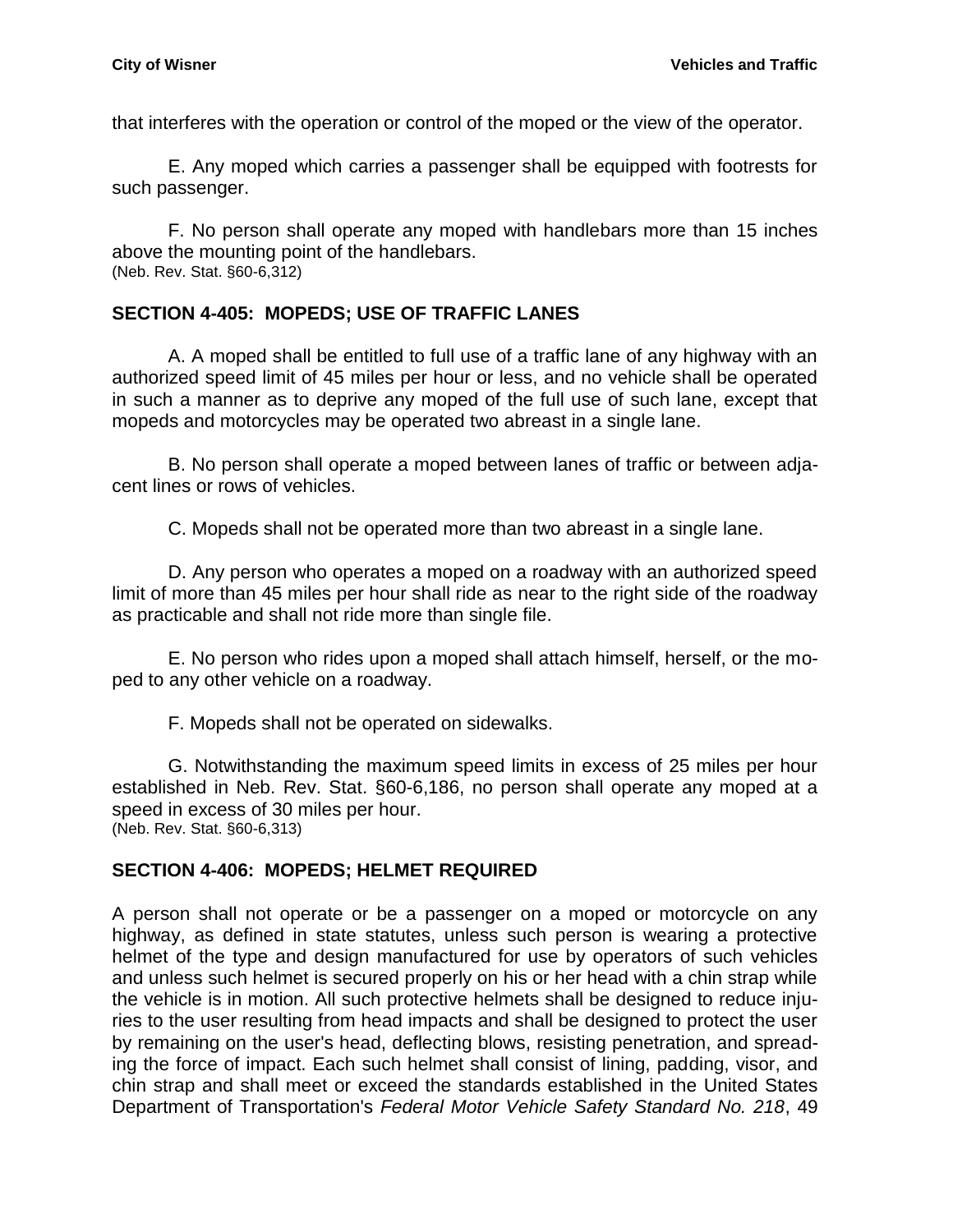that interferes with the operation or control of the moped or the view of the operator.

E. Any moped which carries a passenger shall be equipped with footrests for such passenger.

F. No person shall operate any moped with handlebars more than 15 inches above the mounting point of the handlebars. (Neb. Rev. Stat. §60-6,312)

# <span id="page-31-0"></span>**SECTION 4-405: MOPEDS; USE OF TRAFFIC LANES**

A. A moped shall be entitled to full use of a traffic lane of any highway with an authorized speed limit of 45 miles per hour or less, and no vehicle shall be operated in such a manner as to deprive any moped of the full use of such lane, except that mopeds and motorcycles may be operated two abreast in a single lane.

B. No person shall operate a moped between lanes of traffic or between adjacent lines or rows of vehicles.

C. Mopeds shall not be operated more than two abreast in a single lane.

D. Any person who operates a moped on a roadway with an authorized speed limit of more than 45 miles per hour shall ride as near to the right side of the roadway as practicable and shall not ride more than single file.

E. No person who rides upon a moped shall attach himself, herself, or the moped to any other vehicle on a roadway.

F. Mopeds shall not be operated on sidewalks.

G. Notwithstanding the maximum speed limits in excess of 25 miles per hour established in Neb. Rev. Stat. [§60-6,186,](http://nebraskalegislature.gov/laws/statutes.php?statute=60-6,186) no person shall operate any moped at a speed in excess of 30 miles per hour. (Neb. Rev. Stat. §60-6,313)

# <span id="page-31-1"></span>**SECTION 4-406: MOPEDS; HELMET REQUIRED**

A person shall not operate or be a passenger on a moped or motorcycle on any highway, as defined in state statutes, unless such person is wearing a protective helmet of the type and design manufactured for use by operators of such vehicles and unless such helmet is secured properly on his or her head with a chin strap while the vehicle is in motion. All such protective helmets shall be designed to reduce injuries to the user resulting from head impacts and shall be designed to protect the user by remaining on the user's head, deflecting blows, resisting penetration, and spreading the force of impact. Each such helmet shall consist of lining, padding, visor, and chin strap and shall meet or exceed the standards established in the United States Department of Transportation's *Federal Motor Vehicle Safety Standard No. 218*, 49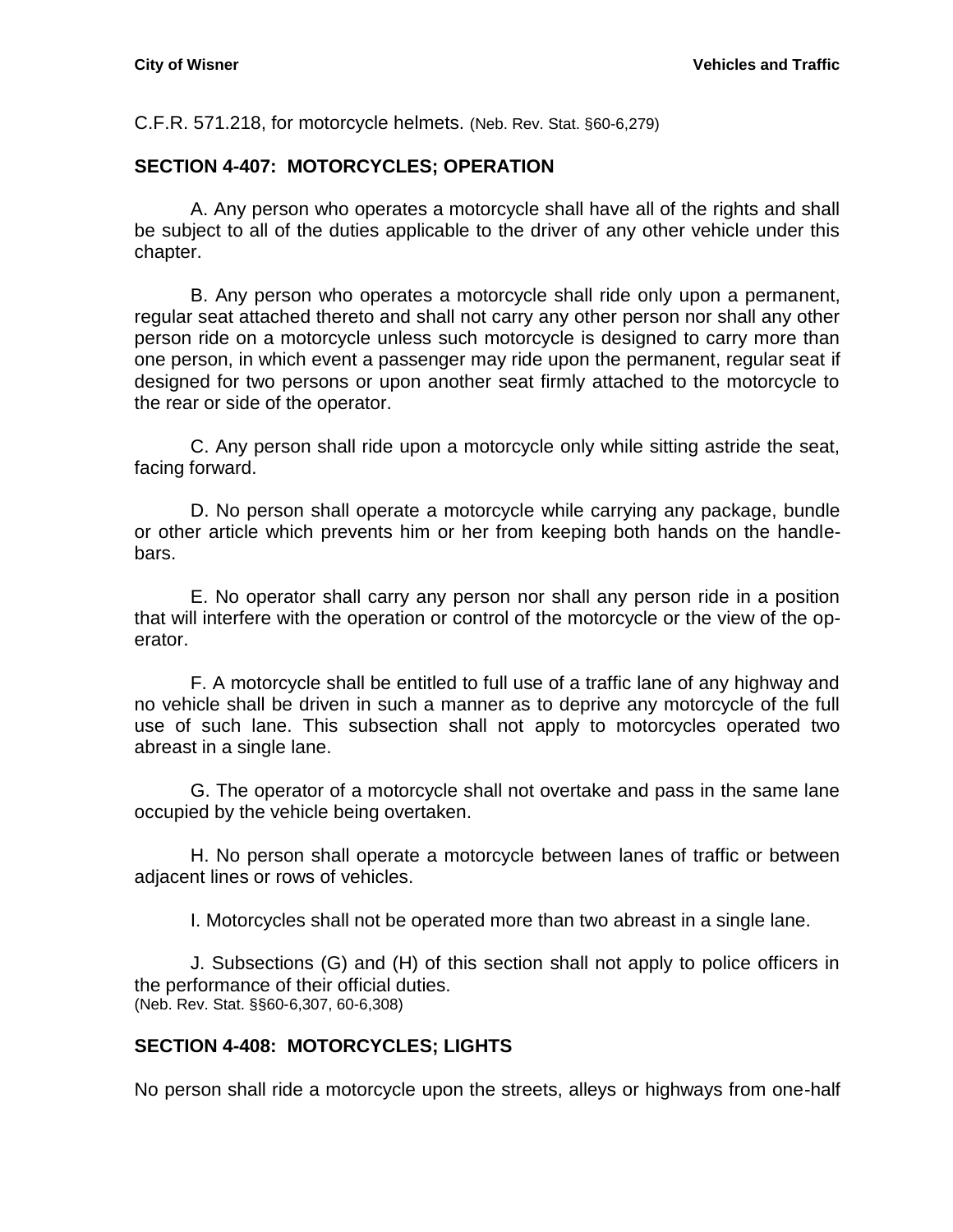C.F.R. 571.218, for motorcycle helmets. (Neb. Rev. Stat. §60-6,279)

## <span id="page-32-0"></span>**SECTION 4-407: MOTORCYCLES; OPERATION**

A. Any person who operates a motorcycle shall have all of the rights and shall be subject to all of the duties applicable to the driver of any other vehicle under this chapter.

B. Any person who operates a motorcycle shall ride only upon a permanent, regular seat attached thereto and shall not carry any other person nor shall any other person ride on a motorcycle unless such motorcycle is designed to carry more than one person, in which event a passenger may ride upon the permanent, regular seat if designed for two persons or upon another seat firmly attached to the motorcycle to the rear or side of the operator.

C. Any person shall ride upon a motorcycle only while sitting astride the seat, facing forward.

D. No person shall operate a motorcycle while carrying any package, bundle or other article which prevents him or her from keeping both hands on the handlebars.

E. No operator shall carry any person nor shall any person ride in a position that will interfere with the operation or control of the motorcycle or the view of the operator.

F. A motorcycle shall be entitled to full use of a traffic lane of any highway and no vehicle shall be driven in such a manner as to deprive any motorcycle of the full use of such lane. This subsection shall not apply to motorcycles operated two abreast in a single lane.

G. The operator of a motorcycle shall not overtake and pass in the same lane occupied by the vehicle being overtaken.

H. No person shall operate a motorcycle between lanes of traffic or between adjacent lines or rows of vehicles.

I. Motorcycles shall not be operated more than two abreast in a single lane.

J. Subsections (G) and (H) of this section shall not apply to police officers in the performance of their official duties. (Neb. Rev. Stat. §§60-6,307, 60-6,308)

## <span id="page-32-1"></span>**SECTION 4-408: MOTORCYCLES; LIGHTS**

No person shall ride a motorcycle upon the streets, alleys or highways from one-half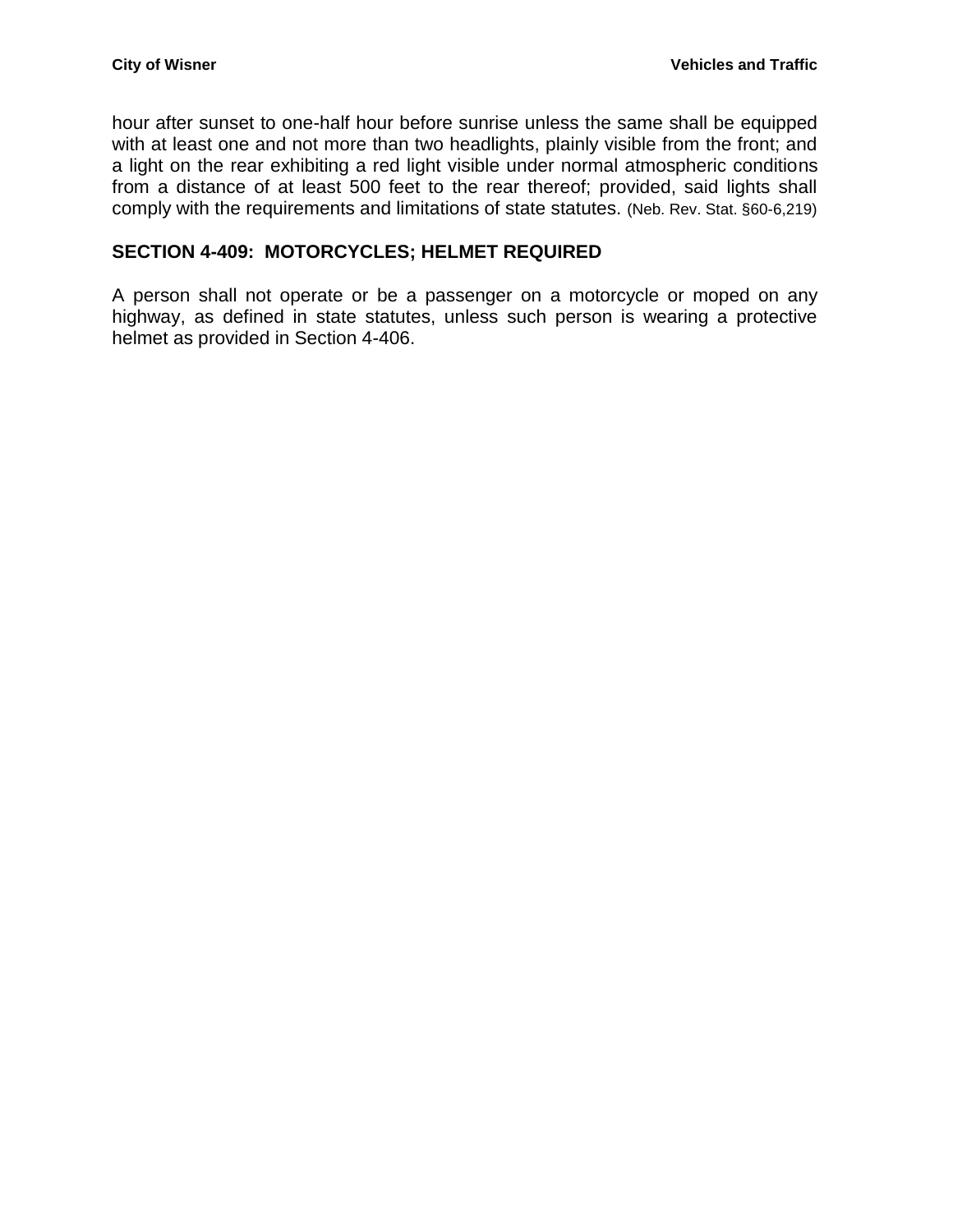hour after sunset to one-half hour before sunrise unless the same shall be equipped with at least one and not more than two headlights, plainly visible from the front; and a light on the rear exhibiting a red light visible under normal atmospheric conditions from a distance of at least 500 feet to the rear thereof; provided, said lights shall comply with the requirements and limitations of state statutes. (Neb. Rev. Stat. §60-6,219)

#### <span id="page-33-0"></span>**SECTION 4-409: MOTORCYCLES; HELMET REQUIRED**

A person shall not operate or be a passenger on a motorcycle or moped on any highway, as defined in state statutes, unless such person is wearing a protective helmet as provided in Section 4-406.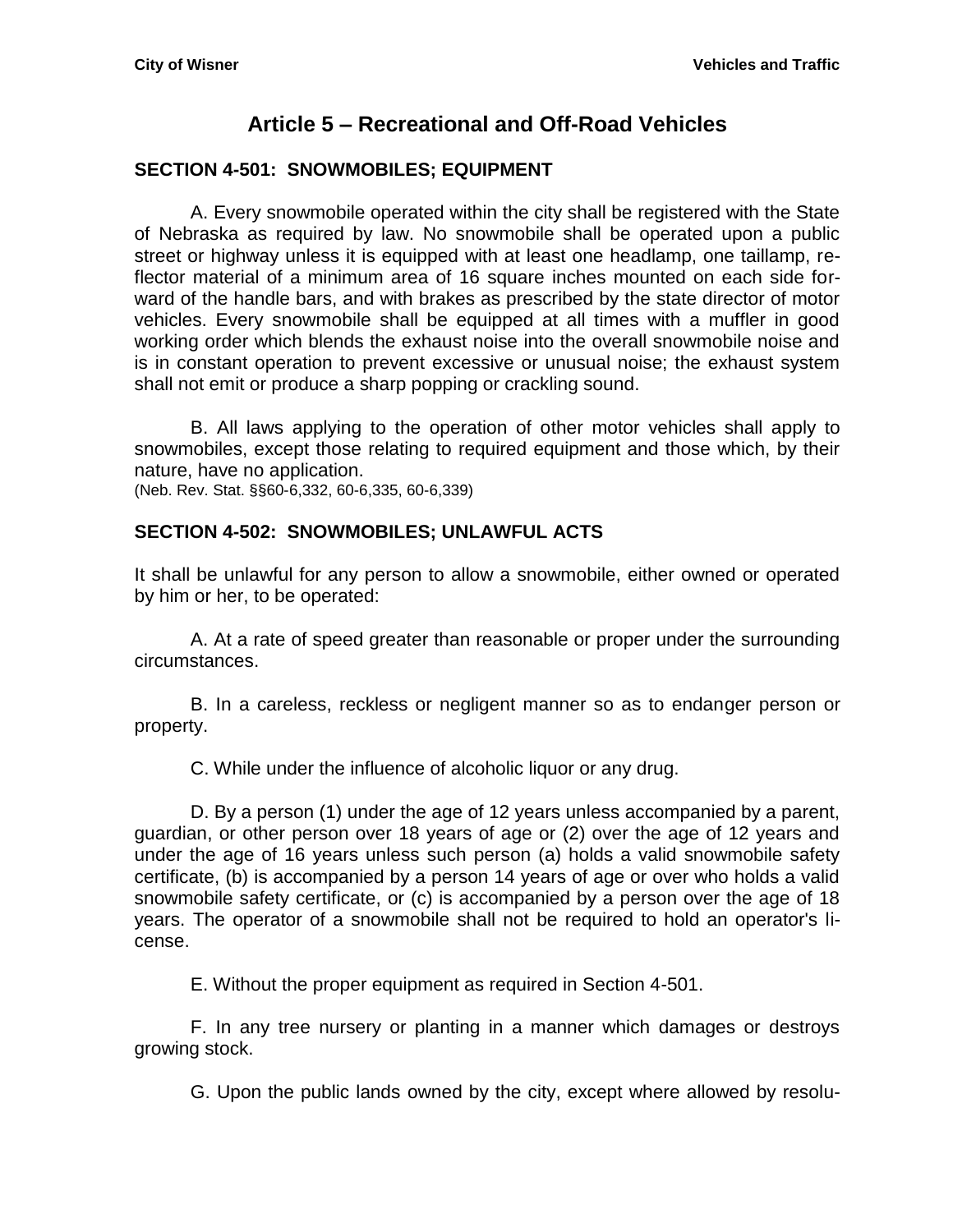# **Article 5 – Recreational and Off-Road Vehicles**

## <span id="page-34-1"></span><span id="page-34-0"></span>**SECTION 4-501: SNOWMOBILES; EQUIPMENT**

A. Every snowmobile operated within the city shall be registered with the State of Nebraska as required by law. No snowmobile shall be operated upon a public street or highway unless it is equipped with at least one headlamp, one taillamp, reflector material of a minimum area of 16 square inches mounted on each side forward of the handle bars, and with brakes as prescribed by the state director of motor vehicles. Every snowmobile shall be equipped at all times with a muffler in good working order which blends the exhaust noise into the overall snowmobile noise and is in constant operation to prevent excessive or unusual noise; the exhaust system shall not emit or produce a sharp popping or crackling sound.

B. All laws applying to the operation of other motor vehicles shall apply to snowmobiles, except those relating to required equipment and those which, by their nature, have no application.

(Neb. Rev. Stat. §§60-6,332, 60-6,335, 60-6,339)

#### <span id="page-34-2"></span>**SECTION 4-502: SNOWMOBILES; UNLAWFUL ACTS**

It shall be unlawful for any person to allow a snowmobile, either owned or operated by him or her, to be operated:

A. At a rate of speed greater than reasonable or proper under the surrounding circumstances.

B. In a careless, reckless or negligent manner so as to endanger person or property.

C. While under the influence of alcoholic liquor or any drug.

D. By a person (1) under the age of 12 years unless accompanied by a parent, guardian, or other person over 18 years of age or (2) over the age of 12 years and under the age of 16 years unless such person (a) holds a valid snowmobile safety certificate, (b) is accompanied by a person 14 years of age or over who holds a valid snowmobile safety certificate, or (c) is accompanied by a person over the age of 18 years. The operator of a snowmobile shall not be required to hold an operator's license.

E. Without the proper equipment as required in Section 4-501.

F. In any tree nursery or planting in a manner which damages or destroys growing stock.

G. Upon the public lands owned by the city, except where allowed by resolu-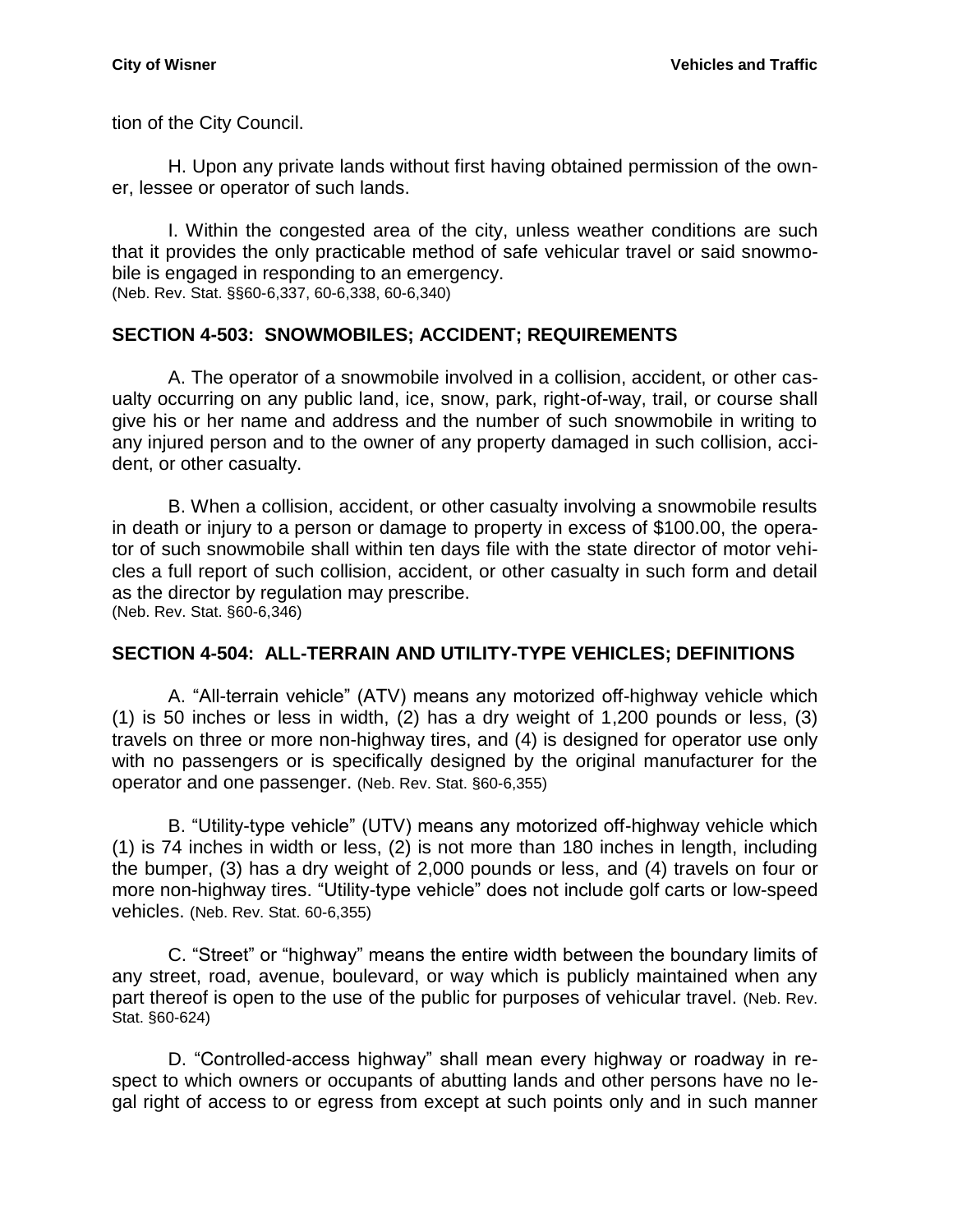tion of the City Council.

H. Upon any private lands without first having obtained permission of the owner, lessee or operator of such lands.

I. Within the congested area of the city, unless weather conditions are such that it provides the only practicable method of safe vehicular travel or said snowmobile is engaged in responding to an emergency. (Neb. Rev. Stat. §§60-6,337, 60-6,338, 60-6,340)

## <span id="page-35-0"></span>**SECTION 4-503: SNOWMOBILES; ACCIDENT; REQUIREMENTS**

A. The operator of a snowmobile involved in a collision, accident, or other casualty occurring on any public land, ice, snow, park, right-of-way, trail, or course shall give his or her name and address and the number of such snowmobile in writing to any injured person and to the owner of any property damaged in such collision, accident, or other casualty.

B. When a collision, accident, or other casualty involving a snowmobile results in death or injury to a person or damage to property in excess of \$100.00, the operator of such snowmobile shall within ten days file with the state director of motor vehicles a full report of such collision, accident, or other casualty in such form and detail as the director by regulation may prescribe. (Neb. Rev. Stat. §60-6,346)

# <span id="page-35-1"></span>**SECTION 4-504: ALL-TERRAIN AND UTILITY-TYPE VEHICLES; DEFINITIONS**

A. "All-terrain vehicle" (ATV) means any motorized off-highway vehicle which (1) is 50 inches or less in width, (2) has a dry weight of 1,200 pounds or less, (3) travels on three or more non-highway tires, and (4) is designed for operator use only with no passengers or is specifically designed by the original manufacturer for the operator and one passenger. (Neb. Rev. Stat. §60-6,355)

B. "Utility-type vehicle" (UTV) means any motorized off-highway vehicle which (1) is 74 inches in width or less, (2) is not more than 180 inches in length, including the bumper, (3) has a dry weight of 2,000 pounds or less, and (4) travels on four or more non-highway tires. "Utility-type vehicle" does not include golf carts or low-speed vehicles. (Neb. Rev. Stat. 60-6,355)

C. "Street" or "highway" means the entire width between the boundary limits of any street, road, avenue, boulevard, or way which is publicly maintained when any part thereof is open to the use of the public for purposes of vehicular travel. (Neb. Rev. Stat. §60-624)

D. "Controlled-access highway" shall mean every highway or roadway in respect to which owners or occupants of abutting lands and other persons have no legal right of access to or egress from except at such points only and in such manner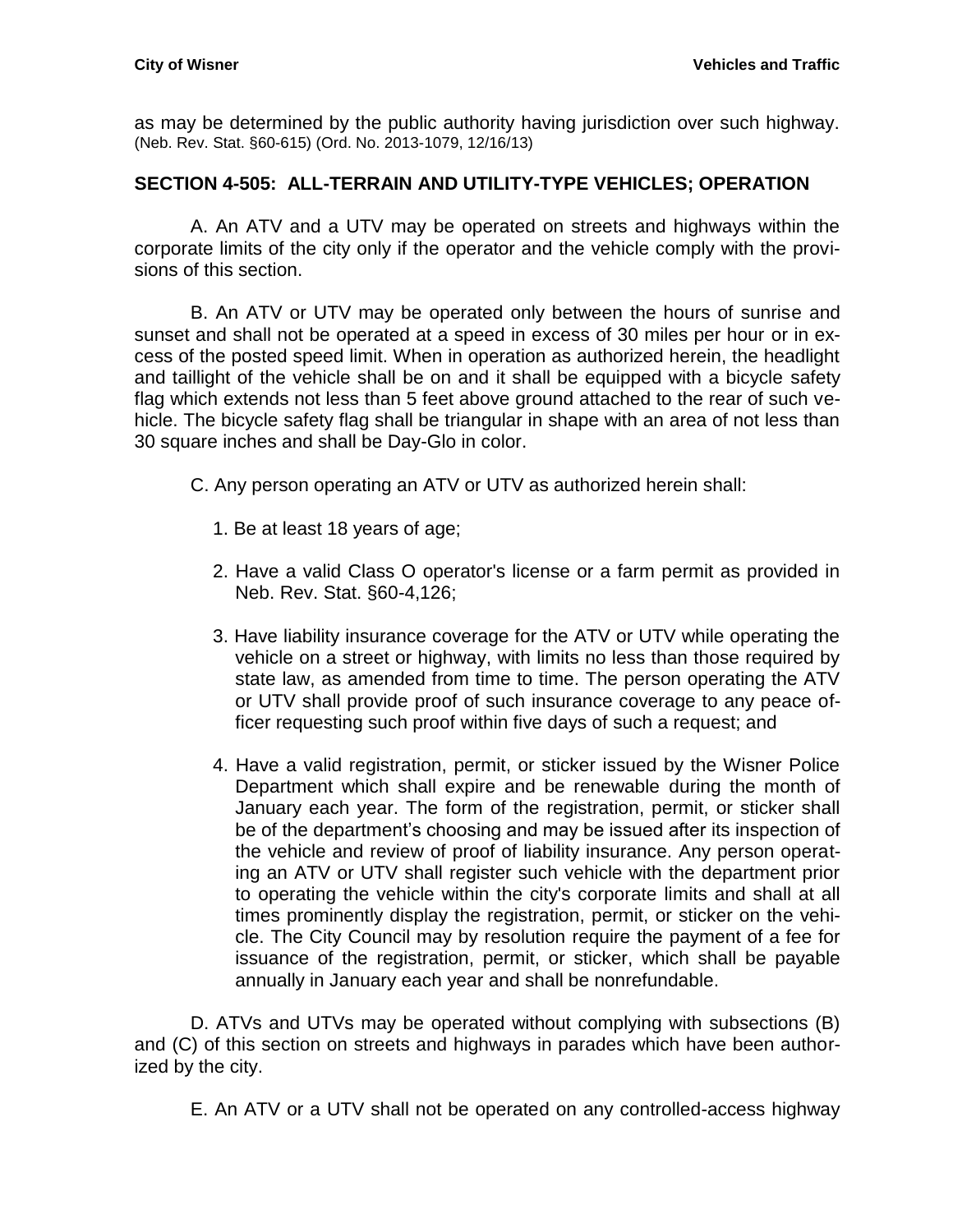as may be determined by the public authority having jurisdiction over such highway. (Neb. Rev. Stat. §60-615) (Ord. No. 2013-1079, 12/16/13)

## <span id="page-36-0"></span>**SECTION 4-505: ALL-TERRAIN AND UTILITY-TYPE VEHICLES; OPERATION**

A. An ATV and a UTV may be operated on streets and highways within the corporate limits of the city only if the operator and the vehicle comply with the provisions of this section.

B. An ATV or UTV may be operated only between the hours of sunrise and sunset and shall not be operated at a speed in excess of 30 miles per hour or in excess of the posted speed limit. When in operation as authorized herein, the headlight and taillight of the vehicle shall be on and it shall be equipped with a bicycle safety flag which extends not less than 5 feet above ground attached to the rear of such vehicle. The bicycle safety flag shall be triangular in shape with an area of not less than 30 square inches and shall be Day-Glo in color.

- C. Any person operating an ATV or UTV as authorized herein shall:
	- 1. Be at least 18 years of age;
	- 2. Have a valid Class O operator's license or a farm permit as provided in Neb. Rev. Stat. §60-4,126;
	- 3. Have liability insurance coverage for the ATV or UTV while operating the vehicle on a street or highway, with limits no less than those required by state law, as amended from time to time. The person operating the ATV or UTV shall provide proof of such insurance coverage to any peace officer requesting such proof within five days of such a request; and
	- 4. Have a valid registration, permit, or sticker issued by the Wisner Police Department which shall expire and be renewable during the month of January each year. The form of the registration, permit, or sticker shall be of the department's choosing and may be issued after its inspection of the vehicle and review of proof of liability insurance. Any person operating an ATV or UTV shall register such vehicle with the department prior to operating the vehicle within the city's corporate limits and shall at all times prominently display the registration, permit, or sticker on the vehicle. The City Council may by resolution require the payment of a fee for issuance of the registration, permit, or sticker, which shall be payable annually in January each year and shall be nonrefundable.

D. ATVs and UTVs may be operated without complying with subsections (B) and (C) of this section on streets and highways in parades which have been authorized by the city.

E. An ATV or a UTV shall not be operated on any controlled-access highway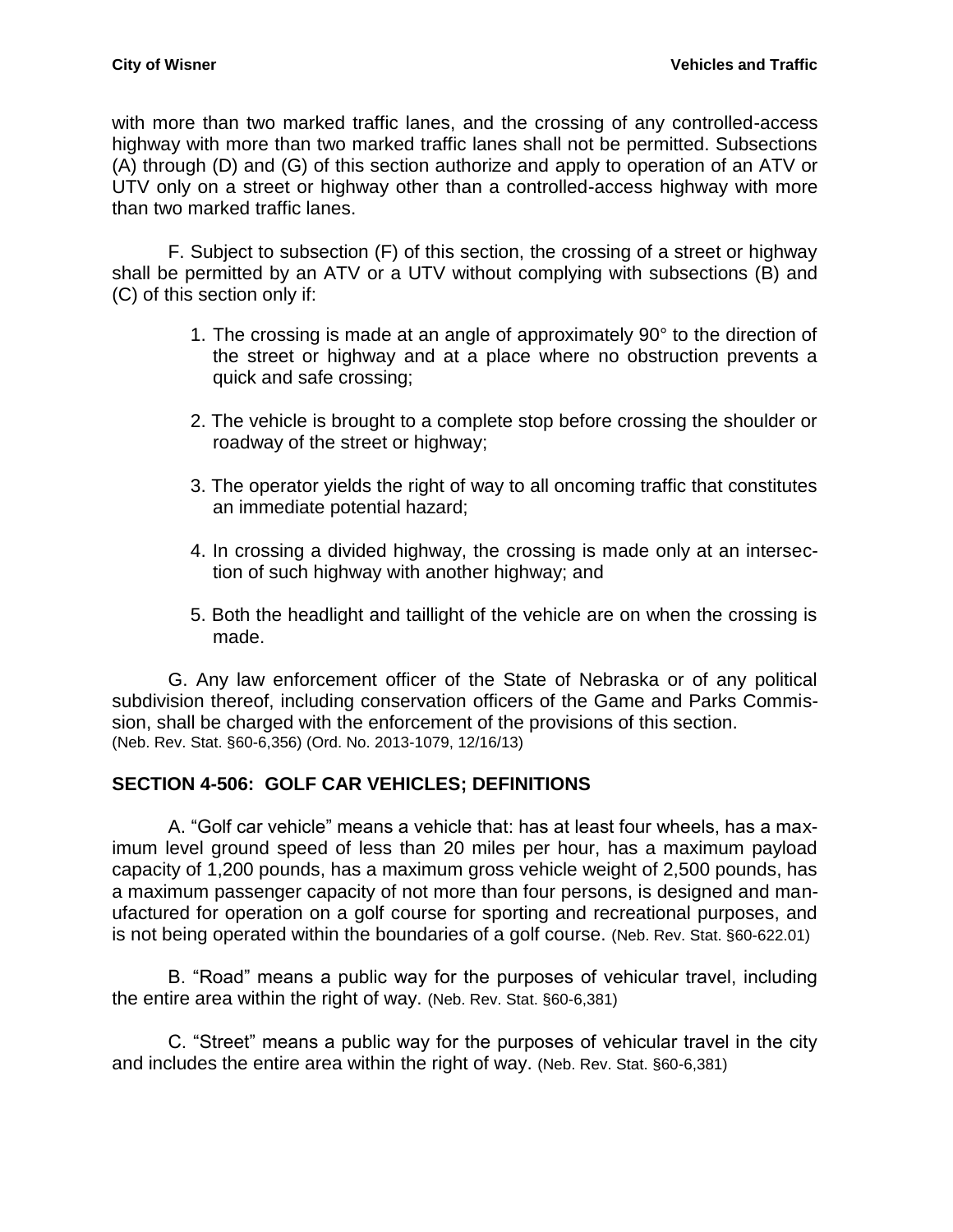with more than two marked traffic lanes, and the crossing of any controlled-access highway with more than two marked traffic lanes shall not be permitted. Subsections (A) through (D) and (G) of this section authorize and apply to operation of an ATV or UTV only on a street or highway other than a controlled-access highway with more than two marked traffic lanes.

F. Subject to subsection (F) of this section, the crossing of a street or highway shall be permitted by an ATV or a UTV without complying with subsections (B) and (C) of this section only if:

- 1. The crossing is made at an angle of approximately 90° to the direction of the street or highway and at a place where no obstruction prevents a quick and safe crossing;
- 2. The vehicle is brought to a complete stop before crossing the shoulder or roadway of the street or highway;
- 3. The operator yields the right of way to all oncoming traffic that constitutes an immediate potential hazard;
- 4. In crossing a divided highway, the crossing is made only at an intersection of such highway with another highway; and
- 5. Both the headlight and taillight of the vehicle are on when the crossing is made.

G. Any law enforcement officer of the State of Nebraska or of any political subdivision thereof, including conservation officers of the Game and Parks Commission, shall be charged with the enforcement of the provisions of this section. (Neb. Rev. Stat. §60-6,356) (Ord. No. 2013-1079, 12/16/13)

## <span id="page-37-0"></span>**SECTION 4-506: GOLF CAR VEHICLES; DEFINITIONS**

A. "Golf car vehicle" means a vehicle that: has at least four wheels, has a maximum level ground speed of less than 20 miles per hour, has a maximum payload capacity of 1,200 pounds, has a maximum gross vehicle weight of 2,500 pounds, has a maximum passenger capacity of not more than four persons, is designed and manufactured for operation on a golf course for sporting and recreational purposes, and is not being operated within the boundaries of a golf course. (Neb. Rev. Stat. §60-622.01)

B. "Road" means a public way for the purposes of vehicular travel, including the entire area within the right of way. (Neb. Rev. Stat. §60-6,381)

<span id="page-37-1"></span>C. "Street" means a public way for the purposes of vehicular travel in the city and includes the entire area within the right of way. (Neb. Rev. Stat. §60-6,381)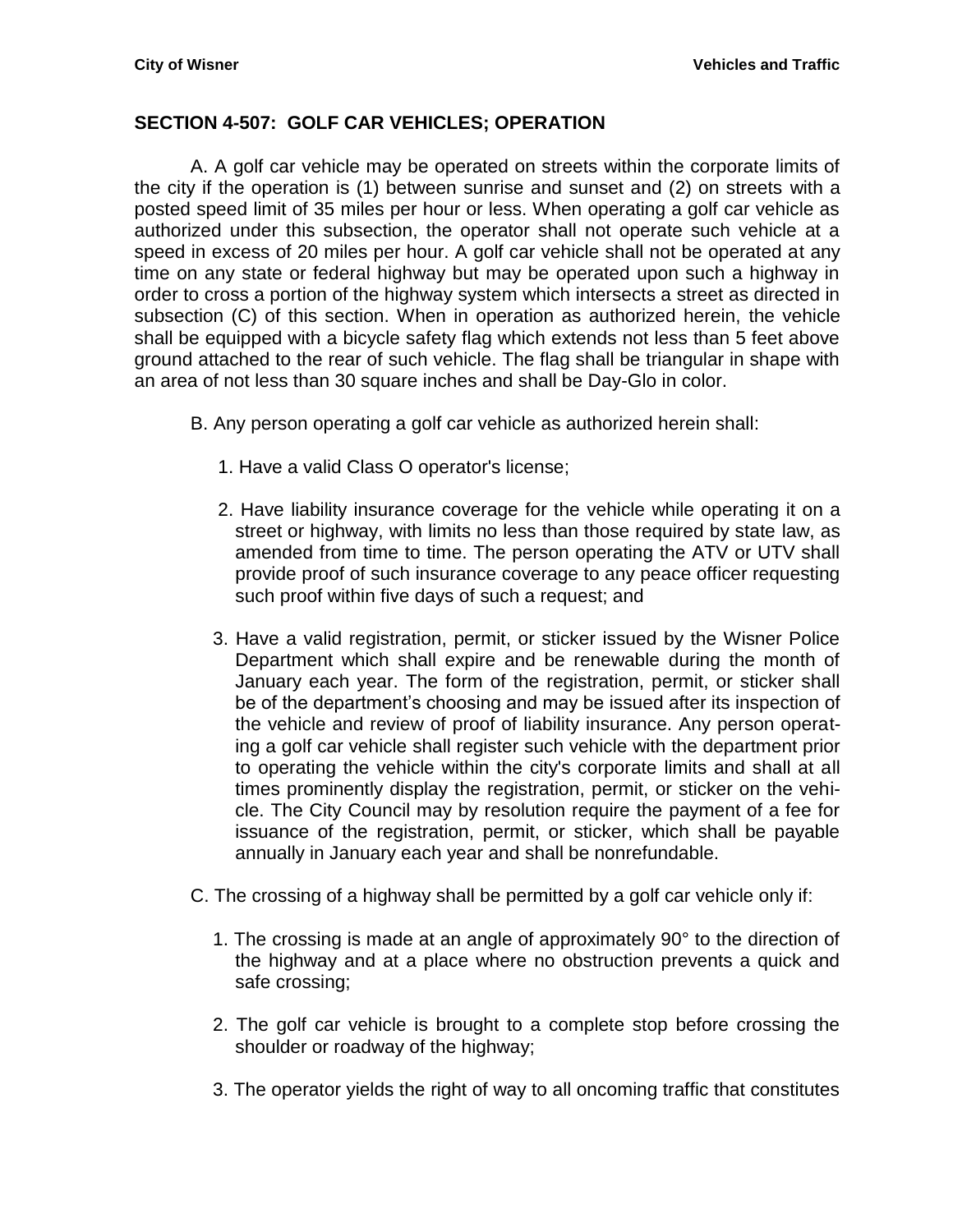## **SECTION 4-507: GOLF CAR VEHICLES; OPERATION**

A. A golf car vehicle may be operated on streets within the corporate limits of the city if the operation is (1) between sunrise and sunset and (2) on streets with a posted speed limit of 35 miles per hour or less. When operating a golf car vehicle as authorized under this subsection, the operator shall not operate such vehicle at a speed in excess of 20 miles per hour. A golf car vehicle shall not be operated at any time on any state or federal highway but may be operated upon such a highway in order to cross a portion of the highway system which intersects a street as directed in subsection (C) of this section. When in operation as authorized herein, the vehicle shall be equipped with a bicycle safety flag which extends not less than 5 feet above ground attached to the rear of such vehicle. The flag shall be triangular in shape with an area of not less than 30 square inches and shall be Day-Glo in color.

- B. Any person operating a golf car vehicle as authorized herein shall:
	- 1. Have a valid Class O operator's license;
	- 2. Have liability insurance coverage for the vehicle while operating it on a street or highway, with limits no less than those required by state law, as amended from time to time. The person operating the ATV or UTV shall provide proof of such insurance coverage to any peace officer requesting such proof within five days of such a request; and
	- 3. Have a valid registration, permit, or sticker issued by the Wisner Police Department which shall expire and be renewable during the month of January each year. The form of the registration, permit, or sticker shall be of the department's choosing and may be issued after its inspection of the vehicle and review of proof of liability insurance. Any person operating a golf car vehicle shall register such vehicle with the department prior to operating the vehicle within the city's corporate limits and shall at all times prominently display the registration, permit, or sticker on the vehicle. The City Council may by resolution require the payment of a fee for issuance of the registration, permit, or sticker, which shall be payable annually in January each year and shall be nonrefundable.
- C. The crossing of a highway shall be permitted by a golf car vehicle only if:
	- 1. The crossing is made at an angle of approximately 90° to the direction of the highway and at a place where no obstruction prevents a quick and safe crossing;
	- 2. The golf car vehicle is brought to a complete stop before crossing the shoulder or roadway of the highway;
	- 3. The operator yields the right of way to all oncoming traffic that constitutes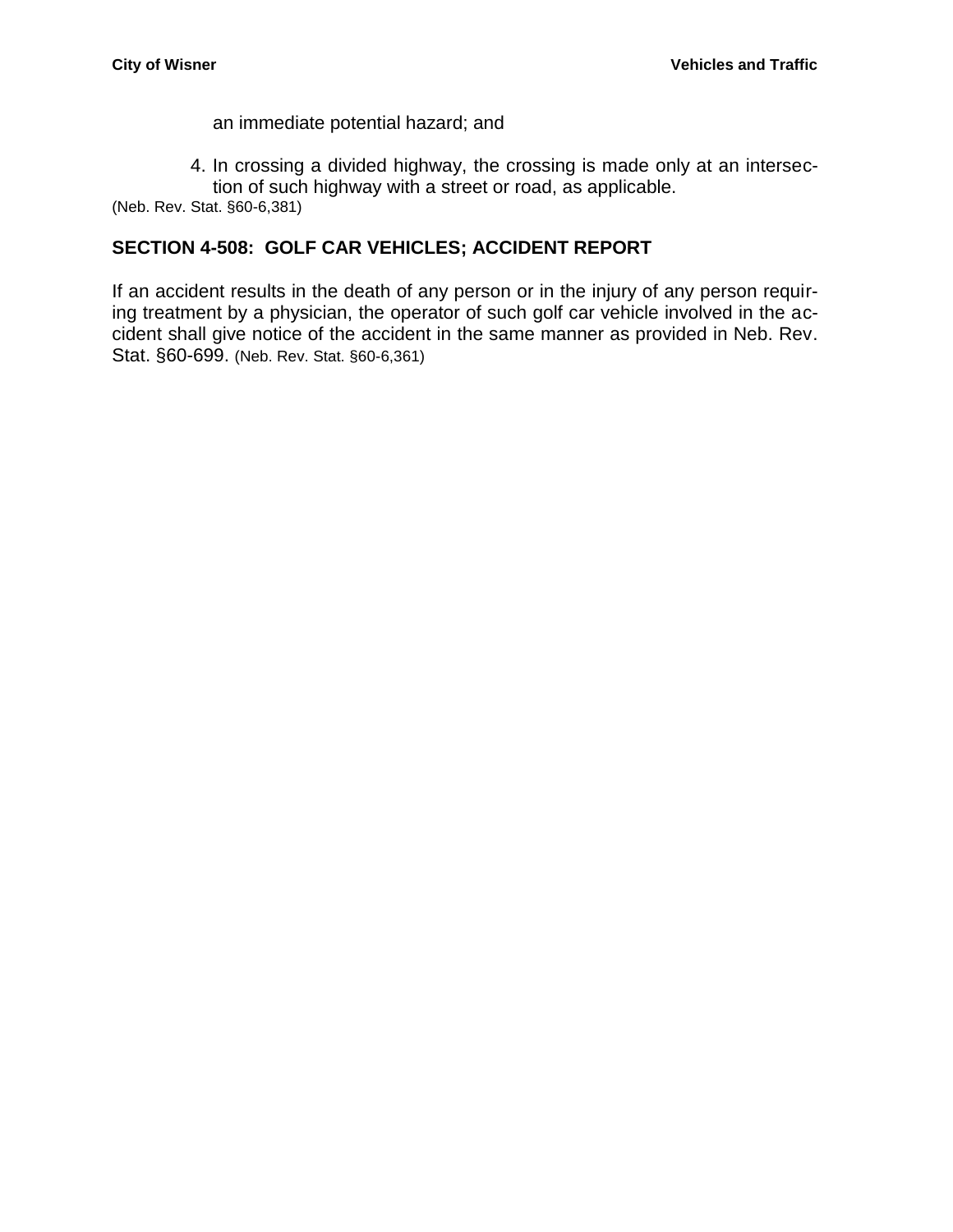an immediate potential hazard; and

4. In crossing a divided highway, the crossing is made only at an intersection of such highway with a street or road, as applicable.

(Neb. Rev. Stat. §60-6,381)

#### <span id="page-39-0"></span>**SECTION 4-508: GOLF CAR VEHICLES; ACCIDENT REPORT**

If an accident results in the death of any person or in the injury of any person requiring treatment by a physician, the operator of such golf car vehicle involved in the accident shall give notice of the accident in the same manner as provided in Neb. Rev. Stat. §60-699. (Neb. Rev. Stat. §60-6,361)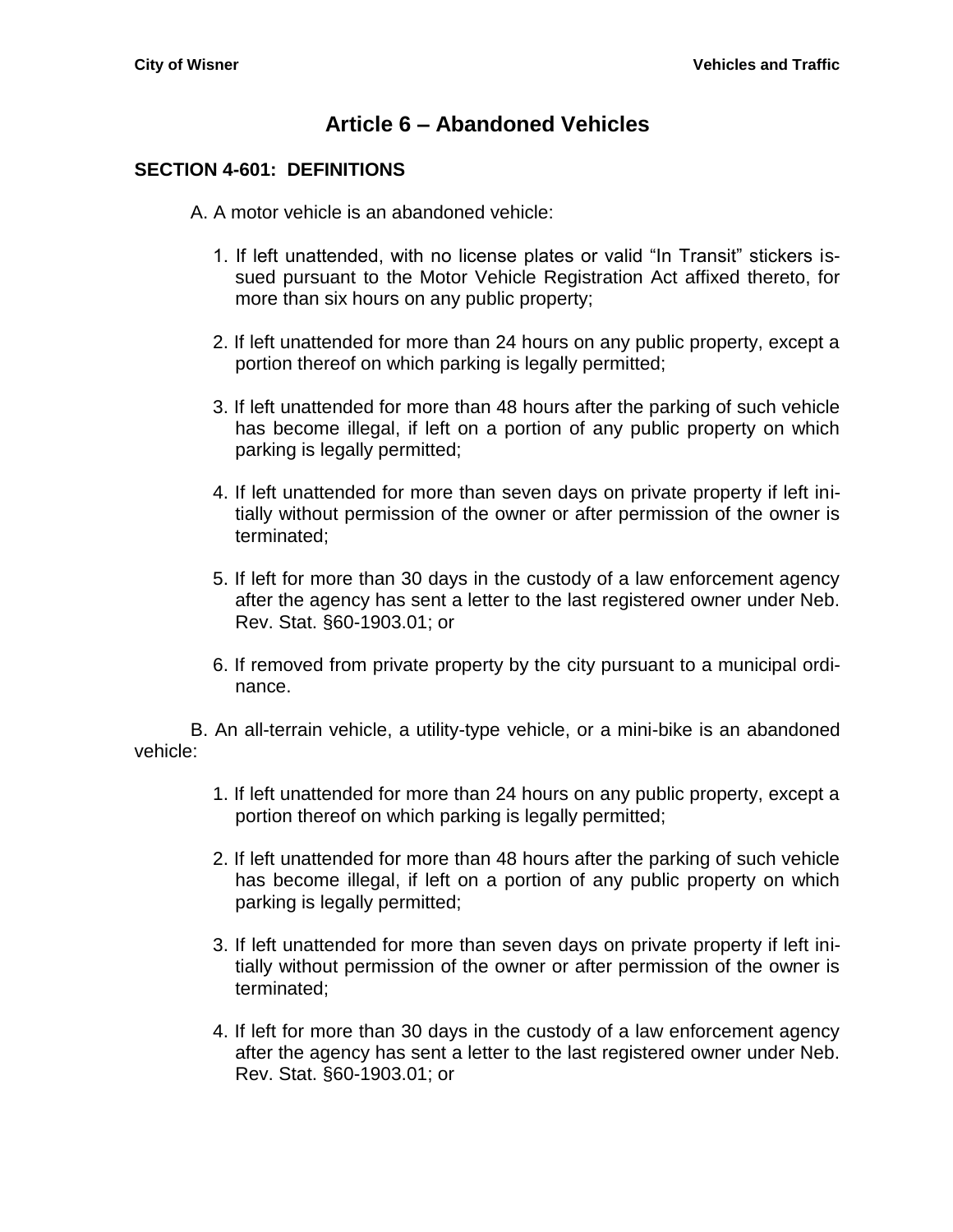# **Article 6 – Abandoned Vehicles**

#### <span id="page-40-1"></span><span id="page-40-0"></span>**SECTION 4-601: DEFINITIONS**

A. A motor vehicle is an abandoned vehicle:

- 1. If left unattended, with no license plates or valid "In Transit" stickers issued pursuant to the Motor Vehicle Registration Act affixed thereto, for more than six hours on any public property;
- 2. If left unattended for more than 24 hours on any public property, except a portion thereof on which parking is legally permitted;
- 3. If left unattended for more than 48 hours after the parking of such vehicle has become illegal, if left on a portion of any public property on which parking is legally permitted;
- 4. If left unattended for more than seven days on private property if left initially without permission of the owner or after permission of the owner is terminated;
- 5. If left for more than 30 days in the custody of a law enforcement agency after the agency has sent a letter to the last registered owner under Neb. Rev. Stat. §60-1903.01; or
- 6. If removed from private property by the city pursuant to a municipal ordinance.

B. An all-terrain vehicle, a utility-type vehicle, or a mini-bike is an abandoned vehicle:

- 1. If left unattended for more than 24 hours on any public property, except a portion thereof on which parking is legally permitted;
- 2. If left unattended for more than 48 hours after the parking of such vehicle has become illegal, if left on a portion of any public property on which parking is legally permitted;
- 3. If left unattended for more than seven days on private property if left initially without permission of the owner or after permission of the owner is terminated;
- 4. If left for more than 30 days in the custody of a law enforcement agency after the agency has sent a letter to the last registered owner under Neb. Rev. Stat. §60-1903.01; or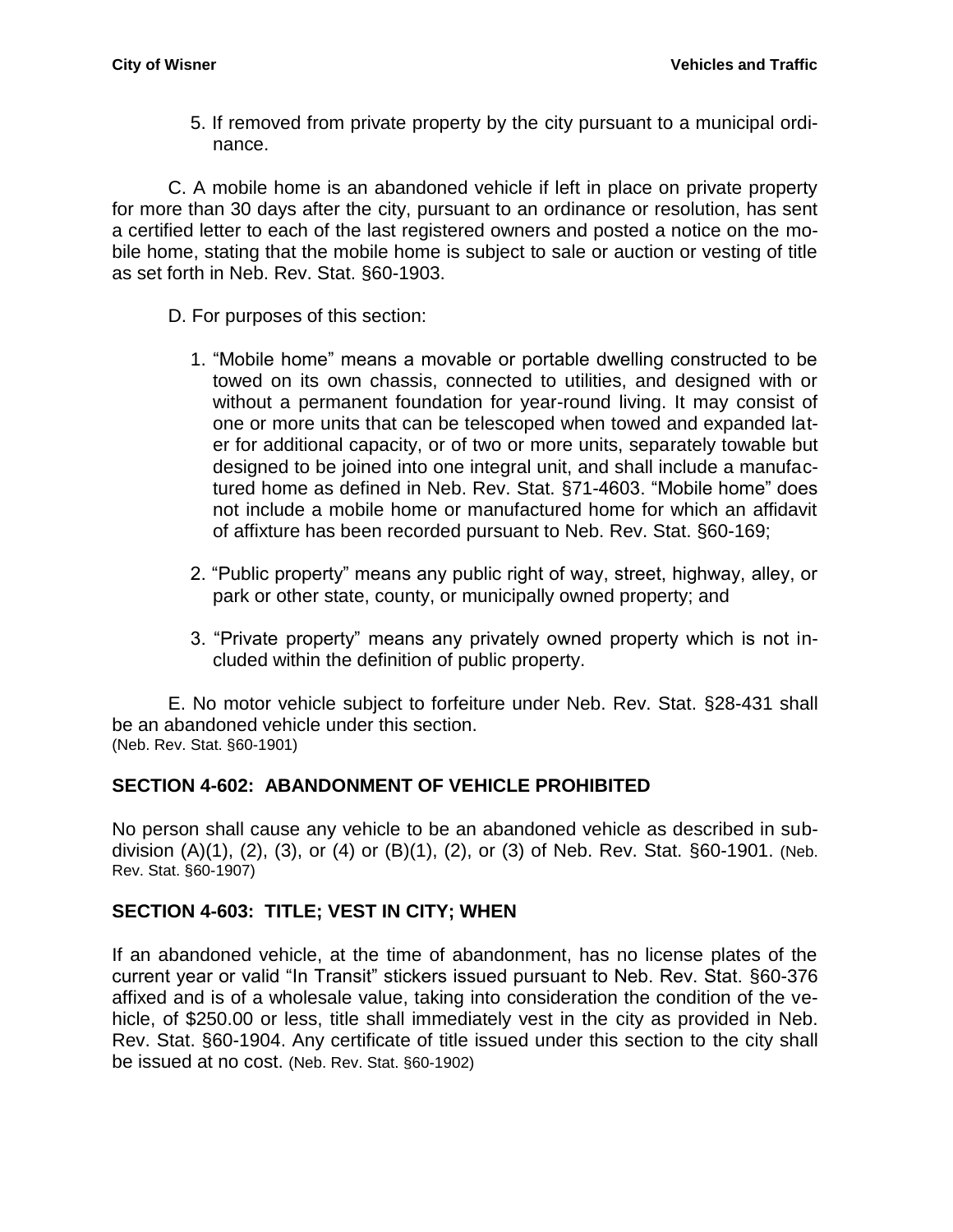5. If removed from private property by the city pursuant to a municipal ordinance.

C. A mobile home is an abandoned vehicle if left in place on private property for more than 30 days after the city, pursuant to an ordinance or resolution, has sent a certified letter to each of the last registered owners and posted a notice on the mobile home, stating that the mobile home is subject to sale or auction or vesting of title as set forth in Neb. Rev. Stat. §60-1903.

- D. For purposes of this section:
	- 1. "Mobile home" means a movable or portable dwelling constructed to be towed on its own chassis, connected to utilities, and designed with or without a permanent foundation for year-round living. It may consist of one or more units that can be telescoped when towed and expanded later for additional capacity, or of two or more units, separately towable but designed to be joined into one integral unit, and shall include a manufactured home as defined in Neb. Rev. Stat. §71-4603. "Mobile home" does not include a mobile home or manufactured home for which an affidavit of affixture has been recorded pursuant to Neb. Rev. Stat. §60-169;
	- 2. "Public property" means any public right of way, street, highway, alley, or park or other state, county, or municipally owned property; and
	- 3. "Private property" means any privately owned property which is not included within the definition of public property.

E. No motor vehicle subject to forfeiture under Neb. Rev. Stat. §28-431 shall be an abandoned vehicle under this section. (Neb. Rev. Stat. §60-1901)

# <span id="page-41-0"></span>**SECTION 4-602: ABANDONMENT OF VEHICLE PROHIBITED**

No person shall cause any vehicle to be an abandoned vehicle as described in subdivision (A)(1), (2), (3), or (4) or (B)(1), (2), or (3) of Neb. Rev. Stat. §60-1901. (Neb. Rev. Stat. §60-1907)

# <span id="page-41-1"></span>**SECTION 4-603: TITLE; VEST IN CITY; WHEN**

If an abandoned vehicle, at the time of abandonment, has no license plates of the current year or valid "In Transit" stickers issued pursuant to Neb. Rev. Stat. §60-376 affixed and is of a wholesale value, taking into consideration the condition of the vehicle, of \$250.00 or less, title shall immediately vest in the city as provided in Neb. Rev. Stat. §60-1904. Any certificate of title issued under this section to the city shall be issued at no cost. (Neb. Rev. Stat. §60-1902)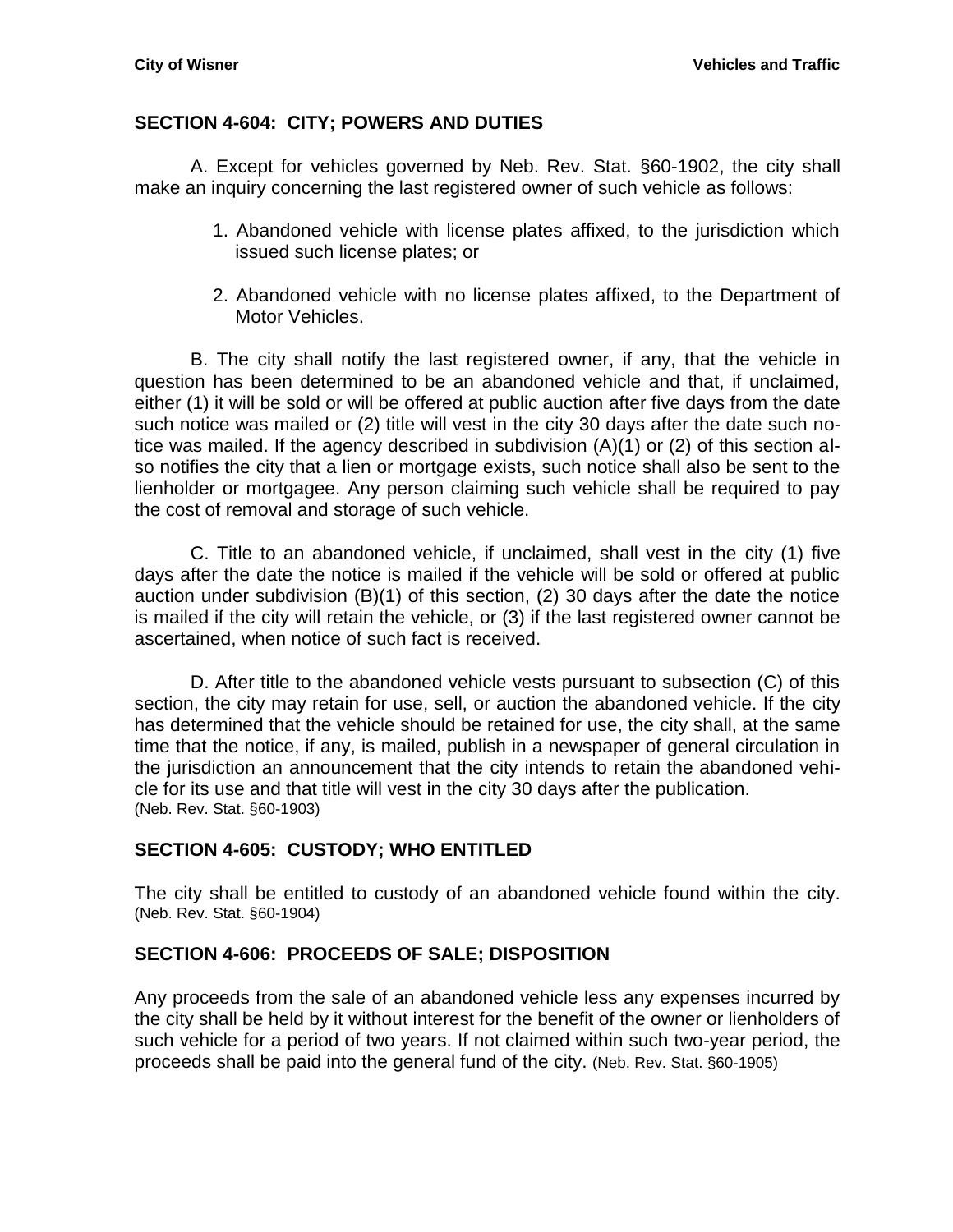#### <span id="page-42-0"></span>**SECTION 4-604: CITY; POWERS AND DUTIES**

A. Except for vehicles governed by Neb. Rev. Stat. §60-1902, the city shall make an inquiry concerning the last registered owner of such vehicle as follows:

- 1. Abandoned vehicle with license plates affixed, to the jurisdiction which issued such license plates; or
- 2. Abandoned vehicle with no license plates affixed, to the Department of Motor Vehicles.

B. The city shall notify the last registered owner, if any, that the vehicle in question has been determined to be an abandoned vehicle and that, if unclaimed, either (1) it will be sold or will be offered at public auction after five days from the date such notice was mailed or (2) title will vest in the city 30 days after the date such notice was mailed. If the agency described in subdivision (A)(1) or (2) of this section also notifies the city that a lien or mortgage exists, such notice shall also be sent to the lienholder or mortgagee. Any person claiming such vehicle shall be required to pay the cost of removal and storage of such vehicle.

C. Title to an abandoned vehicle, if unclaimed, shall vest in the city (1) five days after the date the notice is mailed if the vehicle will be sold or offered at public auction under subdivision (B)(1) of this section, (2) 30 days after the date the notice is mailed if the city will retain the vehicle, or (3) if the last registered owner cannot be ascertained, when notice of such fact is received.

D. After title to the abandoned vehicle vests pursuant to subsection (C) of this section, the city may retain for use, sell, or auction the abandoned vehicle. If the city has determined that the vehicle should be retained for use, the city shall, at the same time that the notice, if any, is mailed, publish in a newspaper of general circulation in the jurisdiction an announcement that the city intends to retain the abandoned vehicle for its use and that title will vest in the city 30 days after the publication. (Neb. Rev. Stat. §60-1903)

## <span id="page-42-1"></span>**SECTION 4-605: CUSTODY; WHO ENTITLED**

The city shall be entitled to custody of an abandoned vehicle found within the city. (Neb. Rev. Stat. §60-1904)

## <span id="page-42-2"></span>**SECTION 4-606: PROCEEDS OF SALE; DISPOSITION**

Any proceeds from the sale of an abandoned vehicle less any expenses incurred by the city shall be held by it without interest for the benefit of the owner or lienholders of such vehicle for a period of two years. If not claimed within such two-year period, the proceeds shall be paid into the general fund of the city. (Neb. Rev. Stat. §60-1905)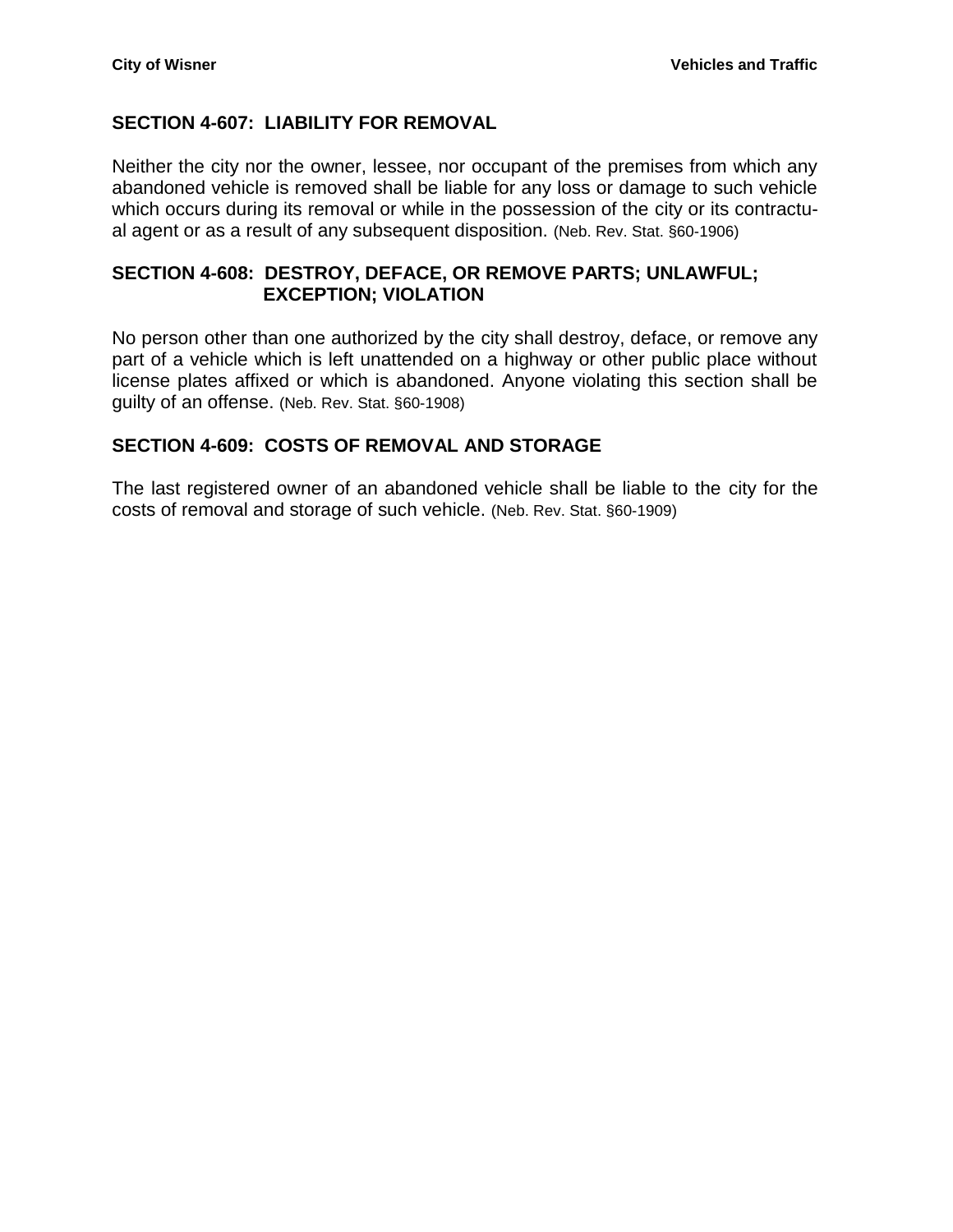## <span id="page-43-0"></span>**SECTION 4-607: LIABILITY FOR REMOVAL**

Neither the city nor the owner, lessee, nor occupant of the premises from which any abandoned vehicle is removed shall be liable for any loss or damage to such vehicle which occurs during its removal or while in the possession of the city or its contractual agent or as a result of any subsequent disposition. (Neb. Rev. Stat. §60-1906)

#### <span id="page-43-1"></span>**SECTION 4-608: DESTROY, DEFACE, OR REMOVE PARTS; UNLAWFUL; EXCEPTION; VIOLATION**

No person other than one authorized by the city shall destroy, deface, or remove any part of a vehicle which is left unattended on a highway or other public place without license plates affixed or which is abandoned. Anyone violating this section shall be guilty of an offense. (Neb. Rev. Stat. §60-1908)

## <span id="page-43-2"></span>**SECTION 4-609: COSTS OF REMOVAL AND STORAGE**

The last registered owner of an abandoned vehicle shall be liable to the city for the costs of removal and storage of such vehicle. (Neb. Rev. Stat. §60-1909)